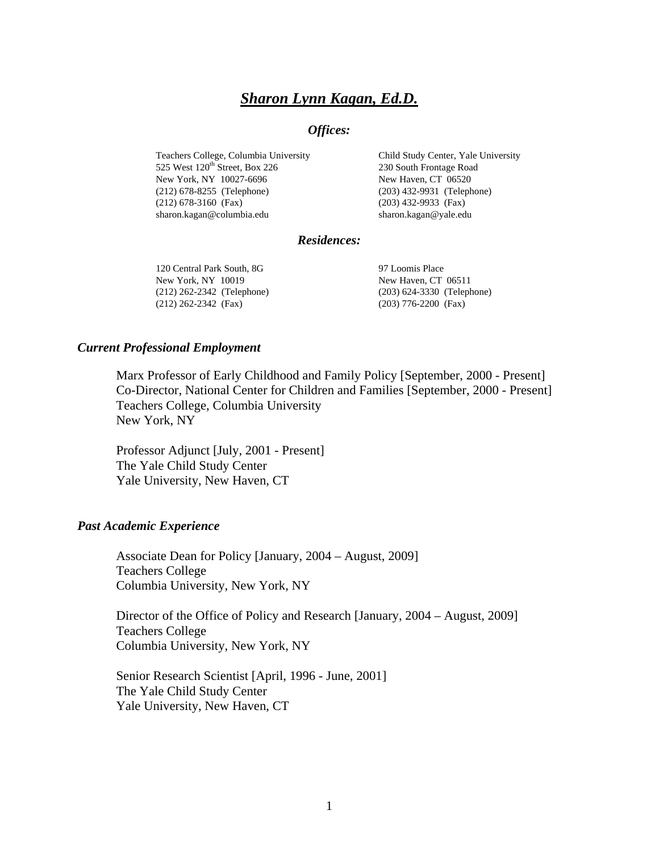# *Sharon Lynn Kagan, Ed.D.*

## *Offices:*

Teachers College, Columbia University 525 West  $120<sup>th</sup>$  Street, Box 226 New York, NY 10027-6696 (212) 678-8255 (Telephone) (212) 678-3160 (Fax) sharon.kagan@columbia.edu

Child Study Center, Yale University 230 South Frontage Road New Haven, CT 06520 (203) 432-9931 (Telephone) (203) 432-9933 (Fax) sharon.kagan@yale.edu

#### *Residences:*

120 Central Park South, 8G New York, NY 10019 (212) 262-2342 (Telephone) (212) 262-2342 (Fax)

97 Loomis Place New Haven, CT 06511 (203) 624-3330 (Telephone) (203) 776-2200 (Fax)

#### *Current Professional Employment*

Marx Professor of Early Childhood and Family Policy [September, 2000 - Present] Co-Director, National Center for Children and Families [September, 2000 - Present] Teachers College, Columbia University New York, NY

Professor Adjunct [July, 2001 - Present] The Yale Child Study Center Yale University, New Haven, CT

#### *Past Academic Experience*

Associate Dean for Policy [January, 2004 – August, 2009] Teachers College Columbia University, New York, NY

Director of the Office of Policy and Research [January, 2004 – August, 2009] Teachers College Columbia University, New York, NY

Senior Research Scientist [April, 1996 - June, 2001] The Yale Child Study Center Yale University, New Haven, CT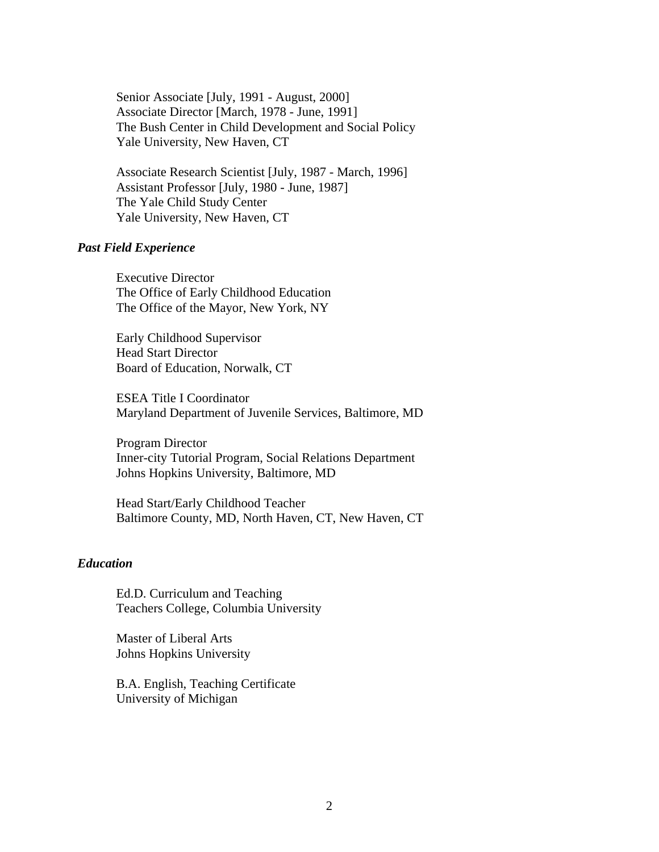Senior Associate [July, 1991 - August, 2000] Associate Director [March, 1978 - June, 1991] The Bush Center in Child Development and Social Policy Yale University, New Haven, CT

Associate Research Scientist [July, 1987 - March, 1996] Assistant Professor [July, 1980 - June, 1987] The Yale Child Study Center Yale University, New Haven, CT

#### *Past Field Experience*

Executive Director The Office of Early Childhood Education The Office of the Mayor, New York, NY

Early Childhood Supervisor Head Start Director Board of Education, Norwalk, CT

ESEA Title I Coordinator Maryland Department of Juvenile Services, Baltimore, MD

Program Director Inner-city Tutorial Program, Social Relations Department Johns Hopkins University, Baltimore, MD

Head Start/Early Childhood Teacher Baltimore County, MD, North Haven, CT, New Haven, CT

### *Education*

Ed.D. Curriculum and Teaching Teachers College, Columbia University

Master of Liberal Arts Johns Hopkins University

B.A. English, Teaching Certificate University of Michigan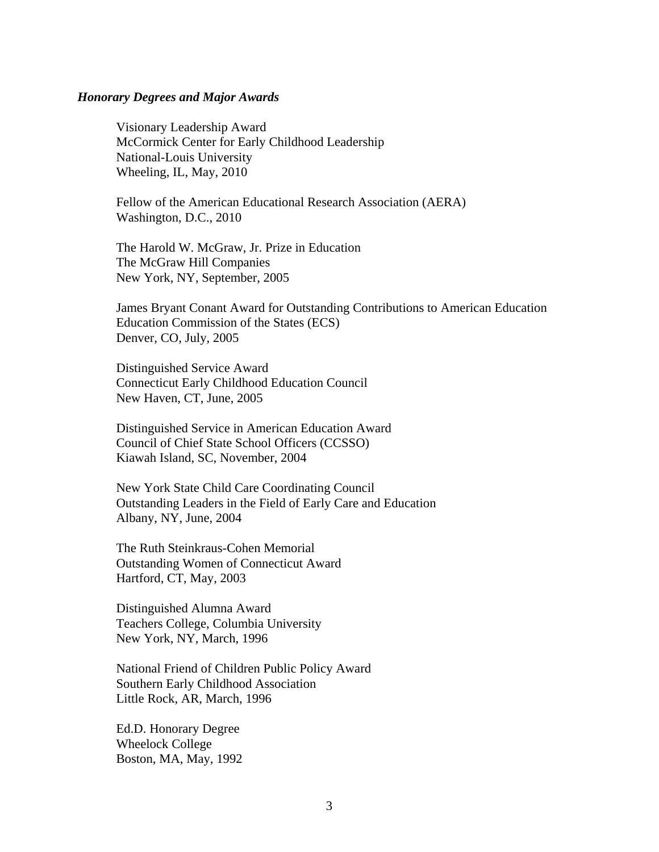#### *Honorary Degrees and Major Awards*

Visionary Leadership Award McCormick Center for Early Childhood Leadership National-Louis University Wheeling, IL, May, 2010

Fellow of the American Educational Research Association (AERA) Washington, D.C., 2010

The Harold W. McGraw, Jr. Prize in Education The McGraw Hill Companies New York, NY, September, 2005

James Bryant Conant Award for Outstanding Contributions to American Education Education Commission of the States (ECS) Denver, CO, July, 2005

Distinguished Service Award Connecticut Early Childhood Education Council New Haven, CT, June, 2005

Distinguished Service in American Education Award Council of Chief State School Officers (CCSSO) Kiawah Island, SC, November, 2004

New York State Child Care Coordinating Council Outstanding Leaders in the Field of Early Care and Education Albany, NY, June, 2004

The Ruth Steinkraus-Cohen Memorial Outstanding Women of Connecticut Award Hartford, CT, May, 2003

Distinguished Alumna Award Teachers College, Columbia University New York, NY, March, 1996

National Friend of Children Public Policy Award Southern Early Childhood Association Little Rock, AR, March, 1996

Ed.D. Honorary Degree Wheelock College Boston, MA, May, 1992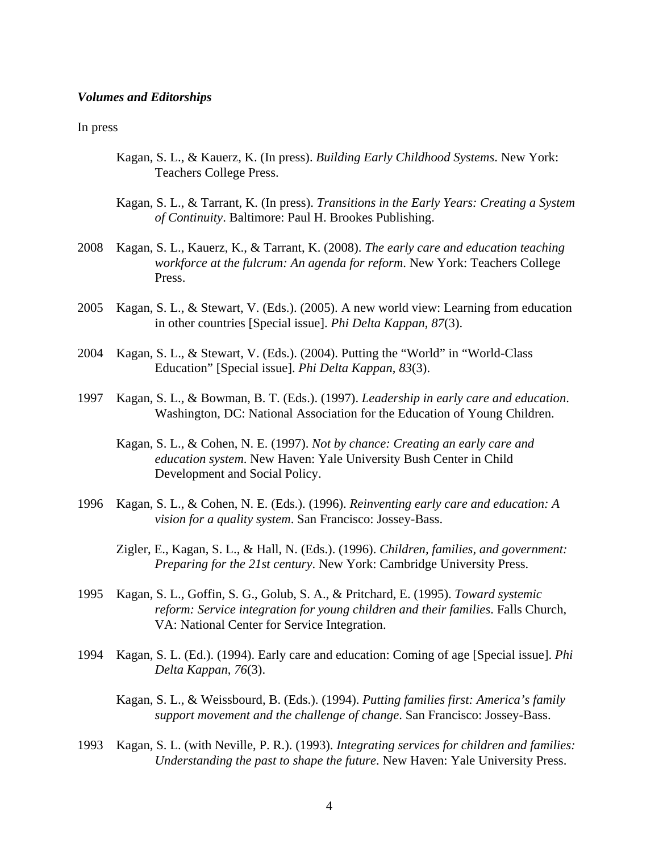#### *Volumes and Editorships*

#### In press

- Kagan, S. L., & Kauerz, K. (In press). *Building Early Childhood Systems*. New York: Teachers College Press.
- Kagan, S. L., & Tarrant, K. (In press). *Transitions in the Early Years: Creating a System of Continuity*. Baltimore: Paul H. Brookes Publishing.
- 2008 Kagan, S. L., Kauerz, K., & Tarrant, K. (2008). *The early care and education teaching workforce at the fulcrum: An agenda for reform*. New York: Teachers College Press.
- 2005 Kagan, S. L., & Stewart, V. (Eds.). (2005). A new world view: Learning from education in other countries [Special issue]. *Phi Delta Kappan*, *87*(3).
- 2004 Kagan, S. L., & Stewart, V. (Eds.). (2004). Putting the "World" in "World-Class Education" [Special issue]. *Phi Delta Kappan*, *83*(3).
- 1997 Kagan, S. L., & Bowman, B. T. (Eds.). (1997). *Leadership in early care and education*. Washington, DC: National Association for the Education of Young Children.
	- Kagan, S. L., & Cohen, N. E. (1997). *Not by chance: Creating an early care and education system*. New Haven: Yale University Bush Center in Child Development and Social Policy.
- 1996 Kagan, S. L., & Cohen, N. E. (Eds.). (1996). *Reinventing early care and education: A vision for a quality system*. San Francisco: Jossey-Bass.
	- Zigler, E., Kagan, S. L., & Hall, N. (Eds.). (1996). *Children, families, and government: Preparing for the 21st century*. New York: Cambridge University Press.
- 1995 Kagan, S. L., Goffin, S. G., Golub, S. A., & Pritchard, E. (1995). *Toward systemic reform: Service integration for young children and their families*. Falls Church, VA: National Center for Service Integration.
- 1994 Kagan, S. L. (Ed.). (1994). Early care and education: Coming of age [Special issue]. *Phi Delta Kappan*, *76*(3).
	- Kagan, S. L., & Weissbourd, B. (Eds.). (1994). *Putting families first: America's family support movement and the challenge of change*. San Francisco: Jossey-Bass.
- 1993 Kagan, S. L. (with Neville, P. R.). (1993). *Integrating services for children and families: Understanding the past to shape the future*. New Haven: Yale University Press.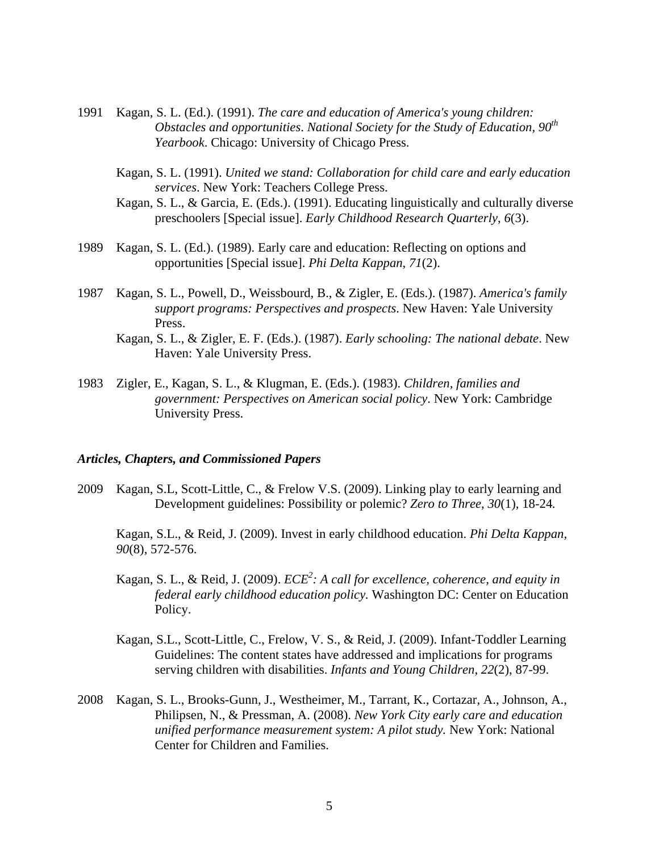- 1991 Kagan, S. L. (Ed.). (1991). *The care and education of America's young children: Obstacles and opportunities*. *National Society for the Study of Education, 90th Yearbook*. Chicago: University of Chicago Press.
	- Kagan, S. L. (1991). *United we stand: Collaboration for child care and early education services*. New York: Teachers College Press.
	- Kagan, S. L., & Garcia, E. (Eds.). (1991). Educating linguistically and culturally diverse preschoolers [Special issue]. *Early Childhood Research Quarterly*, *6*(3).
- 1989 Kagan, S. L. (Ed.). (1989). Early care and education: Reflecting on options and opportunities [Special issue]. *Phi Delta Kappan*, *71*(2).
- 1987 Kagan, S. L., Powell, D., Weissbourd, B., & Zigler, E. (Eds.). (1987). *America's family support programs: Perspectives and prospects*. New Haven: Yale University Press.
	- Kagan, S. L., & Zigler, E. F. (Eds.). (1987). *Early schooling: The national debate*. New Haven: Yale University Press.
- 1983 Zigler, E., Kagan, S. L., & Klugman, E. (Eds.). (1983). *Children, families and government: Perspectives on American social policy*. New York: Cambridge University Press.

#### *Articles, Chapters, and Commissioned Papers*

 2009 Kagan, S.L, Scott-Little, C., & Frelow V.S. (2009). Linking play to early learning and Development guidelines: Possibility or polemic? *Zero to Three, 30*(1)*,* 18-24*.*

 Kagan, S.L., & Reid, J. (2009). Invest in early childhood education. *Phi Delta Kappan, 90*(8), 572-576.

- Kagan, S. L., & Reid, J. (2009). *ECE*<sup>2</sup>: A call for excellence, coherence, and equity in  *federal early childhood education policy.* Washington DC: Center on Education Policy.
	- Kagan, S.L., Scott-Little, C., Frelow, V. S., & Reid, J. (2009). Infant-Toddler Learning Guidelines: The content states have addressed and implications for programs serving children with disabilities. *Infants and Young Children, 22*(2), 87-99.
	- 2008 Kagan, S. L., Brooks-Gunn, J., Westheimer, M., Tarrant, K., Cortazar, A., Johnson, A., Philipsen, N., & Pressman, A. (2008). *New York City early care and education unified performance measurement system: A pilot study.* New York: National Center for Children and Families.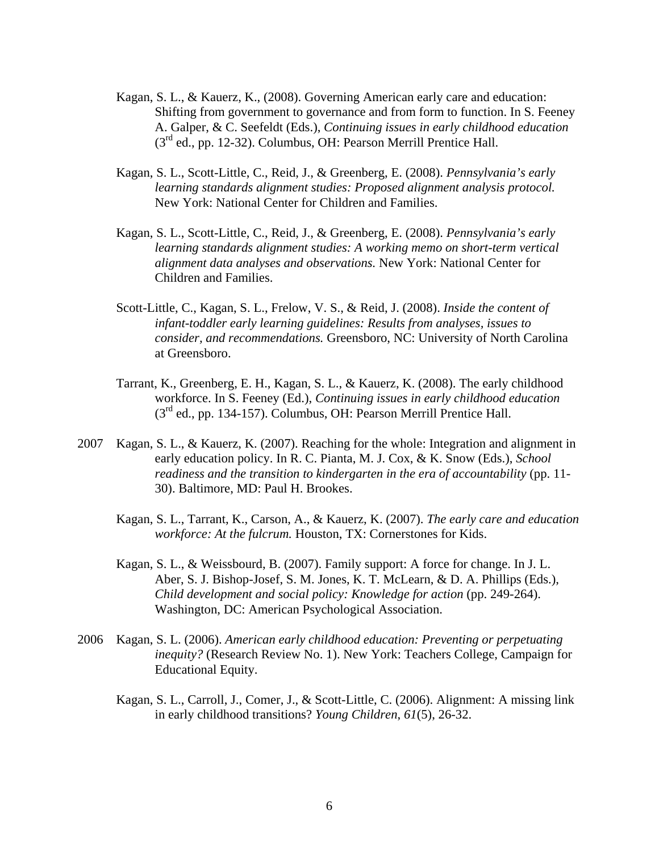- Kagan, S. L., & Kauerz, K., (2008). Governing American early care and education: Shifting from government to governance and from form to function. In S. Feeney A. Galper, & C. Seefeldt (Eds.), *Continuing issues in early childhood education* (3rd ed., pp. 12-32). Columbus, OH: Pearson Merrill Prentice Hall.
- Kagan, S. L., Scott-Little, C., Reid, J., & Greenberg, E. (2008). *Pennsylvania's early learning standards alignment studies: Proposed alignment analysis protocol.*  New York: National Center for Children and Families.
- Kagan, S. L., Scott-Little, C., Reid, J., & Greenberg, E. (2008). *Pennsylvania's early learning standards alignment studies: A working memo on short-term vertical alignment data analyses and observations.* New York: National Center for Children and Families.
- Scott-Little, C., Kagan, S. L., Frelow, V. S., & Reid, J. (2008). *Inside the content of infant-toddler early learning guidelines: Results from analyses, issues to consider, and recommendations.* Greensboro, NC: University of North Carolina at Greensboro.
- Tarrant, K., Greenberg, E. H., Kagan, S. L., & Kauerz, K. (2008). The early childhood workforce. In S. Feeney (Ed.), *Continuing issues in early childhood education*  (3rd ed., pp. 134-157). Columbus, OH: Pearson Merrill Prentice Hall.
- 2007 Kagan, S. L., & Kauerz, K. (2007). Reaching for the whole: Integration and alignment in early education policy. In R. C. Pianta, M. J. Cox, & K. Snow (Eds.), *School readiness and the transition to kindergarten in the era of accountability (pp. 11-* 30). Baltimore, MD: Paul H. Brookes.
	- Kagan, S. L., Tarrant, K., Carson, A., & Kauerz, K. (2007). *The early care and education workforce: At the fulcrum.* Houston, TX: Cornerstones for Kids.
	- Kagan, S. L., & Weissbourd, B. (2007). Family support: A force for change. In J. L. Aber, S. J. Bishop-Josef, S. M. Jones, K. T. McLearn, & D. A. Phillips (Eds.), *Child development and social policy: Knowledge for action* (pp. 249-264). Washington, DC: American Psychological Association.
- 2006 Kagan, S. L. (2006). *American early childhood education: Preventing or perpetuating inequity?* (Research Review No. 1). New York: Teachers College, Campaign for Educational Equity.
	- Kagan, S. L., Carroll, J., Comer, J., & Scott-Little, C. (2006). Alignment: A missing link in early childhood transitions? *Young Children*, *61*(5), 26-32.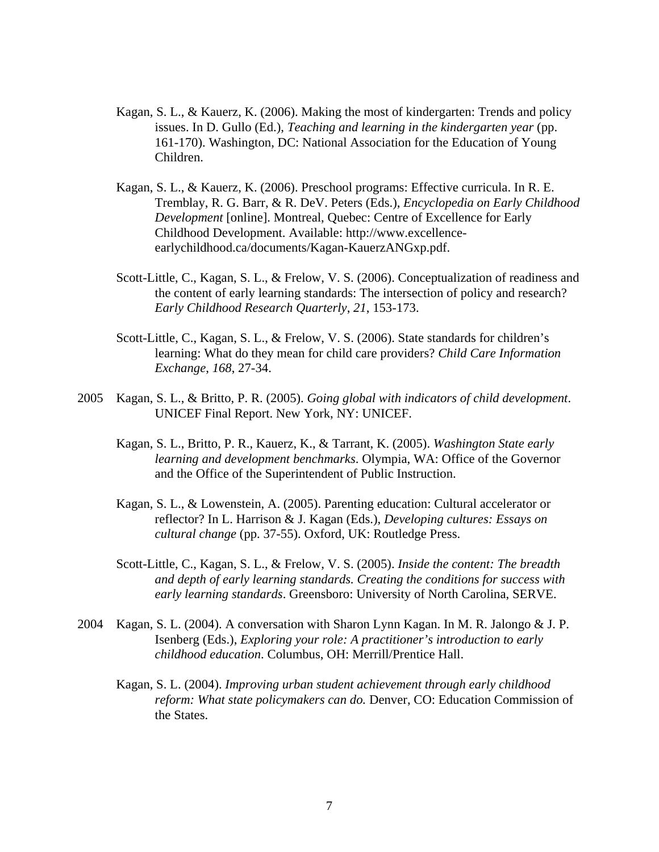- Kagan, S. L., & Kauerz, K. (2006). Making the most of kindergarten: Trends and policy issues. In D. Gullo (Ed.), *Teaching and learning in the kindergarten year* (pp. 161-170). Washington, DC: National Association for the Education of Young Children.
- Kagan, S. L., & Kauerz, K. (2006). Preschool programs: Effective curricula. In R. E. Tremblay, R. G. Barr, & R. DeV. Peters (Eds.), *Encyclopedia on Early Childhood Development* [online]. Montreal, Quebec: Centre of Excellence for Early Childhood Development. Available: http://www.excellenceearlychildhood.ca/documents/Kagan-KauerzANGxp.pdf.
- Scott-Little, C., Kagan, S. L., & Frelow, V. S. (2006). Conceptualization of readiness and the content of early learning standards: The intersection of policy and research? *Early Childhood Research Quarterly*, *21*, 153-173.
- Scott-Little, C., Kagan, S. L., & Frelow, V. S. (2006). State standards for children's learning: What do they mean for child care providers? *Child Care Information Exchange*, *168*, 27-34.
- 2005 Kagan, S. L., & Britto, P. R. (2005). *Going global with indicators of child development*. UNICEF Final Report. New York, NY: UNICEF.
	- Kagan, S. L., Britto, P. R., Kauerz, K., & Tarrant, K. (2005). *Washington State early learning and development benchmarks*. Olympia, WA: Office of the Governor and the Office of the Superintendent of Public Instruction.
	- Kagan, S. L., & Lowenstein, A. (2005). Parenting education: Cultural accelerator or reflector? In L. Harrison & J. Kagan (Eds.), *Developing cultures: Essays on cultural change* (pp. 37-55). Oxford, UK: Routledge Press.
	- Scott-Little, C., Kagan, S. L., & Frelow, V. S. (2005). *Inside the content: The breadth and depth of early learning standards. Creating the conditions for success with early learning standards*. Greensboro: University of North Carolina, SERVE.
- 2004 Kagan, S. L. (2004). A conversation with Sharon Lynn Kagan. In M. R. Jalongo & J. P. Isenberg (Eds.), *Exploring your role: A practitioner's introduction to early childhood education*. Columbus, OH: Merrill/Prentice Hall.
	- Kagan, S. L. (2004). *Improving urban student achievement through early childhood reform: What state policymakers can do.* Denver, CO: Education Commission of the States.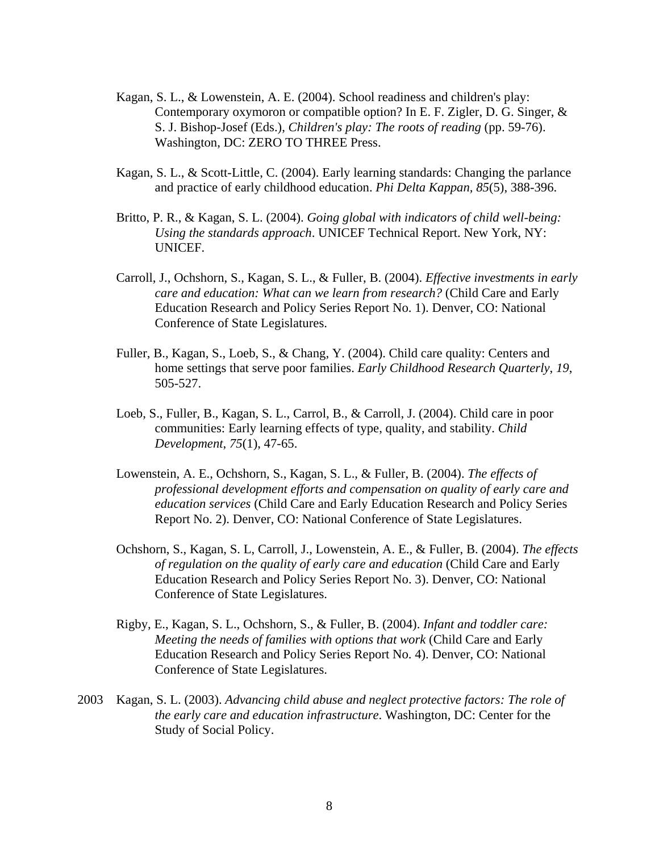- Kagan, S. L., & Lowenstein, A. E. (2004). School readiness and children's play: Contemporary oxymoron or compatible option? In E. F. Zigler, D. G. Singer, & S. J. Bishop-Josef (Eds.), *Children's play: The roots of reading* (pp. 59-76). Washington, DC: ZERO TO THREE Press.
- Kagan, S. L., & Scott-Little, C. (2004). Early learning standards: Changing the parlance and practice of early childhood education. *Phi Delta Kappan, 85*(5), 388-396.
- Britto, P. R., & Kagan, S. L. (2004). *Going global with indicators of child well-being: Using the standards approach*. UNICEF Technical Report. New York, NY: UNICEF.
- Carroll, J., Ochshorn, S., Kagan, S. L., & Fuller, B. (2004). *Effective investments in early care and education: What can we learn from research?* (Child Care and Early Education Research and Policy Series Report No. 1). Denver, CO: National Conference of State Legislatures.
- Fuller, B., Kagan, S., Loeb, S., & Chang, Y. (2004). Child care quality: Centers and home settings that serve poor families. *Early Childhood Research Quarterly*, *19*, 505-527.
- Loeb, S., Fuller, B., Kagan, S. L., Carrol, B., & Carroll, J. (2004). Child care in poor communities: Early learning effects of type, quality, and stability. *Child Development*, *75*(1), 47-65.
- Lowenstein, A. E., Ochshorn, S., Kagan, S. L., & Fuller, B. (2004). *The effects of professional development efforts and compensation on quality of early care and education services* (Child Care and Early Education Research and Policy Series Report No. 2). Denver, CO: National Conference of State Legislatures.
- Ochshorn, S., Kagan, S. L, Carroll, J., Lowenstein, A. E., & Fuller, B. (2004). *The effects of regulation on the quality of early care and education* (Child Care and Early Education Research and Policy Series Report No. 3). Denver, CO: National Conference of State Legislatures.
- Rigby, E., Kagan, S. L., Ochshorn, S., & Fuller, B. (2004). *Infant and toddler care: Meeting the needs of families with options that work* (Child Care and Early Education Research and Policy Series Report No. 4). Denver, CO: National Conference of State Legislatures.
- 2003 Kagan, S. L. (2003). *Advancing child abuse and neglect protective factors: The role of the early care and education infrastructure*. Washington, DC: Center for the Study of Social Policy.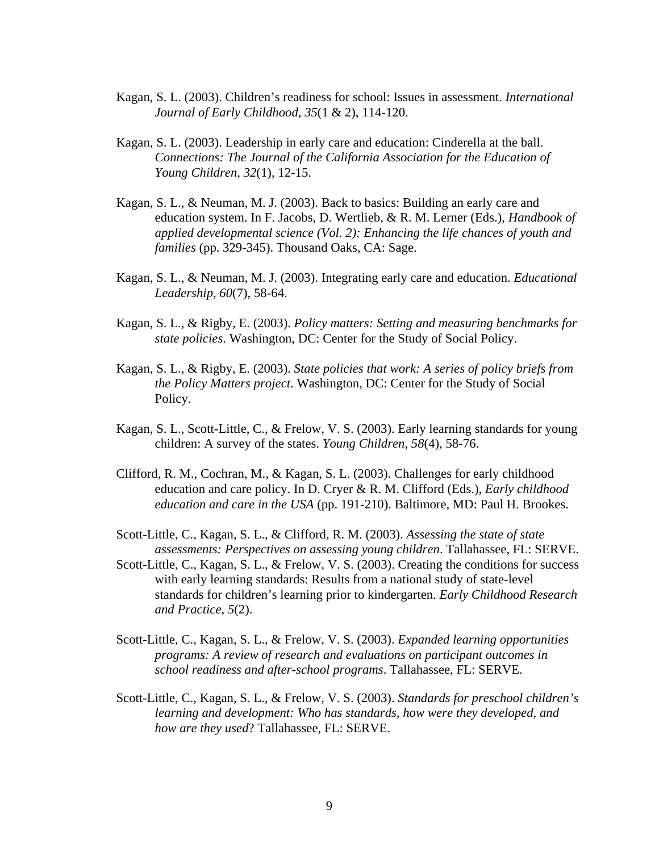- Kagan, S. L. (2003). Children's readiness for school: Issues in assessment. *International Journal of Early Childhood*, *35*(1 & 2), 114-120.
- Kagan, S. L. (2003). Leadership in early care and education: Cinderella at the ball. *Connections: The Journal of the California Association for the Education of Young Children*, *32*(1), 12-15.
- Kagan, S. L., & Neuman, M. J. (2003). Back to basics: Building an early care and education system. In F. Jacobs, D. Wertlieb, & R. M. Lerner (Eds.), *Handbook of applied developmental science (Vol. 2): Enhancing the life chances of youth and families* (pp. 329-345). Thousand Oaks, CA: Sage.
- Kagan, S. L., & Neuman, M. J. (2003). Integrating early care and education. *Educational Leadership*, *60*(7), 58-64.
- Kagan, S. L., & Rigby, E. (2003). *Policy matters: Setting and measuring benchmarks for state policies*. Washington, DC: Center for the Study of Social Policy.
- Kagan, S. L., & Rigby, E. (2003). *State policies that work: A series of policy briefs from the Policy Matters project*. Washington, DC: Center for the Study of Social Policy.
- Kagan, S. L., Scott-Little, C., & Frelow, V. S. (2003). Early learning standards for young children: A survey of the states. *Young Children*, *58*(4), 58-76.
- Clifford, R. M., Cochran, M., & Kagan, S. L. (2003). Challenges for early childhood education and care policy. In D. Cryer & R. M. Clifford (Eds.), *Early childhood education and care in the USA* (pp. 191-210). Baltimore, MD: Paul H. Brookes.
- Scott-Little, C., Kagan, S. L., & Clifford, R. M. (2003). *Assessing the state of state assessments: Perspectives on assessing young children*. Tallahassee, FL: SERVE.
- Scott-Little, C., Kagan, S. L., & Frelow, V. S. (2003). Creating the conditions for success with early learning standards: Results from a national study of state-level standards for children's learning prior to kindergarten. *Early Childhood Research and Practice*, *5*(2).
- Scott-Little, C., Kagan, S. L., & Frelow, V. S. (2003). *Expanded learning opportunities programs: A review of research and evaluations on participant outcomes in school readiness and after-school programs*. Tallahassee, FL: SERVE.
- Scott-Little, C., Kagan, S. L., & Frelow, V. S. (2003). *Standards for preschool children's learning and development: Who has standards, how were they developed, and how are they used*? Tallahassee, FL: SERVE.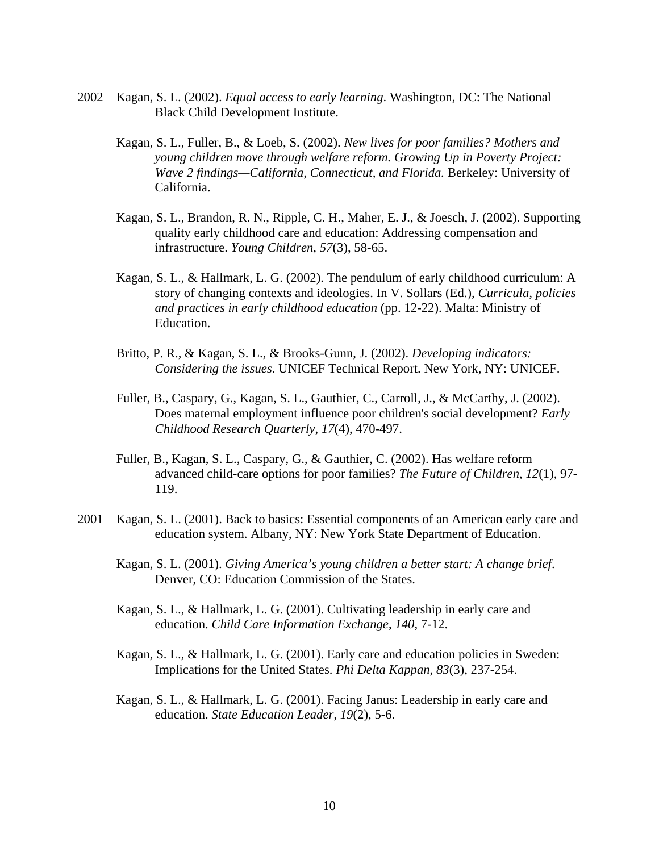- 2002 Kagan, S. L. (2002). *Equal access to early learning*. Washington, DC: The National Black Child Development Institute.
	- Kagan, S. L., Fuller, B., & Loeb, S. (2002). *New lives for poor families? Mothers and young children move through welfare reform. Growing Up in Poverty Project: Wave 2 findings—California, Connecticut, and Florida.* Berkeley: University of California.
	- Kagan, S. L., Brandon, R. N., Ripple, C. H., Maher, E. J., & Joesch, J. (2002). Supporting quality early childhood care and education: Addressing compensation and infrastructure. *Young Children*, *57*(3), 58-65.
	- Kagan, S. L., & Hallmark, L. G. (2002). The pendulum of early childhood curriculum: A story of changing contexts and ideologies. In V. Sollars (Ed.), *Curricula, policies and practices in early childhood education* (pp. 12-22). Malta: Ministry of Education.
	- Britto, P. R., & Kagan, S. L., & Brooks-Gunn, J. (2002). *Developing indicators: Considering the issues*. UNICEF Technical Report. New York, NY: UNICEF.
	- Fuller, B., Caspary, G., Kagan, S. L., Gauthier, C., Carroll, J., & McCarthy, J. (2002). Does maternal employment influence poor children's social development? *Early Childhood Research Quarterly*, *17*(4), 470-497.
	- Fuller, B., Kagan, S. L., Caspary, G., & Gauthier, C. (2002). Has welfare reform advanced child-care options for poor families? *The Future of Children*, *12*(1), 97- 119.
- 2001 Kagan, S. L. (2001). Back to basics: Essential components of an American early care and education system. Albany, NY: New York State Department of Education.
	- Kagan, S. L. (2001). *Giving America's young children a better start: A change brief*. Denver, CO: Education Commission of the States.
	- Kagan, S. L., & Hallmark, L. G. (2001). Cultivating leadership in early care and education. *Child Care Information Exchange*, *140*, 7-12.
	- Kagan, S. L., & Hallmark, L. G. (2001). Early care and education policies in Sweden: Implications for the United States. *Phi Delta Kappan*, *83*(3), 237-254.
	- Kagan, S. L., & Hallmark, L. G. (2001). Facing Janus: Leadership in early care and education. *State Education Leader*, *19*(2), 5-6.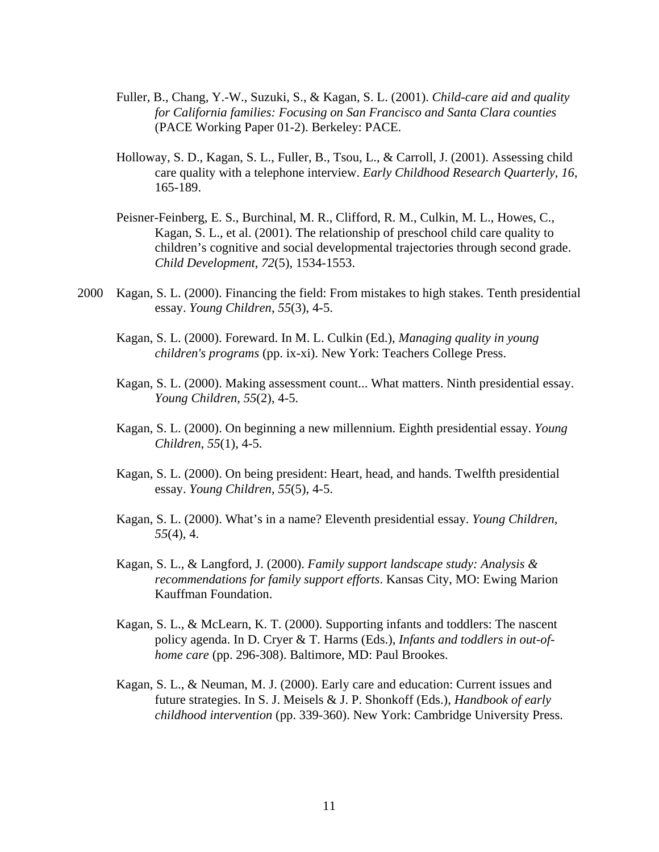- Fuller, B., Chang, Y.-W., Suzuki, S., & Kagan, S. L. (2001). *Child-care aid and quality for California families: Focusing on San Francisco and Santa Clara counties* (PACE Working Paper 01-2). Berkeley: PACE.
- Holloway, S. D., Kagan, S. L., Fuller, B., Tsou, L., & Carroll, J. (2001). Assessing child care quality with a telephone interview. *Early Childhood Research Quarterly*, *16*, 165-189.
- Peisner-Feinberg, E. S., Burchinal, M. R., Clifford, R. M., Culkin, M. L., Howes, C., Kagan, S. L., et al. (2001). The relationship of preschool child care quality to children's cognitive and social developmental trajectories through second grade. *Child Development*, *72*(5), 1534-1553.
- 2000 Kagan, S. L. (2000). Financing the field: From mistakes to high stakes. Tenth presidential essay. *Young Children*, *55*(3), 4-5.
	- Kagan, S. L. (2000). Foreward. In M. L. Culkin (Ed.), *Managing quality in young children's programs* (pp. ix-xi). New York: Teachers College Press.
	- Kagan, S. L. (2000). Making assessment count... What matters. Ninth presidential essay. *Young Children*, *55*(2), 4-5.
	- Kagan, S. L. (2000). On beginning a new millennium. Eighth presidential essay. *Young Children*, *55*(1), 4-5.
	- Kagan, S. L. (2000). On being president: Heart, head, and hands. Twelfth presidential essay. *Young Children*, *55*(5), 4-5.
	- Kagan, S. L. (2000). What's in a name? Eleventh presidential essay. *Young Children*, *55*(4), 4.
	- Kagan, S. L., & Langford, J. (2000). *Family support landscape study: Analysis & recommendations for family support efforts*. Kansas City, MO: Ewing Marion Kauffman Foundation.
	- Kagan, S. L., & McLearn, K. T. (2000). Supporting infants and toddlers: The nascent policy agenda. In D. Cryer & T. Harms (Eds.), *Infants and toddlers in out-ofhome care* (pp. 296-308). Baltimore, MD: Paul Brookes.
	- Kagan, S. L., & Neuman, M. J. (2000). Early care and education: Current issues and future strategies. In S. J. Meisels & J. P. Shonkoff (Eds.), *Handbook of early childhood intervention* (pp. 339-360). New York: Cambridge University Press.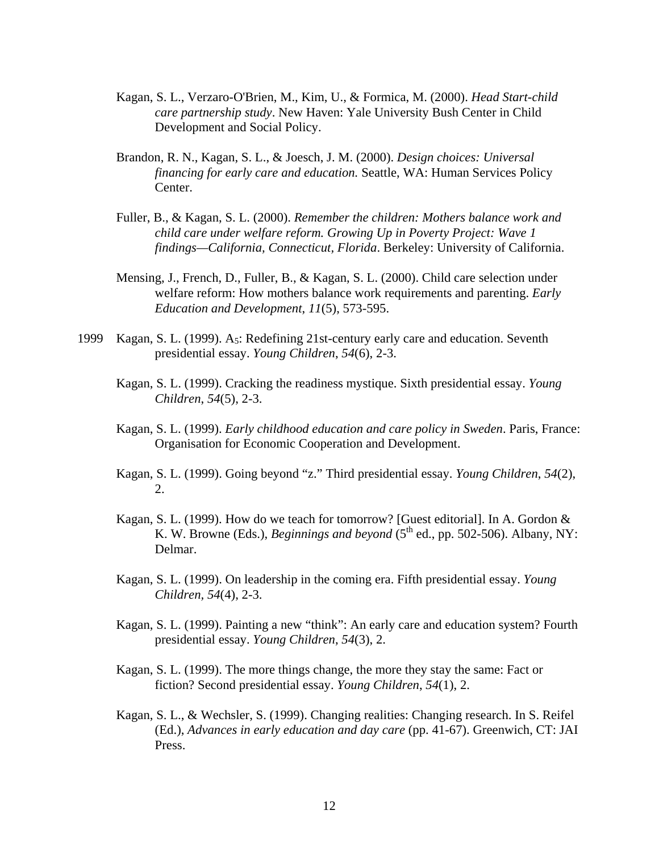- Kagan, S. L., Verzaro-O'Brien, M., Kim, U., & Formica, M. (2000). *Head Start-child care partnership study*. New Haven: Yale University Bush Center in Child Development and Social Policy.
- Brandon, R. N., Kagan, S. L., & Joesch, J. M. (2000). *Design choices: Universal financing for early care and education.* Seattle, WA: Human Services Policy Center.
- Fuller, B., & Kagan, S. L. (2000). *Remember the children: Mothers balance work and child care under welfare reform. Growing Up in Poverty Project: Wave 1 findings—California, Connecticut, Florida*. Berkeley: University of California.
- Mensing, J., French, D., Fuller, B., & Kagan, S. L. (2000). Child care selection under welfare reform: How mothers balance work requirements and parenting. *Early Education and Development*, *11*(5), 573-595.
- 1999 Kagan, S. L. (1999). A5: Redefining 21st-century early care and education. Seventh presidential essay. *Young Children*, *54*(6), 2-3.
	- Kagan, S. L. (1999). Cracking the readiness mystique. Sixth presidential essay. *Young Children*, *54*(5), 2-3.
	- Kagan, S. L. (1999). *Early childhood education and care policy in Sweden*. Paris, France: Organisation for Economic Cooperation and Development.
	- Kagan, S. L. (1999). Going beyond "z." Third presidential essay. *Young Children*, *54*(2), 2.
	- Kagan, S. L. (1999). How do we teach for tomorrow? [Guest editorial]. In A. Gordon & K. W. Browne (Eds.), *Beginnings and beyond* ( $5<sup>th</sup>$  ed., pp. 502-506). Albany, NY: Delmar.
	- Kagan, S. L. (1999). On leadership in the coming era. Fifth presidential essay. *Young Children, 54*(4), 2-3.
	- Kagan, S. L. (1999). Painting a new "think": An early care and education system? Fourth presidential essay. *Young Children*, *54*(3), 2.
	- Kagan, S. L. (1999). The more things change, the more they stay the same: Fact or fiction? Second presidential essay. *Young Children*, *54*(1), 2.
	- Kagan, S. L., & Wechsler, S. (1999). Changing realities: Changing research. In S. Reifel (Ed.), *Advances in early education and day care* (pp. 41-67). Greenwich, CT: JAI Press.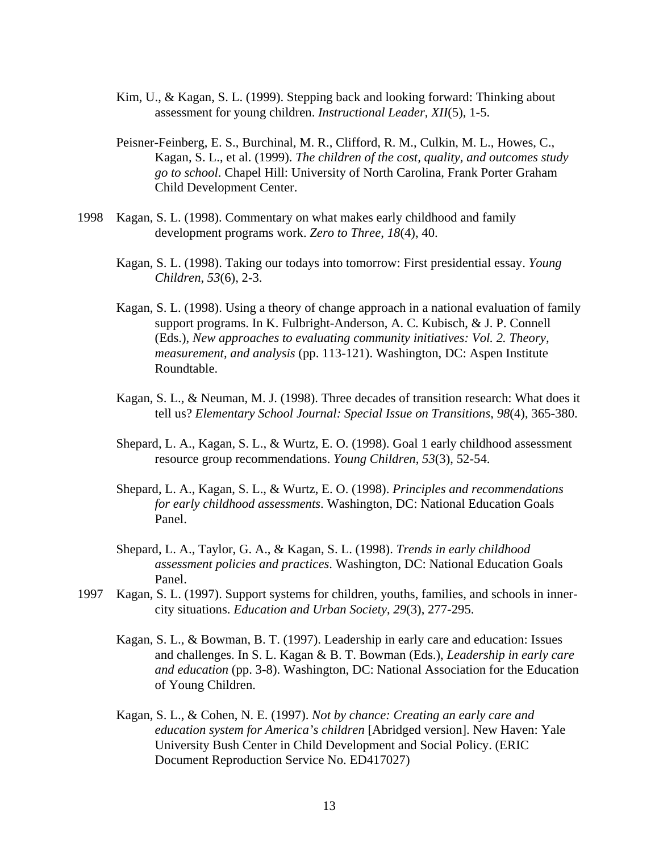- Kim, U., & Kagan, S. L. (1999). Stepping back and looking forward: Thinking about assessment for young children. *Instructional Leader*, *XII*(5), 1-5.
- Peisner-Feinberg, E. S., Burchinal, M. R., Clifford, R. M., Culkin, M. L., Howes, C., Kagan, S. L., et al. (1999). *The children of the cost, quality, and outcomes study go to school*. Chapel Hill: University of North Carolina, Frank Porter Graham Child Development Center.
- 1998 Kagan, S. L. (1998). Commentary on what makes early childhood and family development programs work. *Zero to Three*, *18*(4), 40.
	- Kagan, S. L. (1998). Taking our todays into tomorrow: First presidential essay. *Young Children*, *53*(6), 2-3.
	- Kagan, S. L. (1998). Using a theory of change approach in a national evaluation of family support programs. In K. Fulbright-Anderson, A. C. Kubisch, & J. P. Connell (Eds.), *New approaches to evaluating community initiatives: Vol. 2. Theory, measurement, and analysis* (pp. 113-121). Washington, DC: Aspen Institute Roundtable.
	- Kagan, S. L., & Neuman, M. J. (1998). Three decades of transition research: What does it tell us? *Elementary School Journal: Special Issue on Transitions*, *98*(4), 365-380.
	- Shepard, L. A., Kagan, S. L., & Wurtz, E. O. (1998). Goal 1 early childhood assessment resource group recommendations. *Young Children*, *53*(3), 52-54.
	- Shepard, L. A., Kagan, S. L., & Wurtz, E. O. (1998). *Principles and recommendations for early childhood assessments*. Washington, DC: National Education Goals Panel.
	- Shepard, L. A., Taylor, G. A., & Kagan, S. L. (1998). *Trends in early childhood assessment policies and practices*. Washington, DC: National Education Goals Panel.
- 1997 Kagan, S. L. (1997). Support systems for children, youths, families, and schools in innercity situations. *Education and Urban Society*, *29*(3), 277-295.
	- Kagan, S. L., & Bowman, B. T. (1997). Leadership in early care and education: Issues and challenges. In S. L. Kagan & B. T. Bowman (Eds.), *Leadership in early care and education* (pp. 3-8). Washington, DC: National Association for the Education of Young Children.
	- Kagan, S. L., & Cohen, N. E. (1997). *Not by chance: Creating an early care and education system for America's children* [Abridged version]. New Haven: Yale University Bush Center in Child Development and Social Policy. (ERIC Document Reproduction Service No. ED417027)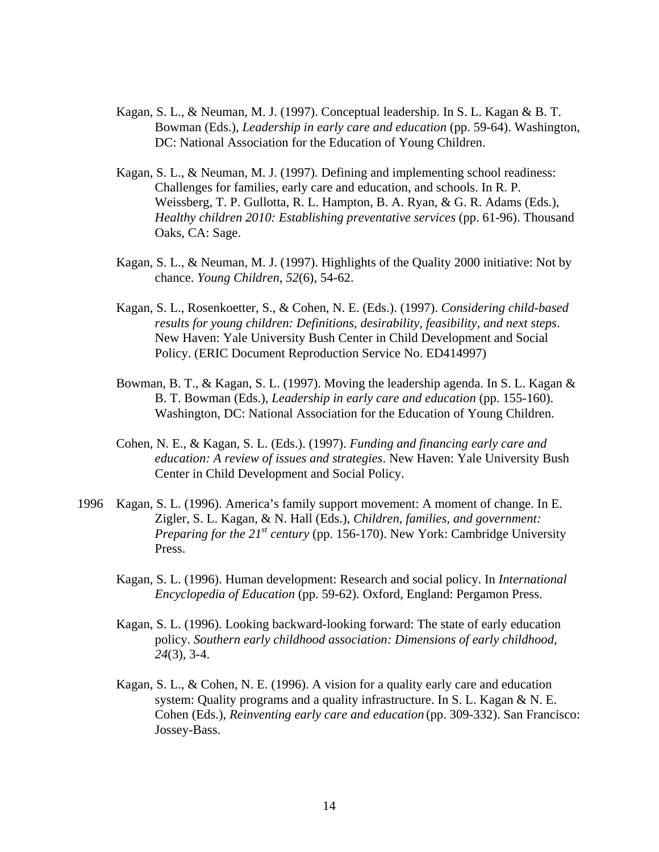- Kagan, S. L., & Neuman, M. J. (1997). Conceptual leadership. In S. L. Kagan & B. T. Bowman (Eds.), *Leadership in early care and education* (pp. 59-64). Washington, DC: National Association for the Education of Young Children.
- Kagan, S. L., & Neuman, M. J. (1997). Defining and implementing school readiness: Challenges for families, early care and education, and schools. In R. P. Weissberg, T. P. Gullotta, R. L. Hampton, B. A. Ryan, & G. R. Adams (Eds.), *Healthy children 2010: Establishing preventative services* (pp. 61-96). Thousand Oaks, CA: Sage.
- Kagan, S. L., & Neuman, M. J. (1997). Highlights of the Quality 2000 initiative: Not by chance. *Young Children*, *52*(6), 54-62.
- Kagan, S. L., Rosenkoetter, S., & Cohen, N. E. (Eds.). (1997). *Considering child-based results for young children: Definitions, desirability, feasibility, and next steps*. New Haven: Yale University Bush Center in Child Development and Social Policy. (ERIC Document Reproduction Service No. ED414997)
- Bowman, B. T., & Kagan, S. L. (1997). Moving the leadership agenda. In S. L. Kagan & B. T. Bowman (Eds.), *Leadership in early care and education* (pp. 155-160). Washington, DC: National Association for the Education of Young Children.
- Cohen, N. E., & Kagan, S. L. (Eds.). (1997). *Funding and financing early care and education: A review of issues and strategies*. New Haven: Yale University Bush Center in Child Development and Social Policy.
- 1996 Kagan, S. L. (1996). America's family support movement: A moment of change. In E. Zigler, S. L. Kagan, & N. Hall (Eds.), *Children, families, and government: Preparing for the 21st century* (pp. 156-170). New York: Cambridge University Press.
	- Kagan, S. L. (1996). Human development: Research and social policy. In *International Encyclopedia of Education* (pp. 59-62). Oxford, England: Pergamon Press.
	- Kagan, S. L. (1996). Looking backward-looking forward: The state of early education policy. *Southern early childhood association: Dimensions of early childhood, 24*(3), 3-4.
	- Kagan, S. L., & Cohen, N. E. (1996). A vision for a quality early care and education system: Quality programs and a quality infrastructure. In S. L. Kagan & N. E. Cohen (Eds.), *Reinventing early care and education* (pp. 309-332). San Francisco: Jossey-Bass.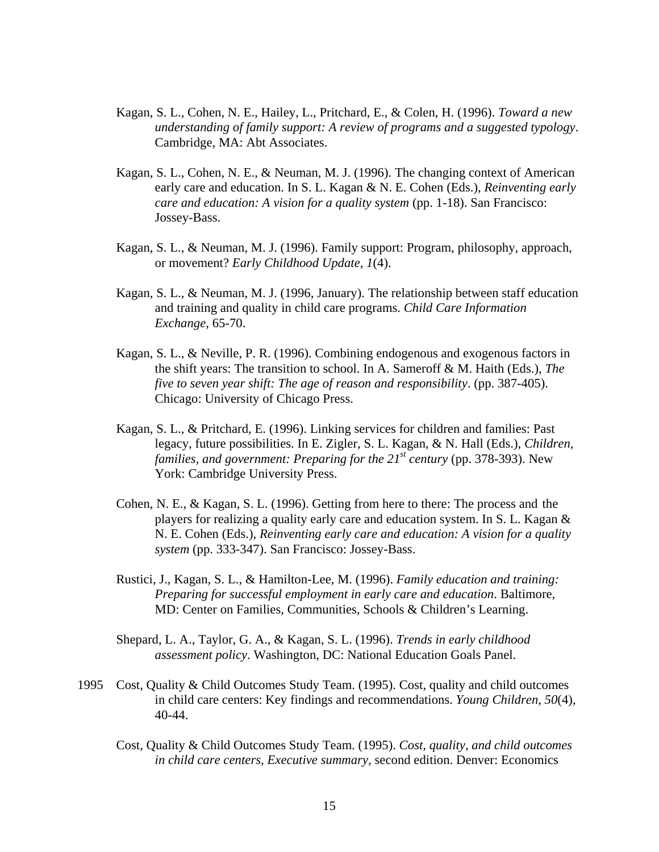- Kagan, S. L., Cohen, N. E., Hailey, L., Pritchard, E., & Colen, H. (1996). *Toward a new understanding of family support: A review of programs and a suggested typology*. Cambridge, MA: Abt Associates.
- Kagan, S. L., Cohen, N. E., & Neuman, M. J. (1996). The changing context of American early care and education. In S. L. Kagan & N. E. Cohen (Eds.), *Reinventing early care and education: A vision for a quality system* (pp. 1-18). San Francisco: Jossey-Bass.
- Kagan, S. L., & Neuman, M. J. (1996). Family support: Program, philosophy, approach, or movement? *Early Childhood Update*, *1*(4).
- Kagan, S. L., & Neuman, M. J. (1996, January). The relationship between staff education and training and quality in child care programs. *Child Care Information Exchange*, 65-70.
- Kagan, S. L., & Neville, P. R. (1996). Combining endogenous and exogenous factors in the shift years: The transition to school. In A. Sameroff & M. Haith (Eds.), *The five to seven year shift: The age of reason and responsibility*. (pp. 387-405). Chicago: University of Chicago Press.
- Kagan, S. L., & Pritchard, E. (1996). Linking services for children and families: Past legacy, future possibilities. In E. Zigler, S. L. Kagan, & N. Hall (Eds.), *Children, families, and government: Preparing for the 21st century* (pp. 378-393). New York: Cambridge University Press.
- Cohen, N. E., & Kagan, S. L. (1996). Getting from here to there: The process and the players for realizing a quality early care and education system. In S. L. Kagan & N. E. Cohen (Eds.), *Reinventing early care and education: A vision for a quality system* (pp. 333-347). San Francisco: Jossey-Bass.
- Rustici, J., Kagan, S. L., & Hamilton-Lee, M. (1996). *Family education and training: Preparing for successful employment in early care and education*. Baltimore, MD: Center on Families, Communities, Schools & Children's Learning.
- Shepard, L. A., Taylor, G. A., & Kagan, S. L. (1996). *Trends in early childhood assessment policy*. Washington, DC: National Education Goals Panel.
- 1995 Cost, Quality & Child Outcomes Study Team. (1995). Cost, quality and child outcomes in child care centers: Key findings and recommendations. *Young Children*, *50*(4), 40-44.
	- Cost, Quality & Child Outcomes Study Team. (1995). *Cost, quality, and child outcomes in child care centers, Executive summary*, second edition. Denver: Economics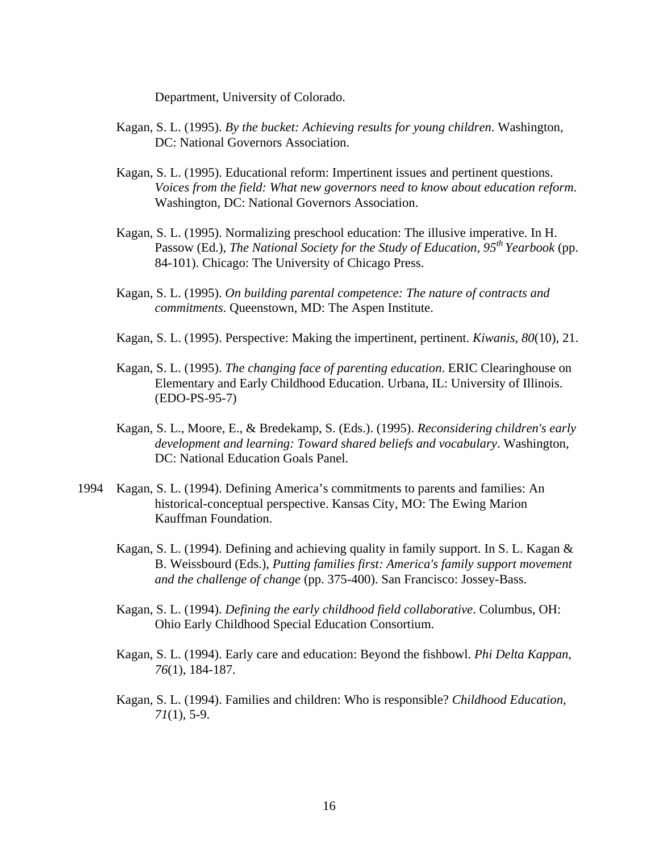Department, University of Colorado.

- Kagan, S. L. (1995). *By the bucket: Achieving results for young children*. Washington, DC: National Governors Association.
- Kagan, S. L. (1995). Educational reform: Impertinent issues and pertinent questions. *Voices from the field: What new governors need to know about education reform*. Washington, DC: National Governors Association.
- Kagan, S. L. (1995). Normalizing preschool education: The illusive imperative. In H. Passow (Ed.), *The National Society for the Study of Education, 95th Yearbook* (pp. 84-101). Chicago: The University of Chicago Press.
- Kagan, S. L. (1995). *On building parental competence: The nature of contracts and commitments*. Queenstown, MD: The Aspen Institute.
- Kagan, S. L. (1995). Perspective: Making the impertinent, pertinent. *Kiwanis*, *80*(10), 21.
- Kagan, S. L. (1995). *The changing face of parenting education*. ERIC Clearinghouse on Elementary and Early Childhood Education. Urbana, IL: University of Illinois. (EDO-PS-95-7)
- Kagan, S. L., Moore, E., & Bredekamp, S. (Eds.). (1995). *Reconsidering children's early development and learning: Toward shared beliefs and vocabulary*. Washington, DC: National Education Goals Panel.
- 1994 Kagan, S. L. (1994). Defining America's commitments to parents and families: An historical-conceptual perspective. Kansas City, MO: The Ewing Marion Kauffman Foundation.
	- Kagan, S. L. (1994). Defining and achieving quality in family support. In S. L. Kagan & B. Weissbourd (Eds.), *Putting families first: America's family support movement and the challenge of change* (pp. 375-400). San Francisco: Jossey-Bass.
	- Kagan, S. L. (1994). *Defining the early childhood field collaborative*. Columbus, OH: Ohio Early Childhood Special Education Consortium.
	- Kagan, S. L. (1994). Early care and education: Beyond the fishbowl. *Phi Delta Kappan*, *76*(1), 184-187.
	- Kagan, S. L. (1994). Families and children: Who is responsible? *Childhood Education, 71*(1), 5-9.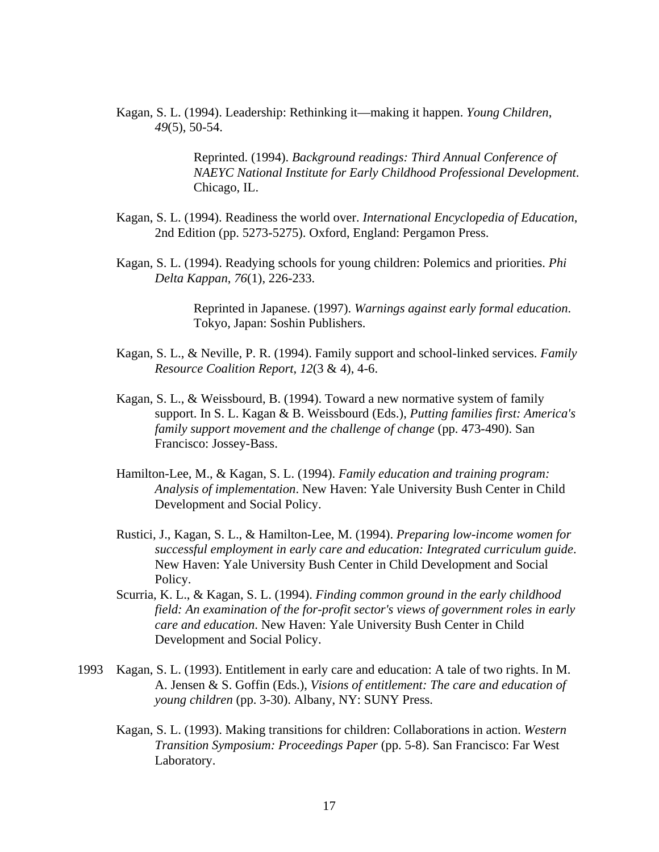Kagan, S. L. (1994). Leadership: Rethinking it—making it happen. *Young Children*, *49*(5), 50-54.

> Reprinted. (1994). *Background readings: Third Annual Conference of NAEYC National Institute for Early Childhood Professional Development*. Chicago, IL.

- Kagan, S. L. (1994). Readiness the world over. *International Encyclopedia of Education*, 2nd Edition (pp. 5273-5275). Oxford, England: Pergamon Press.
- Kagan, S. L. (1994). Readying schools for young children: Polemics and priorities. *Phi Delta Kappan*, *76*(1), 226-233.

Reprinted in Japanese. (1997). *Warnings against early formal education*. Tokyo, Japan: Soshin Publishers.

- Kagan, S. L., & Neville, P. R. (1994). Family support and school-linked services. *Family Resource Coalition Report*, *12*(3 & 4), 4-6.
- Kagan, S. L., & Weissbourd, B. (1994). Toward a new normative system of family support. In S. L. Kagan & B. Weissbourd (Eds.), *Putting families first: America's family support movement and the challenge of change* (pp. 473-490). San Francisco: Jossey-Bass.
- Hamilton-Lee, M., & Kagan, S. L. (1994). *Family education and training program: Analysis of implementation*. New Haven: Yale University Bush Center in Child Development and Social Policy.
- Rustici, J., Kagan, S. L., & Hamilton-Lee, M. (1994). *Preparing low-income women for successful employment in early care and education: Integrated curriculum guide*. New Haven: Yale University Bush Center in Child Development and Social Policy.
- Scurria, K. L., & Kagan, S. L. (1994). *Finding common ground in the early childhood field: An examination of the for-profit sector's views of government roles in early care and education*. New Haven: Yale University Bush Center in Child Development and Social Policy.
- 1993 Kagan, S. L. (1993). Entitlement in early care and education: A tale of two rights. In M. A. Jensen & S. Goffin (Eds.), *Visions of entitlement: The care and education of young children* (pp. 3-30). Albany, NY: SUNY Press.
	- Kagan, S. L. (1993). Making transitions for children: Collaborations in action. *Western Transition Symposium: Proceedings Paper* (pp. 5-8). San Francisco: Far West Laboratory.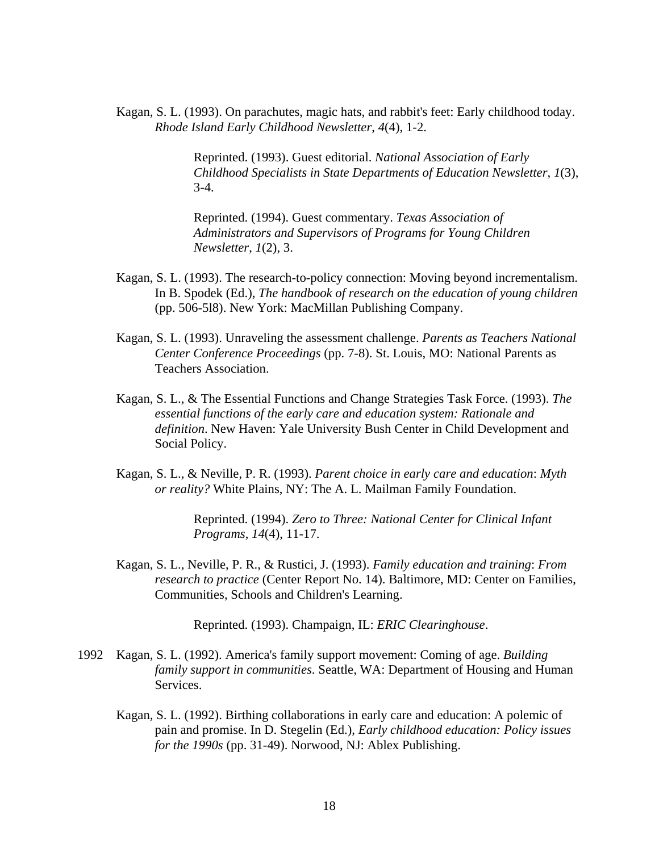Kagan, S. L. (1993). On parachutes, magic hats, and rabbit's feet: Early childhood today. *Rhode Island Early Childhood Newsletter*, *4*(4), 1-2.

> Reprinted. (1993). Guest editorial. *National Association of Early Childhood Specialists in State Departments of Education Newsletter*, *1*(3), 3-4.

Reprinted. (1994). Guest commentary. *Texas Association of Administrators and Supervisors of Programs for Young Children Newsletter*, *1*(2), 3.

- Kagan, S. L. (1993). The research-to-policy connection: Moving beyond incrementalism. In B. Spodek (Ed.), *The handbook of research on the education of young children* (pp. 506-5l8). New York: MacMillan Publishing Company.
- Kagan, S. L. (1993). Unraveling the assessment challenge. *Parents as Teachers National Center Conference Proceedings* (pp. 7-8). St. Louis, MO: National Parents as Teachers Association.
- Kagan, S. L., & The Essential Functions and Change Strategies Task Force. (1993). *The essential functions of the early care and education system: Rationale and definition*. New Haven: Yale University Bush Center in Child Development and Social Policy.
- Kagan, S. L., & Neville, P. R. (1993). *Parent choice in early care and education*: *Myth or reality?* White Plains, NY: The A. L. Mailman Family Foundation.

Reprinted. (1994). *Zero to Three: National Center for Clinical Infant Programs*, *14*(4), 11-17.

Kagan, S. L., Neville, P. R., & Rustici, J. (1993). *Family education and training*: *From research to practice* (Center Report No. 14). Baltimore, MD: Center on Families, Communities, Schools and Children's Learning.

Reprinted. (1993). Champaign, IL: *ERIC Clearinghouse*.

- 1992 Kagan, S. L. (1992). America's family support movement: Coming of age. *Building family support in communities*. Seattle, WA: Department of Housing and Human Services.
	- Kagan, S. L. (1992). Birthing collaborations in early care and education: A polemic of pain and promise. In D. Stegelin (Ed.), *Early childhood education: Policy issues for the 1990s* (pp. 31-49). Norwood, NJ: Ablex Publishing.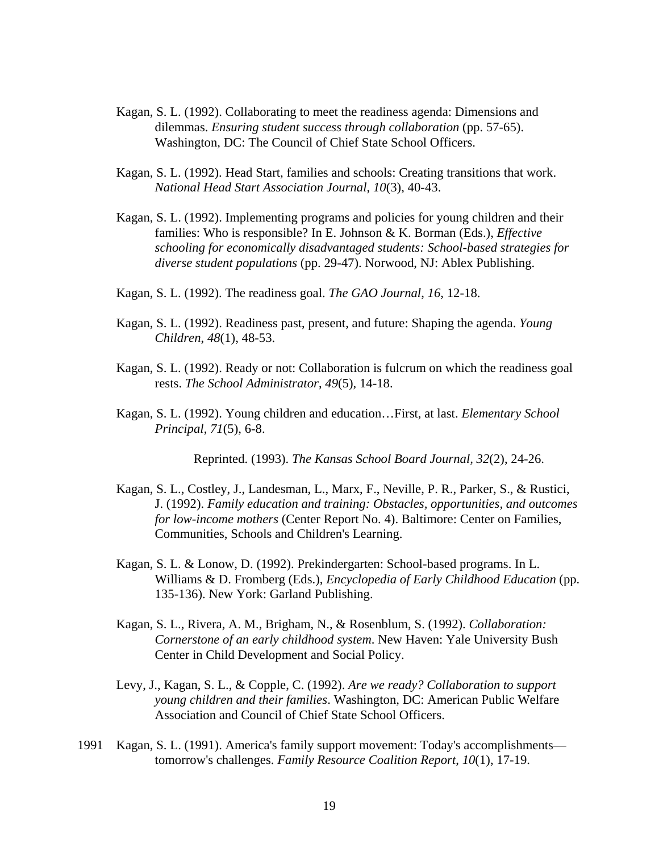- Kagan, S. L. (1992). Collaborating to meet the readiness agenda: Dimensions and dilemmas. *Ensuring student success through collaboration* (pp. 57-65). Washington, DC: The Council of Chief State School Officers.
- Kagan, S. L. (1992). Head Start, families and schools: Creating transitions that work. *National Head Start Association Journal*, *10*(3), 40-43.
- Kagan, S. L. (1992). Implementing programs and policies for young children and their families: Who is responsible? In E. Johnson & K. Borman (Eds.), *Effective schooling for economically disadvantaged students: School-based strategies for diverse student populations* (pp. 29-47). Norwood, NJ: Ablex Publishing.
- Kagan, S. L. (1992). The readiness goal. *The GAO Journal*, *16*, 12-18.
- Kagan, S. L. (1992). Readiness past, present, and future: Shaping the agenda. *Young Children*, *48*(1), 48-53.
- Kagan, S. L. (1992). Ready or not: Collaboration is fulcrum on which the readiness goal rests. *The School Administrator*, *49*(5), 14-18.
- Kagan, S. L. (1992). Young children and education…First, at last. *Elementary School Principal*, *71*(5), 6-8.

Reprinted. (1993). *The Kansas School Board Journal, 32*(2), 24-26.

- Kagan, S. L., Costley, J., Landesman, L., Marx, F., Neville, P. R., Parker, S., & Rustici, J. (1992). *Family education and training: Obstacles, opportunities, and outcomes for low-income mothers* (Center Report No. 4). Baltimore: Center on Families, Communities, Schools and Children's Learning.
- Kagan, S. L. & Lonow, D. (1992). Prekindergarten: School-based programs. In L. Williams & D. Fromberg (Eds.), *Encyclopedia of Early Childhood Education* (pp. 135-136). New York: Garland Publishing.
- Kagan, S. L., Rivera, A. M., Brigham, N., & Rosenblum, S. (1992). *Collaboration: Cornerstone of an early childhood system*. New Haven: Yale University Bush Center in Child Development and Social Policy.
- Levy, J., Kagan, S. L., & Copple, C. (1992). *Are we ready? Collaboration to support young children and their families*. Washington, DC: American Public Welfare Association and Council of Chief State School Officers.
- 1991 Kagan, S. L. (1991). America's family support movement: Today's accomplishments tomorrow's challenges. *Family Resource Coalition Report*, *10*(1), 17-19.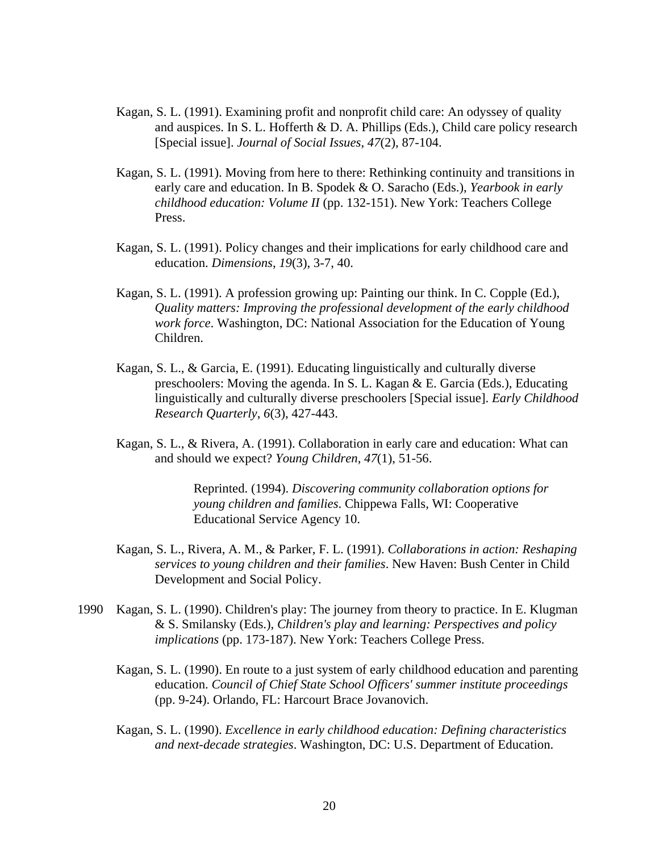- Kagan, S. L. (1991). Examining profit and nonprofit child care: An odyssey of quality and auspices. In S. L. Hofferth & D. A. Phillips (Eds.), Child care policy research [Special issue]. *Journal of Social Issues*, *47*(2), 87-104.
- Kagan, S. L. (1991). Moving from here to there: Rethinking continuity and transitions in early care and education. In B. Spodek & O. Saracho (Eds.), *Yearbook in early childhood education: Volume II* (pp. 132-151). New York: Teachers College Press.
- Kagan, S. L. (1991). Policy changes and their implications for early childhood care and education. *Dimensions*, *19*(3), 3-7, 40.
- Kagan, S. L. (1991). A profession growing up: Painting our think. In C. Copple (Ed.), *Quality matters: Improving the professional development of the early childhood work force*. Washington, DC: National Association for the Education of Young Children.
- Kagan, S. L., & Garcia, E. (1991). Educating linguistically and culturally diverse preschoolers: Moving the agenda. In S. L. Kagan & E. Garcia (Eds.), Educating linguistically and culturally diverse preschoolers [Special issue]. *Early Childhood Research Quarterly*, *6*(3), 427-443.
- Kagan, S. L., & Rivera, A. (1991). Collaboration in early care and education: What can and should we expect? *Young Children*, *47*(1), 51-56.

Reprinted. (1994). *Discovering community collaboration options for young children and families*. Chippewa Falls, WI: Cooperative Educational Service Agency 10.

- Kagan, S. L., Rivera, A. M., & Parker, F. L. (1991). *Collaborations in action: Reshaping services to young children and their families*. New Haven: Bush Center in Child Development and Social Policy.
- 1990 Kagan, S. L. (1990). Children's play: The journey from theory to practice. In E. Klugman & S. Smilansky (Eds.), *Children's play and learning: Perspectives and policy implications* (pp. 173-187). New York: Teachers College Press.
	- Kagan, S. L. (1990). En route to a just system of early childhood education and parenting education. *Council of Chief State School Officers' summer institute proceedings* (pp. 9-24). Orlando, FL: Harcourt Brace Jovanovich.
	- Kagan, S. L. (1990). *Excellence in early childhood education: Defining characteristics and next-decade strategies*. Washington, DC: U.S. Department of Education.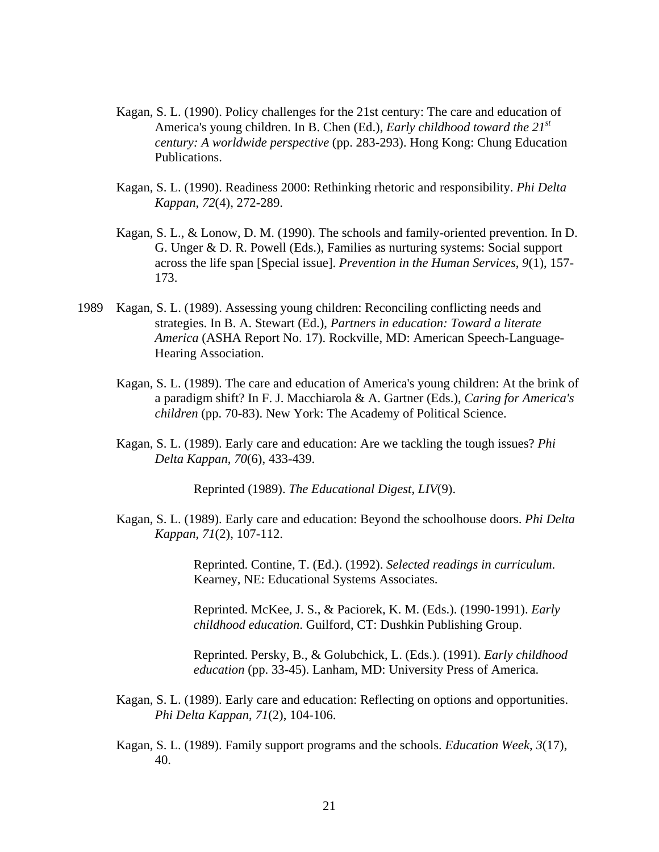- Kagan, S. L. (1990). Policy challenges for the 21st century: The care and education of America's young children. In B. Chen (Ed.), *Early childhood toward the 21st century: A worldwide perspective* (pp. 283-293). Hong Kong: Chung Education Publications.
- Kagan, S. L. (1990). Readiness 2000: Rethinking rhetoric and responsibility. *Phi Delta Kappan*, *72*(4), 272-289.
- Kagan, S. L., & Lonow, D. M. (1990). The schools and family-oriented prevention. In D. G. Unger & D. R. Powell (Eds.), Families as nurturing systems: Social support across the life span [Special issue]. *Prevention in the Human Services*, *9*(1), 157- 173.
- 1989 Kagan, S. L. (1989). Assessing young children: Reconciling conflicting needs and strategies. In B. A. Stewart (Ed.), *Partners in education: Toward a literate America* (ASHA Report No. 17). Rockville, MD: American Speech-Language-Hearing Association.
	- Kagan, S. L. (1989). The care and education of America's young children: At the brink of a paradigm shift? In F. J. Macchiarola & A. Gartner (Eds.), *Caring for America's children* (pp. 70-83). New York: The Academy of Political Science.
	- Kagan, S. L. (1989). Early care and education: Are we tackling the tough issues? *Phi Delta Kappan*, *70*(6), 433-439.

Reprinted (1989). *The Educational Digest*, *LIV*(9).

Kagan, S. L. (1989). Early care and education: Beyond the schoolhouse doors. *Phi Delta Kappan*, *71*(2), 107-112.

> Reprinted. Contine, T. (Ed.). (1992). *Selected readings in curriculum*. Kearney, NE: Educational Systems Associates.

Reprinted. McKee, J. S., & Paciorek, K. M. (Eds.). (1990-1991). *Early childhood education*. Guilford, CT: Dushkin Publishing Group.

Reprinted. Persky, B., & Golubchick, L. (Eds.). (1991). *Early childhood education* (pp. 33-45). Lanham, MD: University Press of America.

- Kagan, S. L. (1989). Early care and education: Reflecting on options and opportunities. *Phi Delta Kappan*, *71*(2), 104-106.
- Kagan, S. L. (1989). Family support programs and the schools. *Education Week*, *3*(17), 40.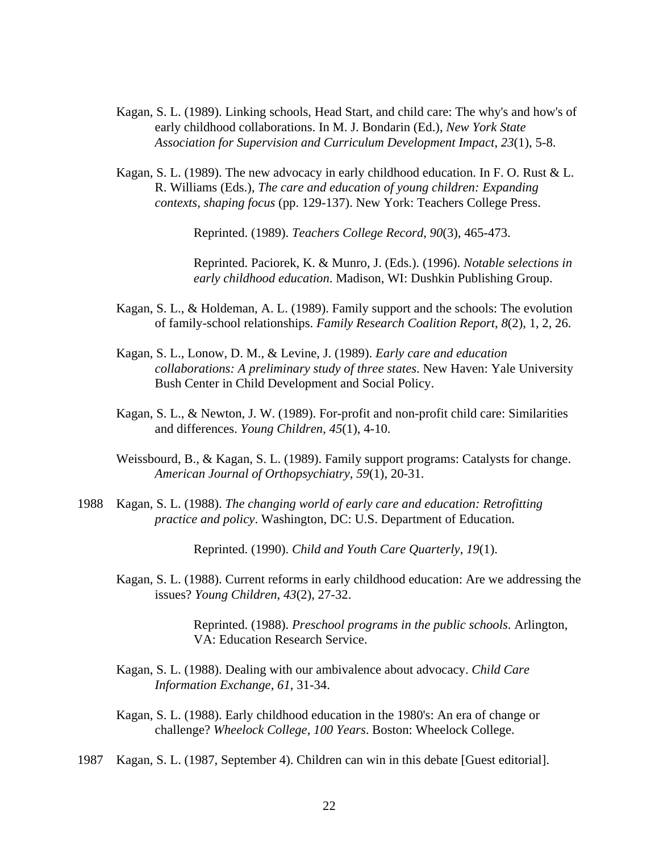- Kagan, S. L. (1989). Linking schools, Head Start, and child care: The why's and how's of early childhood collaborations. In M. J. Bondarin (Ed.), *New York State Association for Supervision and Curriculum Development Impact*, *23*(1), 5-8.
- Kagan, S. L. (1989). The new advocacy in early childhood education. In F. O. Rust & L. R. Williams (Eds.), *The care and education of young children: Expanding contexts, shaping focus* (pp. 129-137). New York: Teachers College Press.

Reprinted. (1989). *Teachers College Record*, *90*(3), 465-473.

Reprinted. Paciorek, K. & Munro, J. (Eds.). (1996). *Notable selections in early childhood education*. Madison, WI: Dushkin Publishing Group.

- Kagan, S. L., & Holdeman, A. L. (1989). Family support and the schools: The evolution of family-school relationships. *Family Research Coalition Report*, *8*(2), 1, 2, 26.
- Kagan, S. L., Lonow, D. M., & Levine, J. (1989). *Early care and education collaborations: A preliminary study of three states*. New Haven: Yale University Bush Center in Child Development and Social Policy.
- Kagan, S. L., & Newton, J. W. (1989). For-profit and non-profit child care: Similarities and differences. *Young Children*, *45*(1), 4-10.
- Weissbourd, B., & Kagan, S. L. (1989). Family support programs: Catalysts for change. *American Journal of Orthopsychiatry*, *59*(1), 20-31.
- 1988 Kagan, S. L. (1988). *The changing world of early care and education: Retrofitting practice and policy*. Washington, DC: U.S. Department of Education.

Reprinted. (1990). *Child and Youth Care Quarterly*, *19*(1).

Kagan, S. L. (1988). Current reforms in early childhood education: Are we addressing the issues? *Young Children*, *43*(2), 27-32.

> Reprinted. (1988). *Preschool programs in the public schools*. Arlington, VA: Education Research Service.

- Kagan, S. L. (1988). Dealing with our ambivalence about advocacy. *Child Care Information Exchange*, *61*, 31-34.
- Kagan, S. L. (1988). Early childhood education in the 1980's: An era of change or challenge? *Wheelock College, 100 Years*. Boston: Wheelock College.

1987 Kagan, S. L. (1987, September 4). Children can win in this debate [Guest editorial].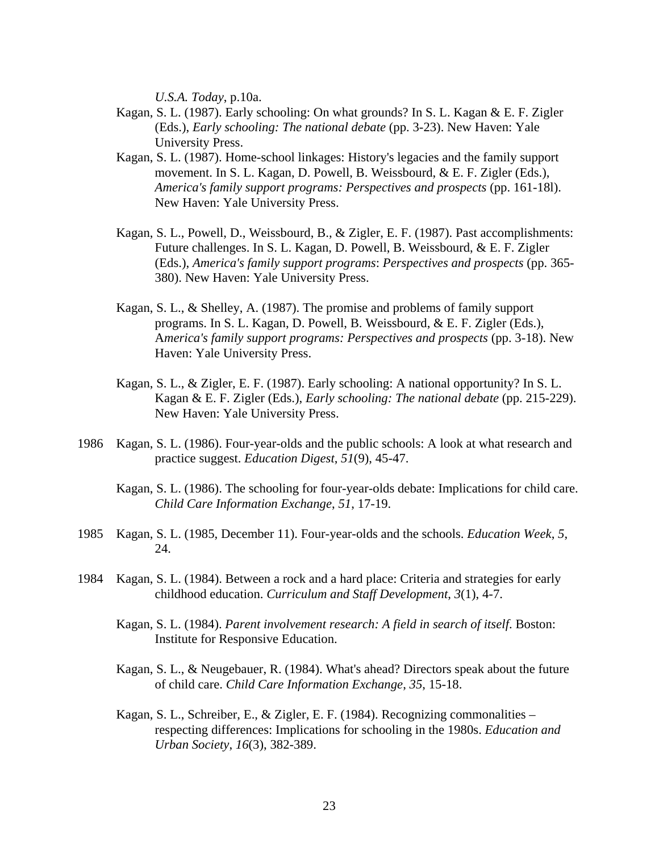*U.S.A. Today*, p.10a.

- Kagan, S. L. (1987). Early schooling: On what grounds? In S. L. Kagan & E. F. Zigler (Eds.), *Early schooling: The national debate* (pp. 3-23). New Haven: Yale University Press.
- Kagan, S. L. (1987). Home-school linkages: History's legacies and the family support movement. In S. L. Kagan, D. Powell, B. Weissbourd, & E. F. Zigler (Eds.), *America's family support programs: Perspectives and prospects* (pp. 161-18l). New Haven: Yale University Press.
- Kagan, S. L., Powell, D., Weissbourd, B., & Zigler, E. F. (1987). Past accomplishments: Future challenges. In S. L. Kagan, D. Powell, B. Weissbourd, & E. F. Zigler (Eds.), *America's family support programs*: *Perspectives and prospects* (pp. 365- 380). New Haven: Yale University Press.
- Kagan, S. L., & Shelley, A. (1987). The promise and problems of family support programs. In S. L. Kagan, D. Powell, B. Weissbourd, & E. F. Zigler (Eds.), A*merica's family support programs: Perspectives and prospects* (pp. 3-18). New Haven: Yale University Press.
- Kagan, S. L., & Zigler, E. F. (1987). Early schooling: A national opportunity? In S. L. Kagan & E. F. Zigler (Eds.), *Early schooling: The national debate* (pp. 215-229). New Haven: Yale University Press.
- 1986 Kagan, S. L. (1986). Four-year-olds and the public schools: A look at what research and practice suggest. *Education Digest*, *51*(9), 45-47.
	- Kagan, S. L. (1986). The schooling for four-year-olds debate: Implications for child care. *Child Care Information Exchange*, *51*, 17-19.
- 1985 Kagan, S. L. (1985, December 11). Four-year-olds and the schools. *Education Week*, *5*, 24.
- 1984 Kagan, S. L. (1984). Between a rock and a hard place: Criteria and strategies for early childhood education. *Curriculum and Staff Development*, *3*(1), 4-7.
	- Kagan, S. L. (1984). *Parent involvement research: A field in search of itself*. Boston: Institute for Responsive Education.
	- Kagan, S. L., & Neugebauer, R. (1984). What's ahead? Directors speak about the future of child care. *Child Care Information Exchange*, *35*, 15-18.
	- Kagan, S. L., Schreiber, E., & Zigler, E. F. (1984). Recognizing commonalities respecting differences: Implications for schooling in the 1980s. *Education and Urban Society*, *16*(3), 382-389.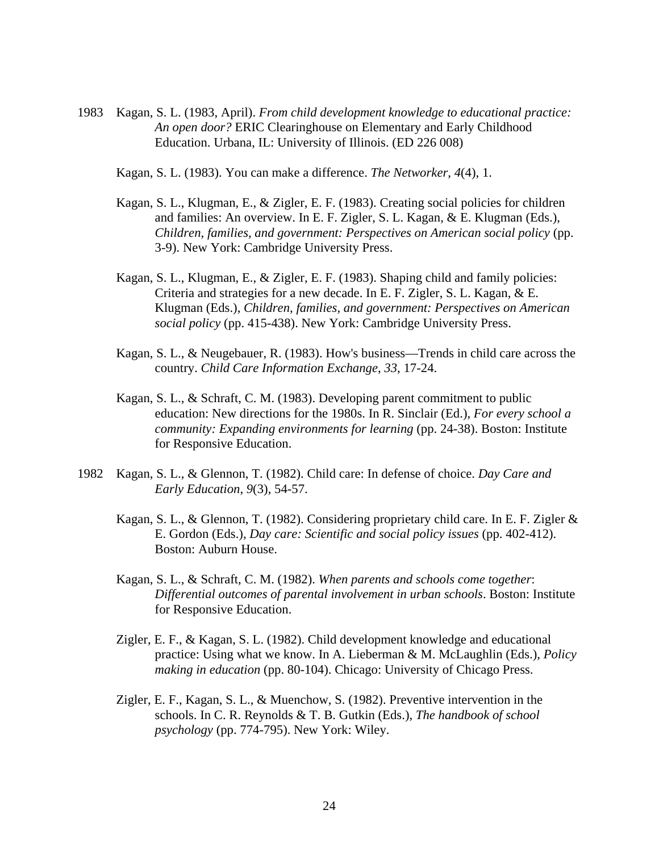1983 Kagan, S. L. (1983, April). *From child development knowledge to educational practice: An open door?* ERIC Clearinghouse on Elementary and Early Childhood Education. Urbana, IL: University of Illinois. (ED 226 008)

Kagan, S. L. (1983). You can make a difference. *The Networker*, *4*(4), 1.

- Kagan, S. L., Klugman, E., & Zigler, E. F. (1983). Creating social policies for children and families: An overview. In E. F. Zigler, S. L. Kagan, & E. Klugman (Eds.), *Children, families, and government: Perspectives on American social policy* (pp. 3-9). New York: Cambridge University Press.
- Kagan, S. L., Klugman, E., & Zigler, E. F. (1983). Shaping child and family policies: Criteria and strategies for a new decade. In E. F. Zigler, S. L. Kagan, & E. Klugman (Eds.), *Children, families, and government: Perspectives on American social policy* (pp. 415-438). New York: Cambridge University Press.
- Kagan, S. L., & Neugebauer, R. (1983). How's business—Trends in child care across the country. *Child Care Information Exchange*, *33*, 17-24.
- Kagan, S. L., & Schraft, C. M. (1983). Developing parent commitment to public education: New directions for the 1980s. In R. Sinclair (Ed.), *For every school a community: Expanding environments for learning* (pp. 24-38). Boston: Institute for Responsive Education.
- 1982 Kagan, S. L., & Glennon, T. (1982). Child care: In defense of choice. *Day Care and Early Education*, *9*(3), 54-57.
	- Kagan, S. L., & Glennon, T. (1982). Considering proprietary child care. In E. F. Zigler & E. Gordon (Eds.), *Day care: Scientific and social policy issues* (pp. 402-412). Boston: Auburn House.
	- Kagan, S. L., & Schraft, C. M. (1982). *When parents and schools come together*: *Differential outcomes of parental involvement in urban schools*. Boston: Institute for Responsive Education.
	- Zigler, E. F., & Kagan, S. L. (1982). Child development knowledge and educational practice: Using what we know. In A. Lieberman & M. McLaughlin (Eds.), *Policy making in education* (pp. 80-104). Chicago: University of Chicago Press.
	- Zigler, E. F., Kagan, S. L., & Muenchow, S. (1982). Preventive intervention in the schools. In C. R. Reynolds & T. B. Gutkin (Eds.), *The handbook of school psychology* (pp. 774-795). New York: Wiley.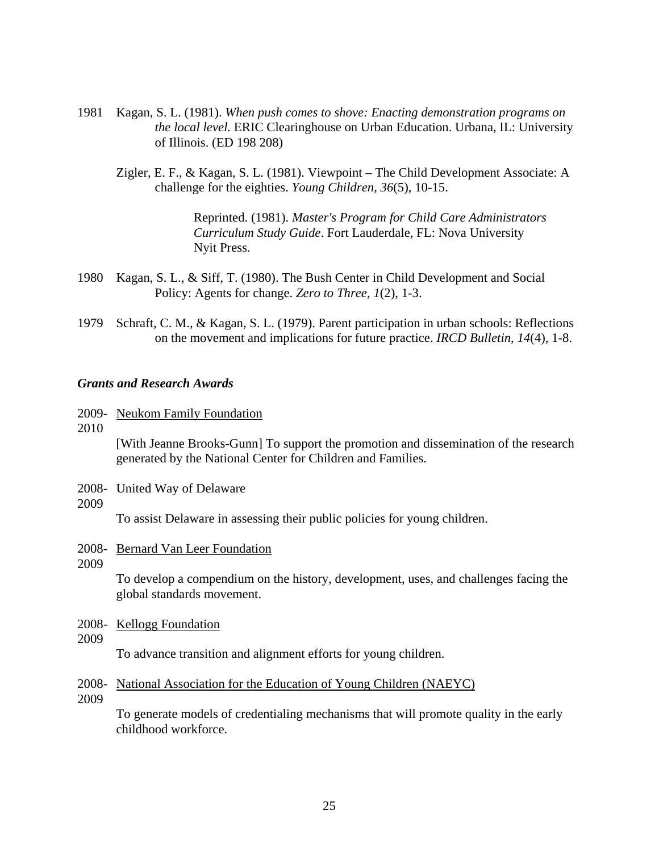- 1981 Kagan, S. L. (1981). *When push comes to shove: Enacting demonstration programs on the local level.* ERIC Clearinghouse on Urban Education. Urbana, IL: University of Illinois. (ED 198 208)
	- Zigler, E. F., & Kagan, S. L. (1981). Viewpoint The Child Development Associate: A challenge for the eighties. *Young Children*, *36*(5), 10-15.

Reprinted. (1981). *Master's Program for Child Care Administrators Curriculum Study Guide*. Fort Lauderdale, FL: Nova University Nyit Press.

- 1980 Kagan, S. L., & Siff, T. (1980). The Bush Center in Child Development and Social Policy: Agents for change. *Zero to Three*, *1*(2), 1-3.
- 1979 Schraft, C. M., & Kagan, S. L. (1979). Parent participation in urban schools: Reflections on the movement and implications for future practice. *IRCD Bulletin*, *14*(4), 1-8.

#### *Grants and Research Awards*

- 2009- Neukom Family Foundation
- 2010

 [With Jeanne Brooks-Gunn] To support the promotion and dissemination of the research generated by the National Center for Children and Families.

- 2008- United Way of Delaware
- 2009

To assist Delaware in assessing their public policies for young children.

- 2008- Bernard Van Leer Foundation
- 2009

 To develop a compendium on the history, development, uses, and challenges facing the global standards movement.

- 2008- Kellogg Foundation
- 2009

To advance transition and alignment efforts for young children.

- 2008- National Association for the Education of Young Children (NAEYC)
- 2009

 To generate models of credentialing mechanisms that will promote quality in the early childhood workforce.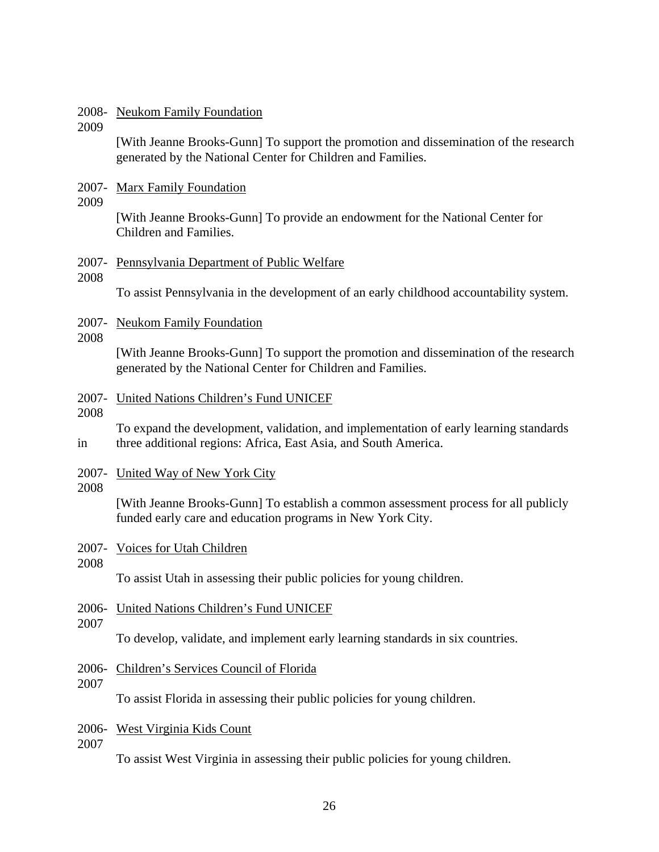#### 2008- Neukom Family Foundation

2009

 [With Jeanne Brooks-Gunn] To support the promotion and dissemination of the research generated by the National Center for Children and Families.

- 2007- Marx Family Foundation
- 2009

 [With Jeanne Brooks-Gunn] To provide an endowment for the National Center for Children and Families.

### 2007- Pennsylvania Department of Public Welfare

### 2008

To assist Pennsylvania in the development of an early childhood accountability system.

- 2007- Neukom Family Foundation
- 2008

 [With Jeanne Brooks-Gunn] To support the promotion and dissemination of the research generated by the National Center for Children and Families.

#### 2007- United Nations Children's Fund UNICEF

2008

 To expand the development, validation, and implementation of early learning standards in three additional regions: Africa, East Asia, and South America.

2007- United Way of New York City

#### 2008

 [With Jeanne Brooks-Gunn] To establish a common assessment process for all publicly funded early care and education programs in New York City.

- 2007- Voices for Utah Children
- 2008

To assist Utah in assessing their public policies for young children.

- 2006- United Nations Children's Fund UNICEF
- 2007

To develop, validate, and implement early learning standards in six countries.

- 2006- Children's Services Council of Florida
- 2007

To assist Florida in assessing their public policies for young children.

#### 2006- West Virginia Kids Count

2007

To assist West Virginia in assessing their public policies for young children.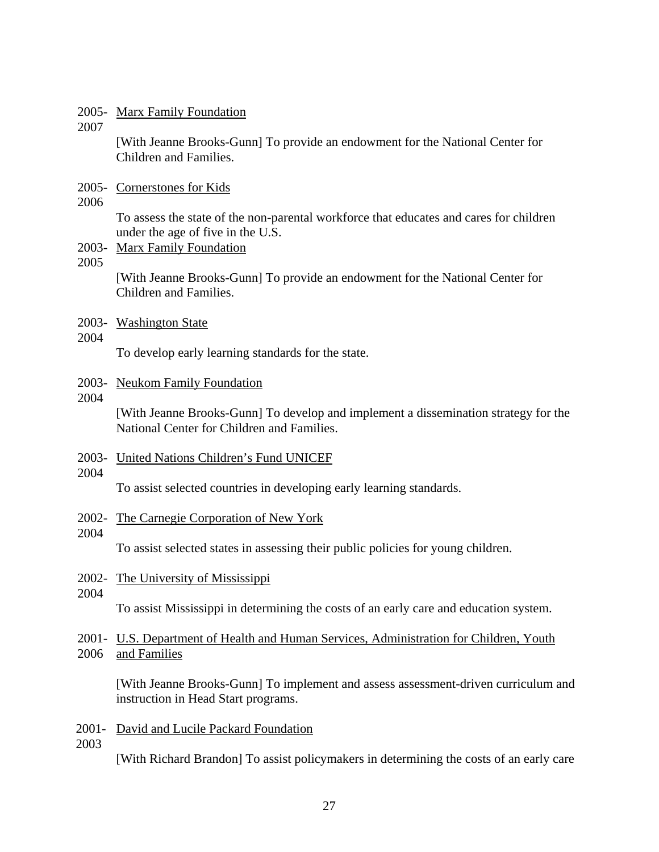#### 2005- Marx Family Foundation

2007

 [With Jeanne Brooks-Gunn] To provide an endowment for the National Center for Children and Families.

- 2005- Cornerstones for Kids
- 2006

To assess the state of the non-parental workforce that educates and cares for children under the age of five in the U.S.

- 2003- Marx Family Foundation
- 2005

[With Jeanne Brooks-Gunn] To provide an endowment for the National Center for Children and Families.

2003- Washington State

#### 2004

To develop early learning standards for the state.

#### 2003- Neukom Family Foundation

2004

[With Jeanne Brooks-Gunn] To develop and implement a dissemination strategy for the National Center for Children and Families.

2003- United Nations Children's Fund UNICEF

#### 2004

To assist selected countries in developing early learning standards.

2002- The Carnegie Corporation of New York

#### 2004

To assist selected states in assessing their public policies for young children.

- 2002- The University of Mississippi
- 2004

To assist Mississippi in determining the costs of an early care and education system.

2001- U.S. Department of Health and Human Services, Administration for Children, Youth 2006 and Families

[With Jeanne Brooks-Gunn] To implement and assess assessment-driven curriculum and instruction in Head Start programs.

2001- David and Lucile Packard Foundation

2003

[With Richard Brandon] To assist policymakers in determining the costs of an early care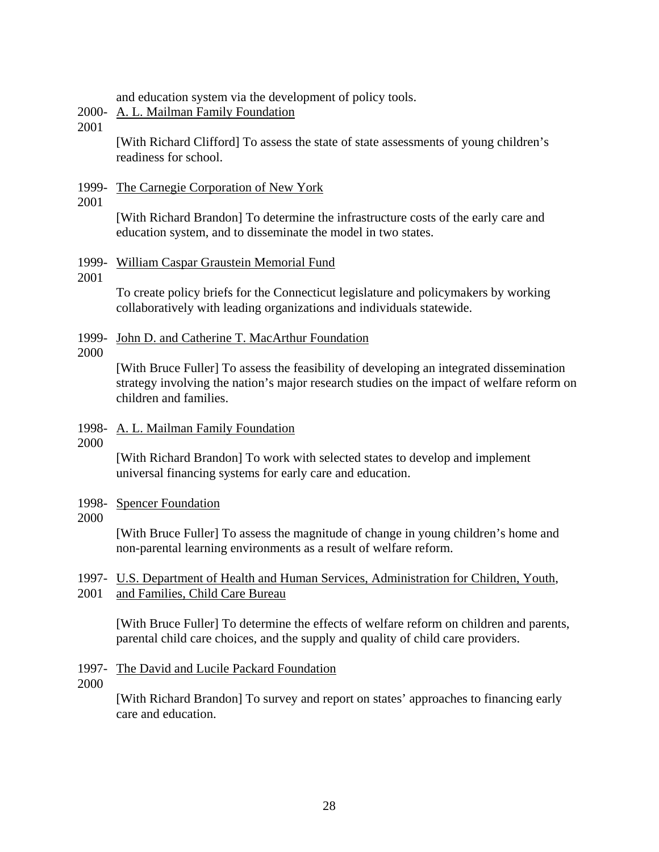and education system via the development of policy tools.

## 2000- A. L. Mailman Family Foundation

2001

[With Richard Clifford] To assess the state of state assessments of young children's readiness for school.

### 1999- The Carnegie Corporation of New York

#### 2001

[With Richard Brandon] To determine the infrastructure costs of the early care and education system, and to disseminate the model in two states.

### 1999- William Caspar Graustein Memorial Fund

### 2001

To create policy briefs for the Connecticut legislature and policymakers by working collaboratively with leading organizations and individuals statewide.

### 1999- John D. and Catherine T. MacArthur Foundation

2000

[With Bruce Fuller] To assess the feasibility of developing an integrated dissemination strategy involving the nation's major research studies on the impact of welfare reform on children and families.

### 1998- A. L. Mailman Family Foundation

2000

[With Richard Brandon] To work with selected states to develop and implement universal financing systems for early care and education.

- 1998- Spencer Foundation
- 2000

[With Bruce Fuller] To assess the magnitude of change in young children's home and non-parental learning environments as a result of welfare reform.

## 1997- U.S. Department of Health and Human Services, Administration for Children, Youth, 2001 and Families, Child Care Bureau

[With Bruce Fuller] To determine the effects of welfare reform on children and parents, parental child care choices, and the supply and quality of child care providers.

- 1997- The David and Lucile Packard Foundation
- 2000

[With Richard Brandon] To survey and report on states' approaches to financing early care and education.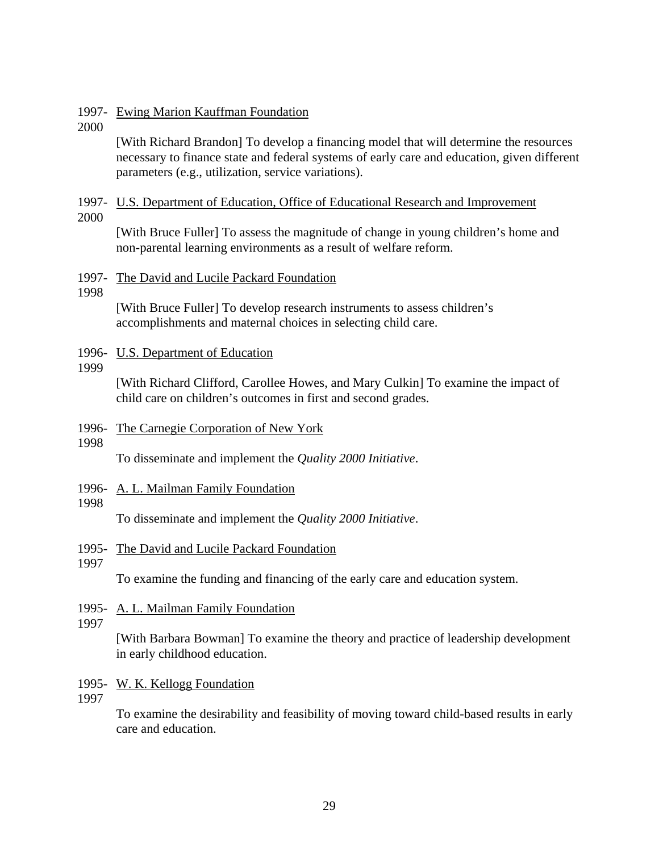#### 1997- Ewing Marion Kauffman Foundation

2000

[With Richard Brandon] To develop a financing model that will determine the resources necessary to finance state and federal systems of early care and education, given different parameters (e.g., utilization, service variations).

### 1997- U.S. Department of Education, Office of Educational Research and Improvement

2000

[With Bruce Fuller] To assess the magnitude of change in young children's home and non-parental learning environments as a result of welfare reform.

#### 1997- The David and Lucile Packard Foundation

1998

[With Bruce Fuller] To develop research instruments to assess children's accomplishments and maternal choices in selecting child care.

### 1996- U.S. Department of Education

1999

[With Richard Clifford, Carollee Howes, and Mary Culkin] To examine the impact of child care on children's outcomes in first and second grades.

- 1996- The Carnegie Corporation of New York
- 1998

To disseminate and implement the *Quality 2000 Initiative*.

1996- A. L. Mailman Family Foundation

#### 1998

To disseminate and implement the *Quality 2000 Initiative*.

- 1995- The David and Lucile Packard Foundation
- 1997

To examine the funding and financing of the early care and education system.

- 1995- A. L. Mailman Family Foundation
- 1997

[With Barbara Bowman] To examine the theory and practice of leadership development in early childhood education.

- 1995- W. K. Kellogg Foundation
- 1997

To examine the desirability and feasibility of moving toward child-based results in early care and education.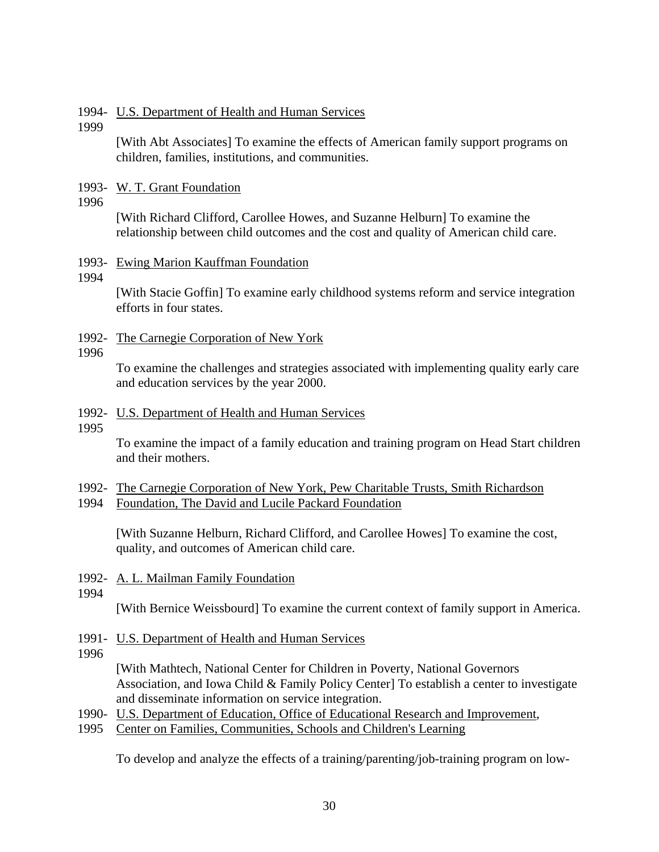### 1994- U.S. Department of Health and Human Services

1999

[With Abt Associates] To examine the effects of American family support programs on children, families, institutions, and communities.

1993- W. T. Grant Foundation

1996

[With Richard Clifford, Carollee Howes, and Suzanne Helburn] To examine the relationship between child outcomes and the cost and quality of American child care.

- 1993- Ewing Marion Kauffman Foundation
- 1994

[With Stacie Goffin] To examine early childhood systems reform and service integration efforts in four states.

1992- The Carnegie Corporation of New York

## 1996

To examine the challenges and strategies associated with implementing quality early care and education services by the year 2000.

### 1992- U.S. Department of Health and Human Services

1995

To examine the impact of a family education and training program on Head Start children and their mothers.

- 1992- The Carnegie Corporation of New York, Pew Charitable Trusts, Smith Richardson
- 1994 Foundation, The David and Lucile Packard Foundation

[With Suzanne Helburn, Richard Clifford, and Carollee Howes] To examine the cost, quality, and outcomes of American child care.

- 1992- A. L. Mailman Family Foundation
- 1994

[With Bernice Weissbourd] To examine the current context of family support in America.

- 1991- U.S. Department of Health and Human Services
- 1996

[With Mathtech, National Center for Children in Poverty, National Governors Association, and Iowa Child & Family Policy Center] To establish a center to investigate and disseminate information on service integration.

- 1990- U.S. Department of Education, Office of Educational Research and Improvement,
- 1995 Center on Families, Communities, Schools and Children's Learning

To develop and analyze the effects of a training/parenting/job-training program on low-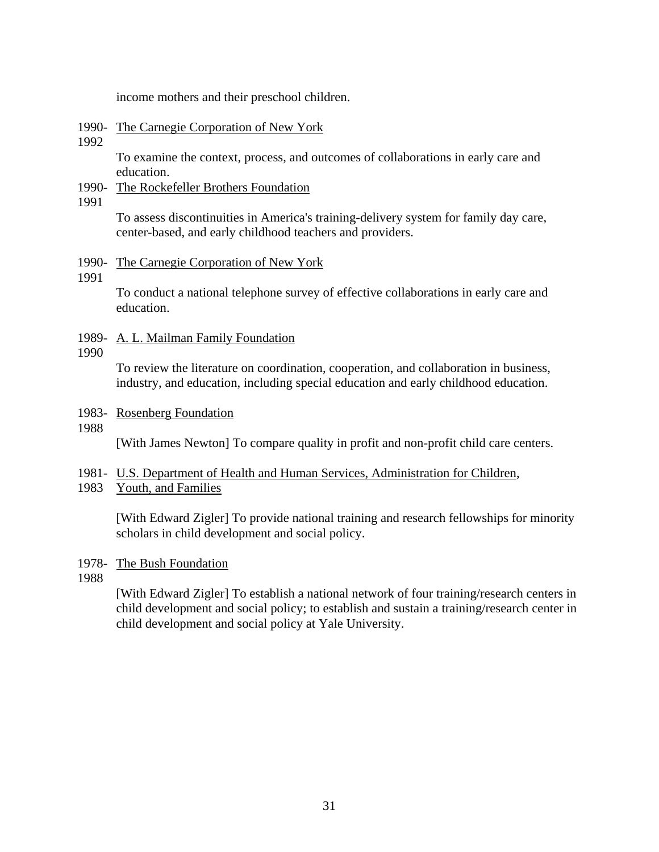income mothers and their preschool children.

### 1990- The Carnegie Corporation of New York

1992

To examine the context, process, and outcomes of collaborations in early care and education.

1990- The Rockefeller Brothers Foundation

1991

To assess discontinuities in America's training-delivery system for family day care, center-based, and early childhood teachers and providers.

### 1990- The Carnegie Corporation of New York

1991

To conduct a national telephone survey of effective collaborations in early care and education.

1989- A. L. Mailman Family Foundation

#### 1990

To review the literature on coordination, cooperation, and collaboration in business, industry, and education, including special education and early childhood education.

1983- Rosenberg Foundation

#### 1988

[With James Newton] To compare quality in profit and non-profit child care centers.

- 1981- U.S. Department of Health and Human Services, Administration for Children,
- 1983 Youth, and Families

[With Edward Zigler] To provide national training and research fellowships for minority scholars in child development and social policy.

## 1978- The Bush Foundation

1988

[With Edward Zigler] To establish a national network of four training/research centers in child development and social policy; to establish and sustain a training/research center in child development and social policy at Yale University.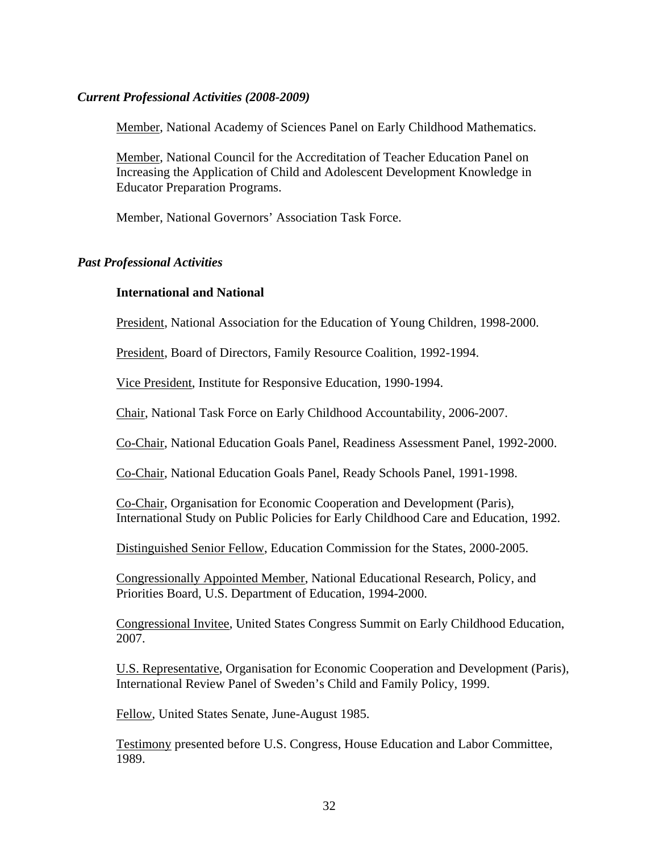### *Current Professional Activities (2008-2009)*

Member, National Academy of Sciences Panel on Early Childhood Mathematics.

Member, National Council for the Accreditation of Teacher Education Panel on Increasing the Application of Child and Adolescent Development Knowledge in Educator Preparation Programs.

Member, National Governors' Association Task Force.

## *Past Professional Activities*

## **International and National**

President, National Association for the Education of Young Children, 1998-2000.

President, Board of Directors, Family Resource Coalition, 1992-1994.

Vice President, Institute for Responsive Education, 1990-1994.

Chair, National Task Force on Early Childhood Accountability, 2006-2007.

Co-Chair, National Education Goals Panel, Readiness Assessment Panel, 1992-2000.

Co-Chair, National Education Goals Panel, Ready Schools Panel, 1991-1998.

Co-Chair, Organisation for Economic Cooperation and Development (Paris), International Study on Public Policies for Early Childhood Care and Education, 1992.

Distinguished Senior Fellow, Education Commission for the States, 2000-2005.

Congressionally Appointed Member, National Educational Research, Policy, and Priorities Board, U.S. Department of Education, 1994-2000.

Congressional Invitee, United States Congress Summit on Early Childhood Education, 2007.

U.S. Representative, Organisation for Economic Cooperation and Development (Paris), International Review Panel of Sweden's Child and Family Policy, 1999.

Fellow, United States Senate, June-August 1985.

Testimony presented before U.S. Congress, House Education and Labor Committee, 1989.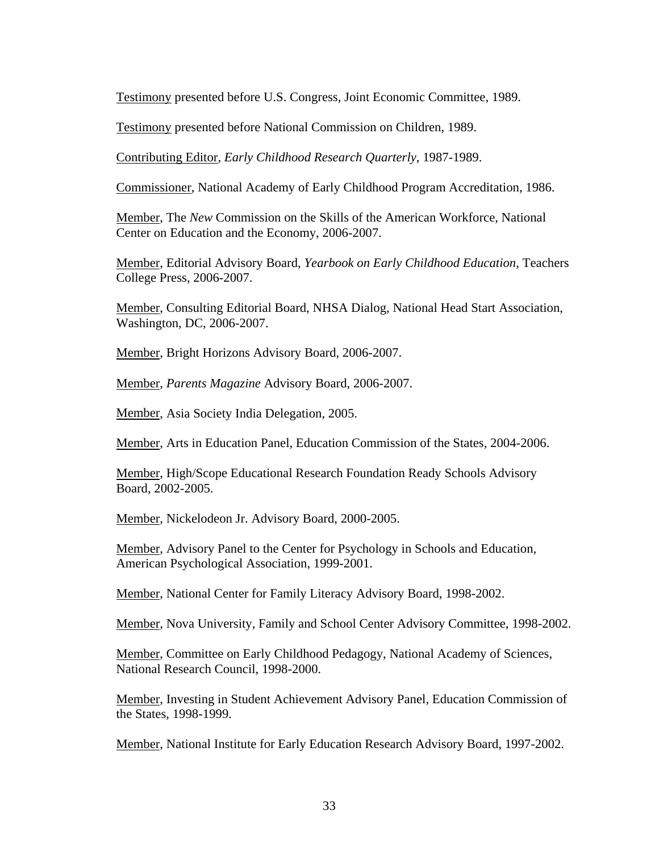Testimony presented before U.S. Congress, Joint Economic Committee, 1989.

Testimony presented before National Commission on Children, 1989.

Contributing Editor, *Early Childhood Research Quarterly*, 1987-1989.

Commissioner, National Academy of Early Childhood Program Accreditation, 1986.

Member, The *New* Commission on the Skills of the American Workforce, National Center on Education and the Economy, 2006-2007.

Member, Editorial Advisory Board, *Yearbook on Early Childhood Education*, Teachers College Press, 2006-2007.

 Member, Consulting Editorial Board, NHSA Dialog, National Head Start Association, Washington, DC, 2006-2007.

Member, Bright Horizons Advisory Board, 2006-2007.

Member, *Parents Magazine* Advisory Board, 2006-2007.

Member, Asia Society India Delegation, 2005.

Member, Arts in Education Panel, Education Commission of the States, 2004-2006.

Member, High/Scope Educational Research Foundation Ready Schools Advisory Board, 2002-2005.

Member, Nickelodeon Jr. Advisory Board, 2000-2005.

Member, Advisory Panel to the Center for Psychology in Schools and Education, American Psychological Association, 1999-2001.

Member, National Center for Family Literacy Advisory Board, 1998-2002.

Member, Nova University, Family and School Center Advisory Committee, 1998-2002.

Member, Committee on Early Childhood Pedagogy, National Academy of Sciences, National Research Council, 1998-2000.

Member, Investing in Student Achievement Advisory Panel, Education Commission of the States, 1998-1999.

Member, National Institute for Early Education Research Advisory Board, 1997-2002.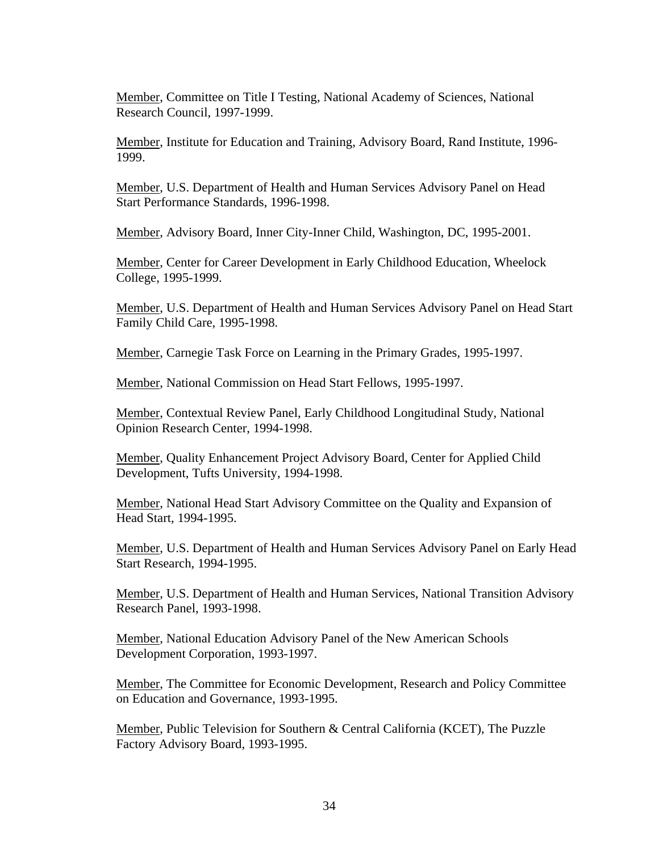Member, Committee on Title I Testing, National Academy of Sciences, National Research Council, 1997-1999.

Member, Institute for Education and Training, Advisory Board, Rand Institute, 1996- 1999.

Member, U.S. Department of Health and Human Services Advisory Panel on Head Start Performance Standards, 1996-1998.

Member, Advisory Board, Inner City-Inner Child, Washington, DC, 1995-2001.

Member, Center for Career Development in Early Childhood Education, Wheelock College, 1995-1999.

Member, U.S. Department of Health and Human Services Advisory Panel on Head Start Family Child Care, 1995-1998.

Member, Carnegie Task Force on Learning in the Primary Grades, 1995-1997.

Member, National Commission on Head Start Fellows, 1995-1997.

Member, Contextual Review Panel, Early Childhood Longitudinal Study, National Opinion Research Center, 1994-1998.

Member, Quality Enhancement Project Advisory Board, Center for Applied Child Development, Tufts University, 1994-1998.

Member, National Head Start Advisory Committee on the Quality and Expansion of Head Start, 1994-1995.

Member, U.S. Department of Health and Human Services Advisory Panel on Early Head Start Research, 1994-1995.

Member, U.S. Department of Health and Human Services, National Transition Advisory Research Panel, 1993-1998.

Member, National Education Advisory Panel of the New American Schools Development Corporation, 1993-1997.

Member, The Committee for Economic Development, Research and Policy Committee on Education and Governance, 1993-1995.

Member, Public Television for Southern & Central California (KCET), The Puzzle Factory Advisory Board, 1993-1995.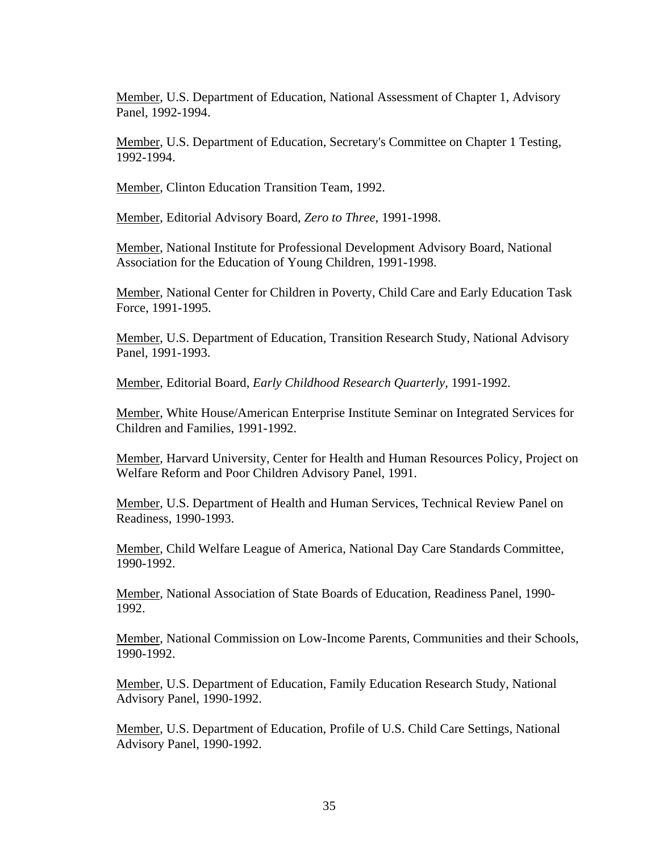Member, U.S. Department of Education, National Assessment of Chapter 1, Advisory Panel, 1992-1994.

Member, U.S. Department of Education, Secretary's Committee on Chapter 1 Testing, 1992-1994.

Member, Clinton Education Transition Team, 1992.

Member, Editorial Advisory Board, *Zero to Three*, 1991-1998.

Member, National Institute for Professional Development Advisory Board, National Association for the Education of Young Children, 1991-1998.

Member, National Center for Children in Poverty, Child Care and Early Education Task Force, 1991-1995.

Member, U.S. Department of Education, Transition Research Study, National Advisory Panel, 1991-1993.

Member, Editorial Board, *Early Childhood Research Quarterly*, 1991-1992.

Member, White House/American Enterprise Institute Seminar on Integrated Services for Children and Families, 1991-1992.

Member, Harvard University, Center for Health and Human Resources Policy, Project on Welfare Reform and Poor Children Advisory Panel, 1991.

Member, U.S. Department of Health and Human Services, Technical Review Panel on Readiness, 1990-1993.

Member, Child Welfare League of America, National Day Care Standards Committee, 1990-1992.

Member, National Association of State Boards of Education, Readiness Panel, 1990- 1992.

Member, National Commission on Low-Income Parents, Communities and their Schools, 1990-1992.

Member, U.S. Department of Education, Family Education Research Study, National Advisory Panel, 1990-1992.

Member, U.S. Department of Education, Profile of U.S. Child Care Settings, National Advisory Panel, 1990-1992.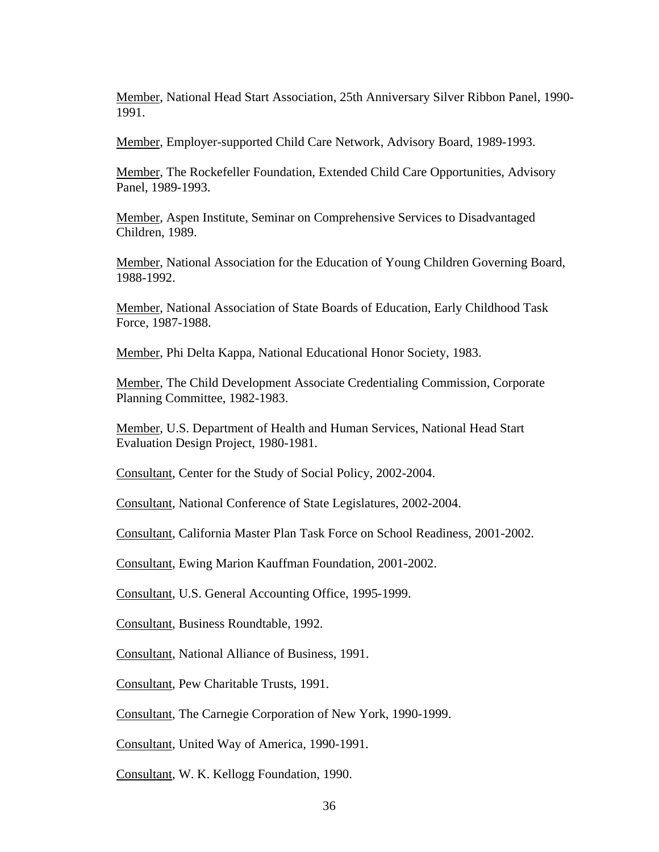Member, National Head Start Association, 25th Anniversary Silver Ribbon Panel, 1990- 1991.

Member, Employer-supported Child Care Network, Advisory Board, 1989-1993.

Member, The Rockefeller Foundation, Extended Child Care Opportunities, Advisory Panel, 1989-1993.

Member, Aspen Institute, Seminar on Comprehensive Services to Disadvantaged Children, 1989.

Member, National Association for the Education of Young Children Governing Board, 1988-1992.

Member, National Association of State Boards of Education, Early Childhood Task Force, 1987-1988.

Member, Phi Delta Kappa, National Educational Honor Society, 1983.

Member, The Child Development Associate Credentialing Commission, Corporate Planning Committee, 1982-1983.

Member, U.S. Department of Health and Human Services, National Head Start Evaluation Design Project, 1980-1981.

Consultant, Center for the Study of Social Policy, 2002-2004.

Consultant, National Conference of State Legislatures, 2002-2004.

Consultant, California Master Plan Task Force on School Readiness, 2001-2002.

Consultant, Ewing Marion Kauffman Foundation, 2001-2002.

Consultant, U.S. General Accounting Office, 1995-1999.

Consultant, Business Roundtable, 1992.

Consultant, National Alliance of Business, 1991.

Consultant, Pew Charitable Trusts, 1991.

Consultant, The Carnegie Corporation of New York, 1990-1999.

Consultant, United Way of America, 1990-1991.

Consultant, W. K. Kellogg Foundation, 1990.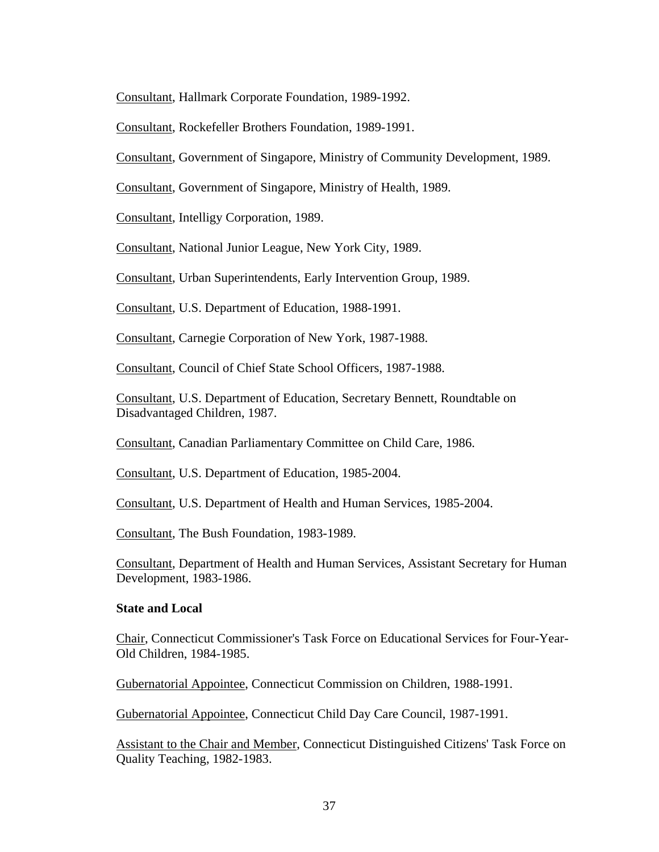Consultant, Hallmark Corporate Foundation, 1989-1992.

Consultant, Rockefeller Brothers Foundation, 1989-1991.

Consultant, Government of Singapore, Ministry of Community Development, 1989.

Consultant, Government of Singapore, Ministry of Health, 1989.

Consultant, Intelligy Corporation, 1989.

Consultant, National Junior League, New York City, 1989.

Consultant, Urban Superintendents, Early Intervention Group, 1989.

Consultant, U.S. Department of Education, 1988-1991.

Consultant, Carnegie Corporation of New York, 1987-1988.

Consultant, Council of Chief State School Officers, 1987-1988.

Consultant, U.S. Department of Education, Secretary Bennett, Roundtable on Disadvantaged Children, 1987.

Consultant, Canadian Parliamentary Committee on Child Care, 1986.

Consultant, U.S. Department of Education, 1985-2004.

Consultant, U.S. Department of Health and Human Services, 1985-2004.

Consultant, The Bush Foundation, 1983-1989.

Consultant, Department of Health and Human Services, Assistant Secretary for Human Development, 1983-1986.

### **State and Local**

Chair, Connecticut Commissioner's Task Force on Educational Services for Four-Year-Old Children, 1984-1985.

Gubernatorial Appointee, Connecticut Commission on Children, 1988-1991.

Gubernatorial Appointee, Connecticut Child Day Care Council, 1987-1991.

Assistant to the Chair and Member, Connecticut Distinguished Citizens' Task Force on Quality Teaching, 1982-1983.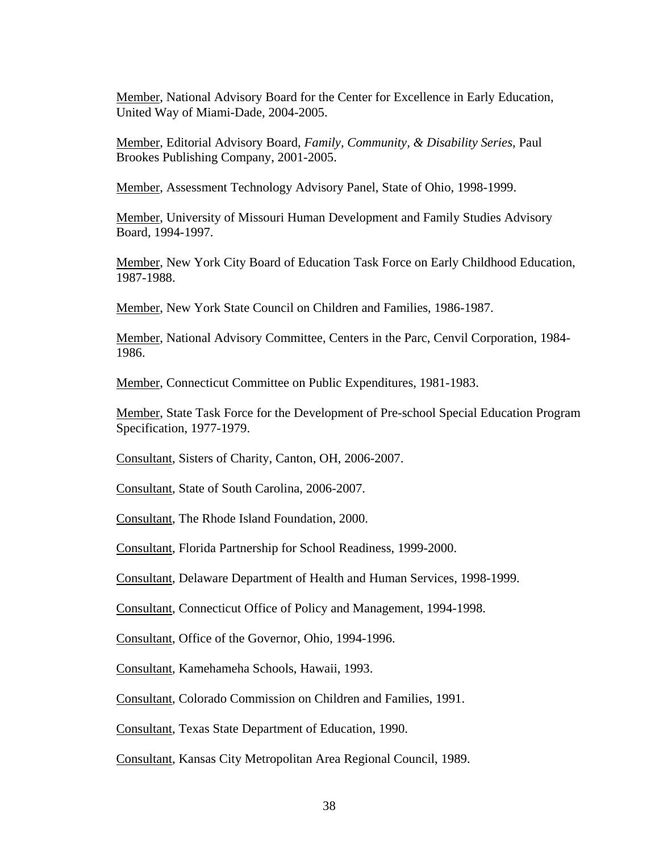Member, National Advisory Board for the Center for Excellence in Early Education, United Way of Miami-Dade, 2004-2005.

Member, Editorial Advisory Board, *Family, Community, & Disability Series*, Paul Brookes Publishing Company, 2001-2005.

Member, Assessment Technology Advisory Panel, State of Ohio, 1998-1999.

Member, University of Missouri Human Development and Family Studies Advisory Board, 1994-1997.

Member, New York City Board of Education Task Force on Early Childhood Education, 1987-1988.

Member, New York State Council on Children and Families, 1986-1987.

Member, National Advisory Committee, Centers in the Parc, Cenvil Corporation, 1984- 1986.

Member, Connecticut Committee on Public Expenditures, 1981-1983.

Member, State Task Force for the Development of Pre-school Special Education Program Specification, 1977-1979.

Consultant, Sisters of Charity, Canton, OH, 2006-2007.

Consultant, State of South Carolina, 2006-2007.

Consultant, The Rhode Island Foundation, 2000.

Consultant, Florida Partnership for School Readiness, 1999-2000.

Consultant, Delaware Department of Health and Human Services, 1998-1999.

Consultant, Connecticut Office of Policy and Management, 1994-1998.

Consultant, Office of the Governor, Ohio, 1994-1996.

Consultant, Kamehameha Schools, Hawaii, 1993.

Consultant, Colorado Commission on Children and Families, 1991.

Consultant, Texas State Department of Education, 1990.

Consultant, Kansas City Metropolitan Area Regional Council, 1989.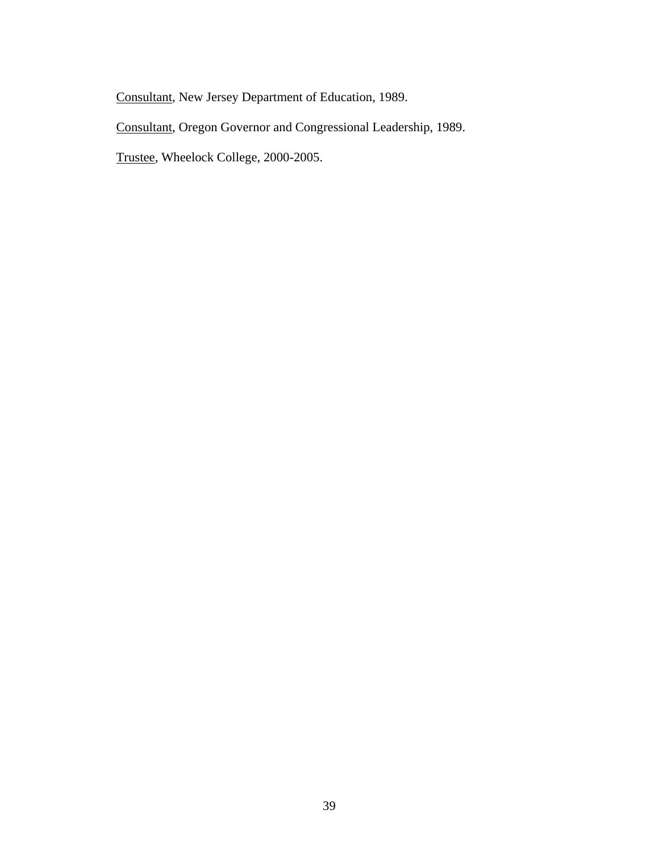Consultant, New Jersey Department of Education, 1989.

Consultant, Oregon Governor and Congressional Leadership, 1989.

Trustee, Wheelock College, 2000-2005.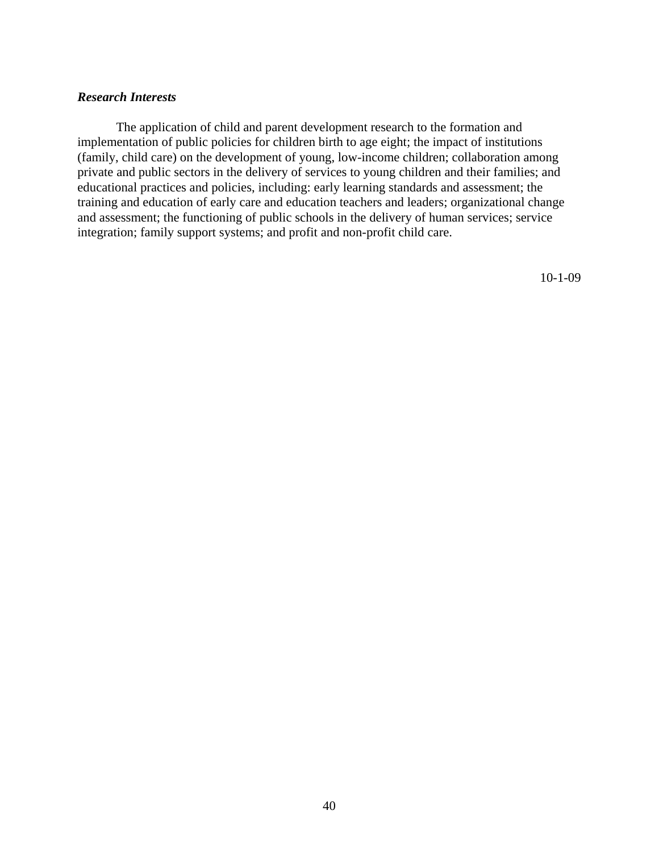## *Research Interests*

 The application of child and parent development research to the formation and implementation of public policies for children birth to age eight; the impact of institutions (family, child care) on the development of young, low-income children; collaboration among private and public sectors in the delivery of services to young children and their families; and educational practices and policies, including: early learning standards and assessment; the training and education of early care and education teachers and leaders; organizational change and assessment; the functioning of public schools in the delivery of human services; service integration; family support systems; and profit and non-profit child care.

10-1-09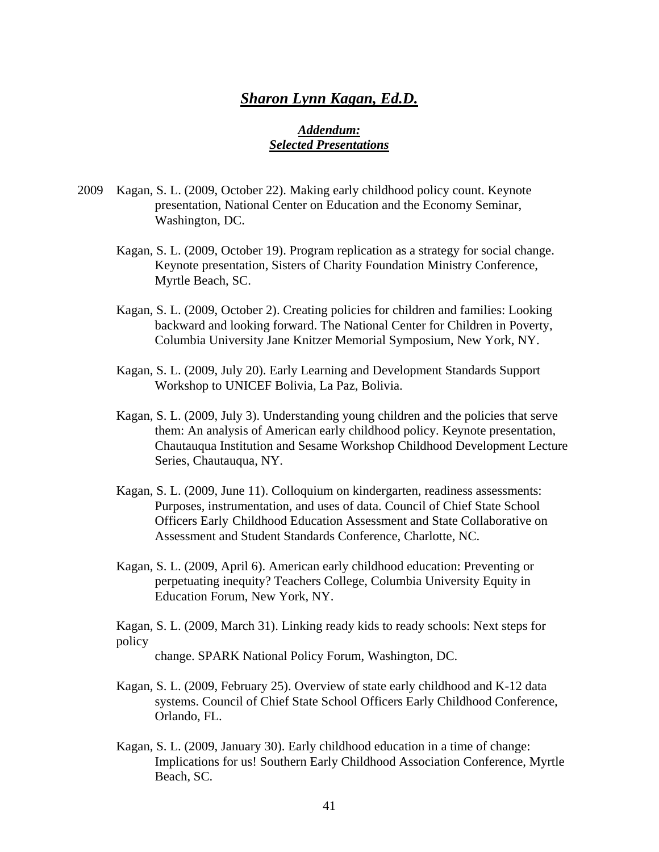# *Sharon Lynn Kagan, Ed.D.*

## *Addendum: Selected Presentations*

- 2009 Kagan, S. L. (2009, October 22). Making early childhood policy count. Keynote presentation, National Center on Education and the Economy Seminar, Washington, DC.
	- Kagan, S. L. (2009, October 19). Program replication as a strategy for social change. Keynote presentation, Sisters of Charity Foundation Ministry Conference, Myrtle Beach, SC.
	- Kagan, S. L. (2009, October 2). Creating policies for children and families: Looking backward and looking forward. The National Center for Children in Poverty, Columbia University Jane Knitzer Memorial Symposium, New York, NY.
	- Kagan, S. L. (2009, July 20). Early Learning and Development Standards Support Workshop to UNICEF Bolivia, La Paz, Bolivia.
	- Kagan, S. L. (2009, July 3). Understanding young children and the policies that serve them: An analysis of American early childhood policy. Keynote presentation, Chautauqua Institution and Sesame Workshop Childhood Development Lecture Series, Chautauqua, NY.
	- Kagan, S. L. (2009, June 11). Colloquium on kindergarten, readiness assessments: Purposes, instrumentation, and uses of data. Council of Chief State School Officers Early Childhood Education Assessment and State Collaborative on Assessment and Student Standards Conference, Charlotte, NC.
	- Kagan, S. L. (2009, April 6). American early childhood education: Preventing or perpetuating inequity? Teachers College, Columbia University Equity in Education Forum, New York, NY.

 Kagan, S. L. (2009, March 31). Linking ready kids to ready schools: Next steps for policy

change. SPARK National Policy Forum, Washington, DC.

- Kagan, S. L. (2009, February 25). Overview of state early childhood and K-12 data systems. Council of Chief State School Officers Early Childhood Conference, Orlando, FL.
- Kagan, S. L. (2009, January 30). Early childhood education in a time of change: Implications for us! Southern Early Childhood Association Conference, Myrtle Beach, SC.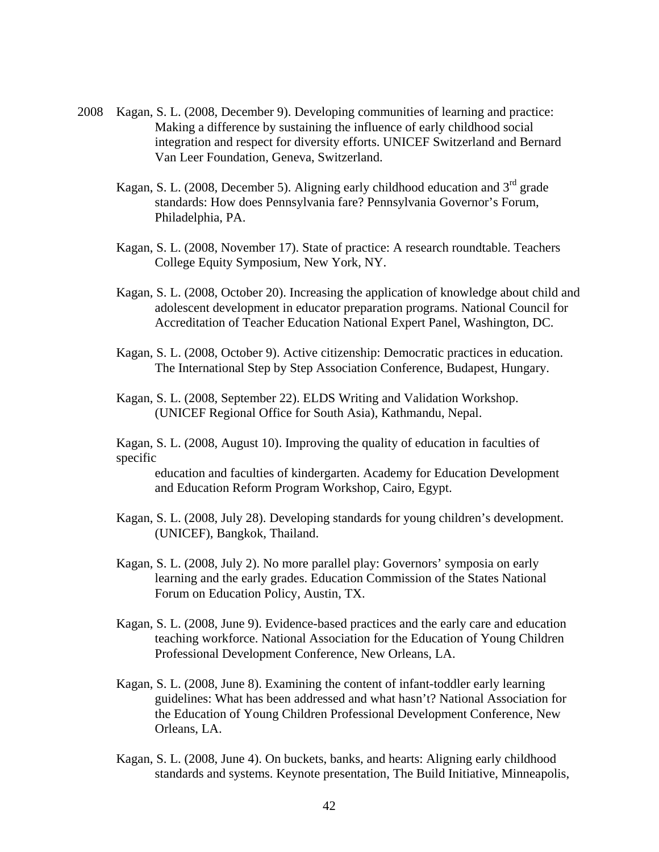- 2008 Kagan, S. L. (2008, December 9). Developing communities of learning and practice: Making a difference by sustaining the influence of early childhood social integration and respect for diversity efforts. UNICEF Switzerland and Bernard Van Leer Foundation, Geneva, Switzerland.
	- Kagan, S. L. (2008, December 5). Aligning early childhood education and  $3<sup>rd</sup>$  grade standards: How does Pennsylvania fare? Pennsylvania Governor's Forum, Philadelphia, PA.
	- Kagan, S. L. (2008, November 17). State of practice: A research roundtable. Teachers College Equity Symposium, New York, NY.
	- Kagan, S. L. (2008, October 20). Increasing the application of knowledge about child and adolescent development in educator preparation programs. National Council for Accreditation of Teacher Education National Expert Panel, Washington, DC.
	- Kagan, S. L. (2008, October 9). Active citizenship: Democratic practices in education. The International Step by Step Association Conference, Budapest, Hungary.
	- Kagan, S. L. (2008, September 22). ELDS Writing and Validation Workshop. (UNICEF Regional Office for South Asia), Kathmandu, Nepal.
	- Kagan, S. L. (2008, August 10). Improving the quality of education in faculties of specific

 education and faculties of kindergarten. Academy for Education Development and Education Reform Program Workshop, Cairo, Egypt.

- Kagan, S. L. (2008, July 28). Developing standards for young children's development. (UNICEF), Bangkok, Thailand.
- Kagan, S. L. (2008, July 2). No more parallel play: Governors' symposia on early learning and the early grades. Education Commission of the States National Forum on Education Policy, Austin, TX.
- Kagan, S. L. (2008, June 9). Evidence-based practices and the early care and education teaching workforce. National Association for the Education of Young Children Professional Development Conference, New Orleans, LA.
- Kagan, S. L. (2008, June 8). Examining the content of infant-toddler early learning guidelines: What has been addressed and what hasn't? National Association for the Education of Young Children Professional Development Conference, New Orleans, LA.
- Kagan, S. L. (2008, June 4). On buckets, banks, and hearts: Aligning early childhood standards and systems. Keynote presentation, The Build Initiative, Minneapolis,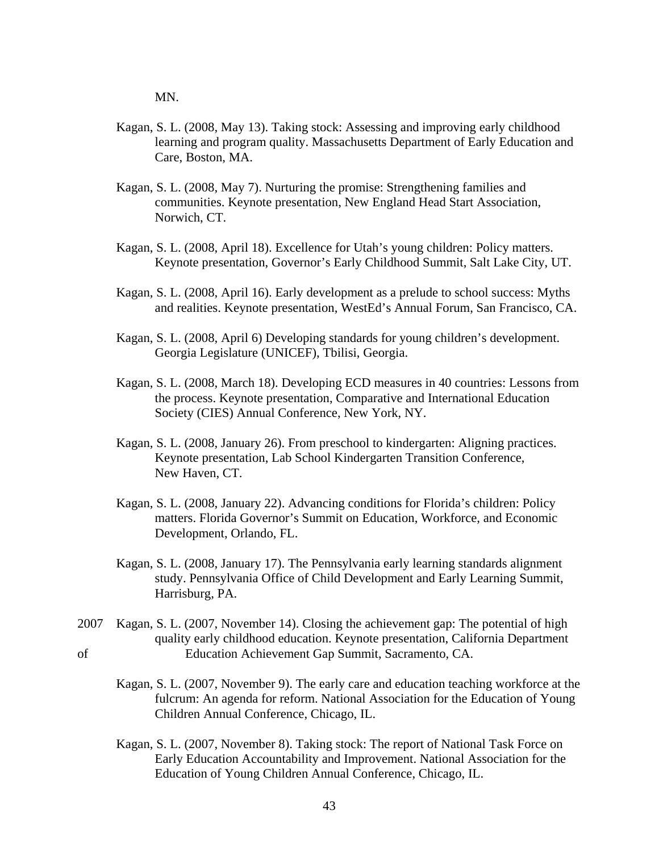MN.

- Kagan, S. L. (2008, May 13). Taking stock: Assessing and improving early childhood learning and program quality. Massachusetts Department of Early Education and Care, Boston, MA.
- Kagan, S. L. (2008, May 7). Nurturing the promise: Strengthening families and communities. Keynote presentation, New England Head Start Association, Norwich, CT.
- Kagan, S. L. (2008, April 18). Excellence for Utah's young children: Policy matters. Keynote presentation, Governor's Early Childhood Summit, Salt Lake City, UT.
- Kagan, S. L. (2008, April 16). Early development as a prelude to school success: Myths and realities. Keynote presentation, WestEd's Annual Forum, San Francisco, CA.
- Kagan, S. L. (2008, April 6) Developing standards for young children's development. Georgia Legislature (UNICEF), Tbilisi, Georgia.
- Kagan, S. L. (2008, March 18). Developing ECD measures in 40 countries: Lessons from the process. Keynote presentation, Comparative and International Education Society (CIES) Annual Conference, New York, NY.
- Kagan, S. L. (2008, January 26). From preschool to kindergarten: Aligning practices. Keynote presentation, Lab School Kindergarten Transition Conference, New Haven, CT.
- Kagan, S. L. (2008, January 22). Advancing conditions for Florida's children: Policy matters. Florida Governor's Summit on Education, Workforce, and Economic Development, Orlando, FL.
- Kagan, S. L. (2008, January 17). The Pennsylvania early learning standards alignment study. Pennsylvania Office of Child Development and Early Learning Summit, Harrisburg, PA.
- 2007 Kagan, S. L. (2007, November 14). Closing the achievement gap: The potential of high quality early childhood education. Keynote presentation, California Department of Education Achievement Gap Summit, Sacramento, CA.
	- Kagan, S. L. (2007, November 9). The early care and education teaching workforce at the fulcrum: An agenda for reform. National Association for the Education of Young Children Annual Conference, Chicago, IL.
	- Kagan, S. L. (2007, November 8). Taking stock: The report of National Task Force on Early Education Accountability and Improvement. National Association for the Education of Young Children Annual Conference, Chicago, IL.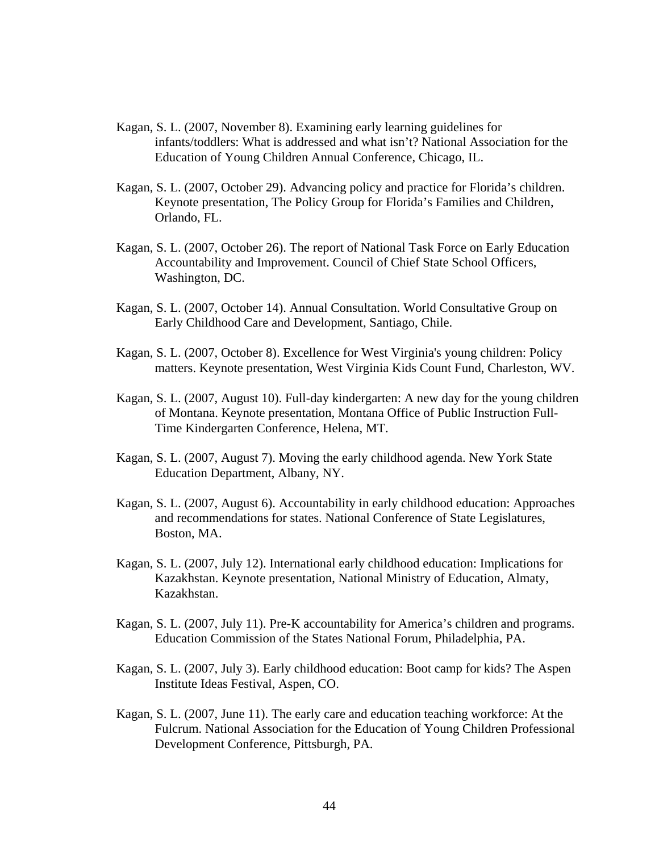- Kagan, S. L. (2007, November 8). Examining early learning guidelines for infants/toddlers: What is addressed and what isn't? National Association for the Education of Young Children Annual Conference, Chicago, IL.
- Kagan, S. L. (2007, October 29). Advancing policy and practice for Florida's children. Keynote presentation, The Policy Group for Florida's Families and Children, Orlando, FL.
- Kagan, S. L. (2007, October 26). The report of National Task Force on Early Education Accountability and Improvement. Council of Chief State School Officers, Washington, DC.
- Kagan, S. L. (2007, October 14). Annual Consultation. World Consultative Group on Early Childhood Care and Development, Santiago, Chile.
- Kagan, S. L. (2007, October 8). Excellence for West Virginia's young children: Policy matters. Keynote presentation, West Virginia Kids Count Fund, Charleston, WV.
- Kagan, S. L. (2007, August 10). Full-day kindergarten: A new day for the young children of Montana. Keynote presentation, Montana Office of Public Instruction Full-Time Kindergarten Conference, Helena, MT.
- Kagan, S. L. (2007, August 7). Moving the early childhood agenda. New York State Education Department, Albany, NY.
- Kagan, S. L. (2007, August 6). Accountability in early childhood education: Approaches and recommendations for states. National Conference of State Legislatures, Boston, MA.
- Kagan, S. L. (2007, July 12). International early childhood education: Implications for Kazakhstan. Keynote presentation, National Ministry of Education, Almaty, Kazakhstan.
- Kagan, S. L. (2007, July 11). Pre-K accountability for America's children and programs. Education Commission of the States National Forum, Philadelphia, PA.
- Kagan, S. L. (2007, July 3). Early childhood education: Boot camp for kids? The Aspen Institute Ideas Festival, Aspen, CO.
- Kagan, S. L. (2007, June 11). The early care and education teaching workforce: At the Fulcrum. National Association for the Education of Young Children Professional Development Conference, Pittsburgh, PA.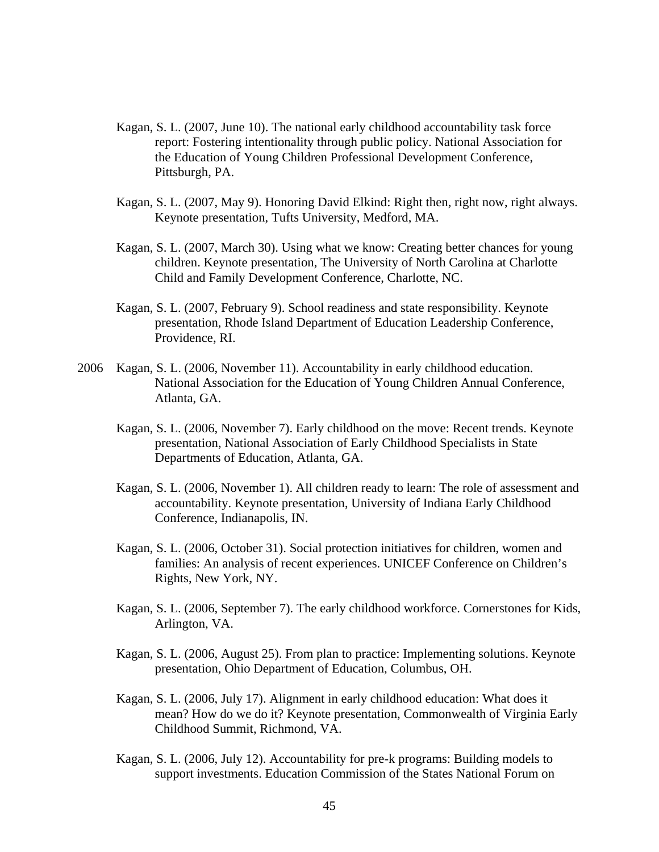- Kagan, S. L. (2007, June 10). The national early childhood accountability task force report: Fostering intentionality through public policy. National Association for the Education of Young Children Professional Development Conference, Pittsburgh, PA.
- Kagan, S. L. (2007, May 9). Honoring David Elkind: Right then, right now, right always. Keynote presentation, Tufts University, Medford, MA.
- Kagan, S. L. (2007, March 30). Using what we know: Creating better chances for young children. Keynote presentation, The University of North Carolina at Charlotte Child and Family Development Conference, Charlotte, NC.
- Kagan, S. L. (2007, February 9). School readiness and state responsibility. Keynote presentation, Rhode Island Department of Education Leadership Conference, Providence, RI.
- 2006 Kagan, S. L. (2006, November 11). Accountability in early childhood education. National Association for the Education of Young Children Annual Conference, Atlanta, GA.
	- Kagan, S. L. (2006, November 7). Early childhood on the move: Recent trends. Keynote presentation, National Association of Early Childhood Specialists in State Departments of Education, Atlanta, GA.
	- Kagan, S. L. (2006, November 1). All children ready to learn: The role of assessment and accountability. Keynote presentation, University of Indiana Early Childhood Conference, Indianapolis, IN.
	- Kagan, S. L. (2006, October 31). Social protection initiatives for children, women and families: An analysis of recent experiences. UNICEF Conference on Children's Rights, New York, NY.
	- Kagan, S. L. (2006, September 7). The early childhood workforce. Cornerstones for Kids, Arlington, VA.
	- Kagan, S. L. (2006, August 25). From plan to practice: Implementing solutions. Keynote presentation, Ohio Department of Education, Columbus, OH.
	- Kagan, S. L. (2006, July 17). Alignment in early childhood education: What does it mean? How do we do it? Keynote presentation, Commonwealth of Virginia Early Childhood Summit, Richmond, VA.
	- Kagan, S. L. (2006, July 12). Accountability for pre-k programs: Building models to support investments. Education Commission of the States National Forum on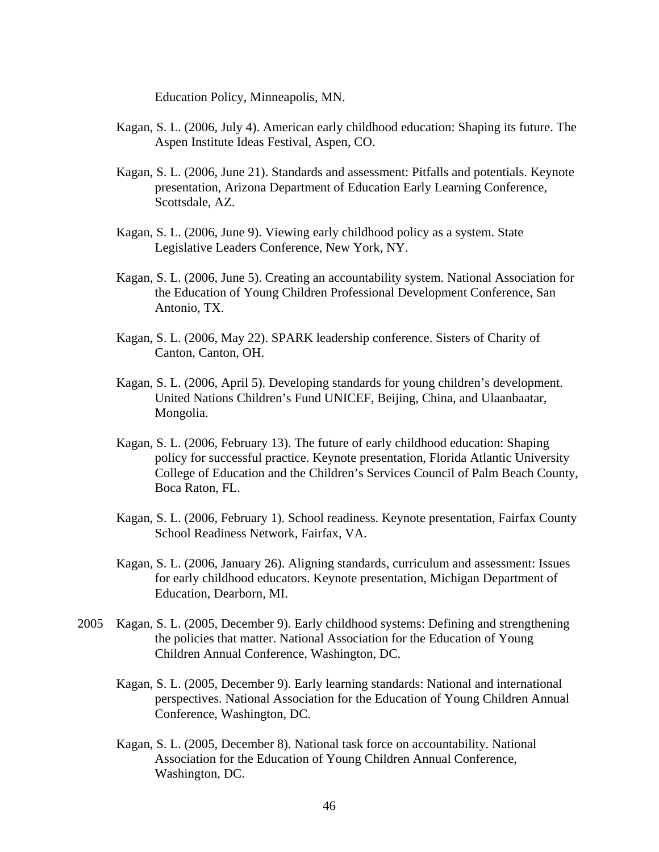Education Policy, Minneapolis, MN.

- Kagan, S. L. (2006, July 4). American early childhood education: Shaping its future. The Aspen Institute Ideas Festival, Aspen, CO.
- Kagan, S. L. (2006, June 21). Standards and assessment: Pitfalls and potentials. Keynote presentation, Arizona Department of Education Early Learning Conference, Scottsdale, AZ.
- Kagan, S. L. (2006, June 9). Viewing early childhood policy as a system. State Legislative Leaders Conference, New York, NY.
- Kagan, S. L. (2006, June 5). Creating an accountability system. National Association for the Education of Young Children Professional Development Conference, San Antonio, TX.
- Kagan, S. L. (2006, May 22). SPARK leadership conference. Sisters of Charity of Canton, Canton, OH.
- Kagan, S. L. (2006, April 5). Developing standards for young children's development. United Nations Children's Fund UNICEF, Beijing, China, and Ulaanbaatar, Mongolia.
- Kagan, S. L. (2006, February 13). The future of early childhood education: Shaping policy for successful practice. Keynote presentation, Florida Atlantic University College of Education and the Children's Services Council of Palm Beach County, Boca Raton, FL.
- Kagan, S. L. (2006, February 1). School readiness. Keynote presentation, Fairfax County School Readiness Network, Fairfax, VA.
- Kagan, S. L. (2006, January 26). Aligning standards, curriculum and assessment: Issues for early childhood educators. Keynote presentation, Michigan Department of Education, Dearborn, MI.
- 2005 Kagan, S. L. (2005, December 9). Early childhood systems: Defining and strengthening the policies that matter. National Association for the Education of Young Children Annual Conference, Washington, DC.
	- Kagan, S. L. (2005, December 9). Early learning standards: National and international perspectives. National Association for the Education of Young Children Annual Conference, Washington, DC.
	- Kagan, S. L. (2005, December 8). National task force on accountability. National Association for the Education of Young Children Annual Conference, Washington, DC.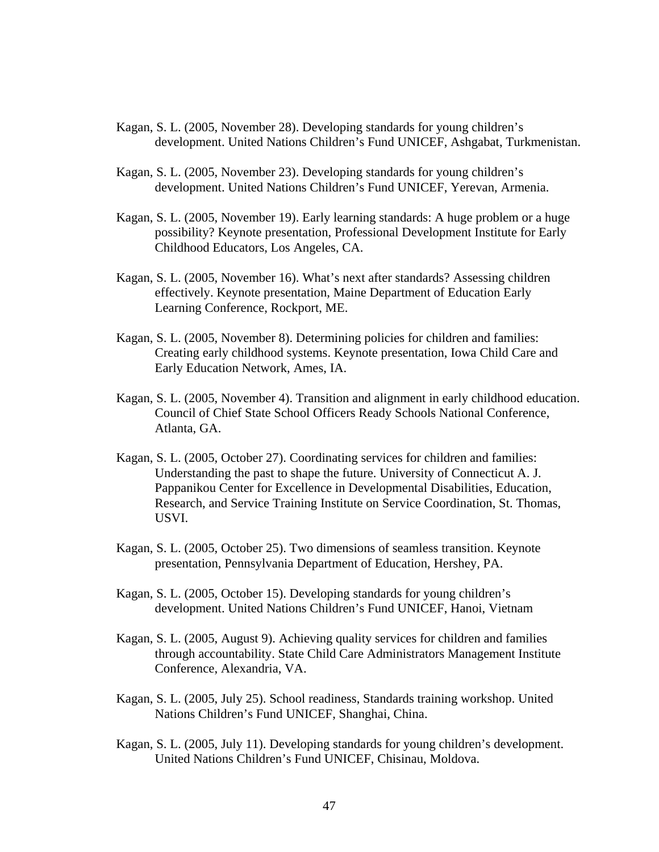- Kagan, S. L. (2005, November 28). Developing standards for young children's development. United Nations Children's Fund UNICEF, Ashgabat, Turkmenistan.
- Kagan, S. L. (2005, November 23). Developing standards for young children's development. United Nations Children's Fund UNICEF, Yerevan, Armenia.
- Kagan, S. L. (2005, November 19). Early learning standards: A huge problem or a huge possibility? Keynote presentation, Professional Development Institute for Early Childhood Educators, Los Angeles, CA.
- Kagan, S. L. (2005, November 16). What's next after standards? Assessing children effectively. Keynote presentation, Maine Department of Education Early Learning Conference, Rockport, ME.
- Kagan, S. L. (2005, November 8). Determining policies for children and families: Creating early childhood systems. Keynote presentation, Iowa Child Care and Early Education Network, Ames, IA.
- Kagan, S. L. (2005, November 4). Transition and alignment in early childhood education. Council of Chief State School Officers Ready Schools National Conference, Atlanta, GA.
- Kagan, S. L. (2005, October 27). Coordinating services for children and families: Understanding the past to shape the future. University of Connecticut A. J. Pappanikou Center for Excellence in Developmental Disabilities, Education, Research, and Service Training Institute on Service Coordination, St. Thomas, USVI.
- Kagan, S. L. (2005, October 25). Two dimensions of seamless transition. Keynote presentation, Pennsylvania Department of Education, Hershey, PA.
- Kagan, S. L. (2005, October 15). Developing standards for young children's development. United Nations Children's Fund UNICEF, Hanoi, Vietnam
- Kagan, S. L. (2005, August 9). Achieving quality services for children and families through accountability. State Child Care Administrators Management Institute Conference, Alexandria, VA.
- Kagan, S. L. (2005, July 25). School readiness, Standards training workshop. United Nations Children's Fund UNICEF, Shanghai, China.
- Kagan, S. L. (2005, July 11). Developing standards for young children's development. United Nations Children's Fund UNICEF, Chisinau, Moldova.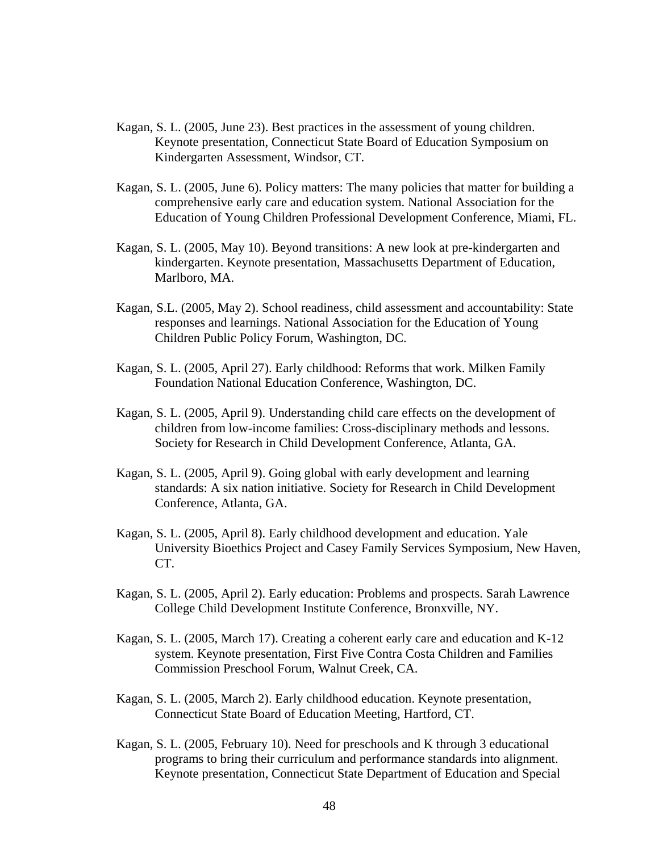- Kagan, S. L. (2005, June 23). Best practices in the assessment of young children. Keynote presentation, Connecticut State Board of Education Symposium on Kindergarten Assessment, Windsor, CT.
- Kagan, S. L. (2005, June 6). Policy matters: The many policies that matter for building a comprehensive early care and education system. National Association for the Education of Young Children Professional Development Conference, Miami, FL.
- Kagan, S. L. (2005, May 10). Beyond transitions: A new look at pre-kindergarten and kindergarten. Keynote presentation, Massachusetts Department of Education, Marlboro, MA.
- Kagan, S.L. (2005, May 2). School readiness, child assessment and accountability: State responses and learnings. National Association for the Education of Young Children Public Policy Forum, Washington, DC.
- Kagan, S. L. (2005, April 27). Early childhood: Reforms that work. Milken Family Foundation National Education Conference, Washington, DC.
- Kagan, S. L. (2005, April 9). Understanding child care effects on the development of children from low-income families: Cross-disciplinary methods and lessons. Society for Research in Child Development Conference, Atlanta, GA.
- Kagan, S. L. (2005, April 9). Going global with early development and learning standards: A six nation initiative. Society for Research in Child Development Conference, Atlanta, GA.
- Kagan, S. L. (2005, April 8). Early childhood development and education. Yale University Bioethics Project and Casey Family Services Symposium, New Haven, CT.
- Kagan, S. L. (2005, April 2). Early education: Problems and prospects. Sarah Lawrence College Child Development Institute Conference, Bronxville, NY.
- Kagan, S. L. (2005, March 17). Creating a coherent early care and education and K-12 system. Keynote presentation, First Five Contra Costa Children and Families Commission Preschool Forum, Walnut Creek, CA.
- Kagan, S. L. (2005, March 2). Early childhood education. Keynote presentation, Connecticut State Board of Education Meeting, Hartford, CT.
- Kagan, S. L. (2005, February 10). Need for preschools and K through 3 educational programs to bring their curriculum and performance standards into alignment. Keynote presentation, Connecticut State Department of Education and Special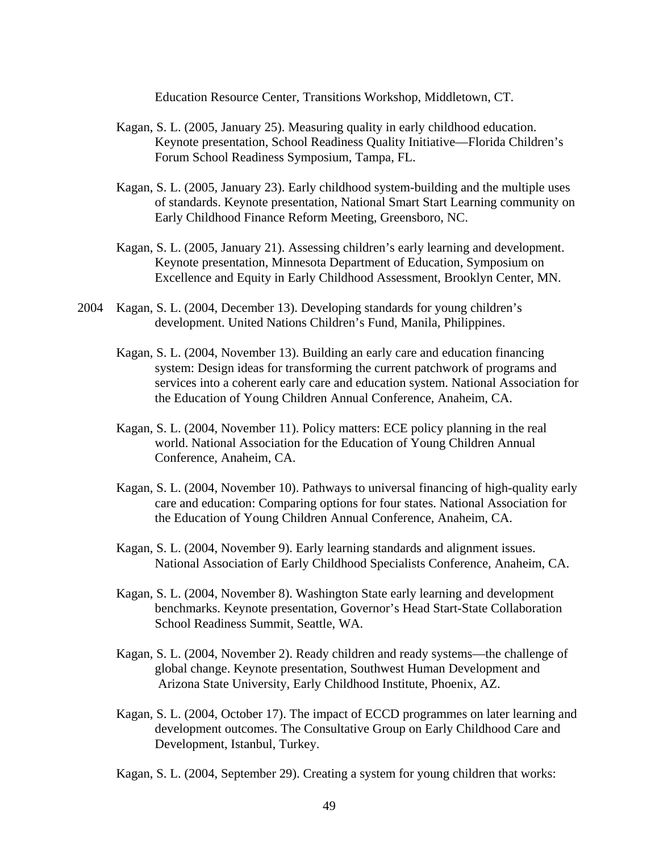Education Resource Center, Transitions Workshop, Middletown, CT.

- Kagan, S. L. (2005, January 25). Measuring quality in early childhood education. Keynote presentation, School Readiness Quality Initiative—Florida Children's Forum School Readiness Symposium, Tampa, FL.
- Kagan, S. L. (2005, January 23). Early childhood system-building and the multiple uses of standards. Keynote presentation, National Smart Start Learning community on Early Childhood Finance Reform Meeting, Greensboro, NC.
- Kagan, S. L. (2005, January 21). Assessing children's early learning and development. Keynote presentation, Minnesota Department of Education, Symposium on Excellence and Equity in Early Childhood Assessment, Brooklyn Center, MN.
- 2004 Kagan, S. L. (2004, December 13). Developing standards for young children's development. United Nations Children's Fund, Manila, Philippines.
	- Kagan, S. L. (2004, November 13). Building an early care and education financing system: Design ideas for transforming the current patchwork of programs and services into a coherent early care and education system. National Association for the Education of Young Children Annual Conference, Anaheim, CA.
	- Kagan, S. L. (2004, November 11). Policy matters: ECE policy planning in the real world. National Association for the Education of Young Children Annual Conference, Anaheim, CA.
	- Kagan, S. L. (2004, November 10). Pathways to universal financing of high-quality early care and education: Comparing options for four states. National Association for the Education of Young Children Annual Conference, Anaheim, CA.
	- Kagan, S. L. (2004, November 9). Early learning standards and alignment issues. National Association of Early Childhood Specialists Conference, Anaheim, CA.
	- Kagan, S. L. (2004, November 8). Washington State early learning and development benchmarks. Keynote presentation, Governor's Head Start-State Collaboration School Readiness Summit, Seattle, WA.
	- Kagan, S. L. (2004, November 2). Ready children and ready systems—the challenge of global change. Keynote presentation, Southwest Human Development and Arizona State University, Early Childhood Institute, Phoenix, AZ.
	- Kagan, S. L. (2004, October 17). The impact of ECCD programmes on later learning and development outcomes. The Consultative Group on Early Childhood Care and Development, Istanbul, Turkey.
	- Kagan, S. L. (2004, September 29). Creating a system for young children that works: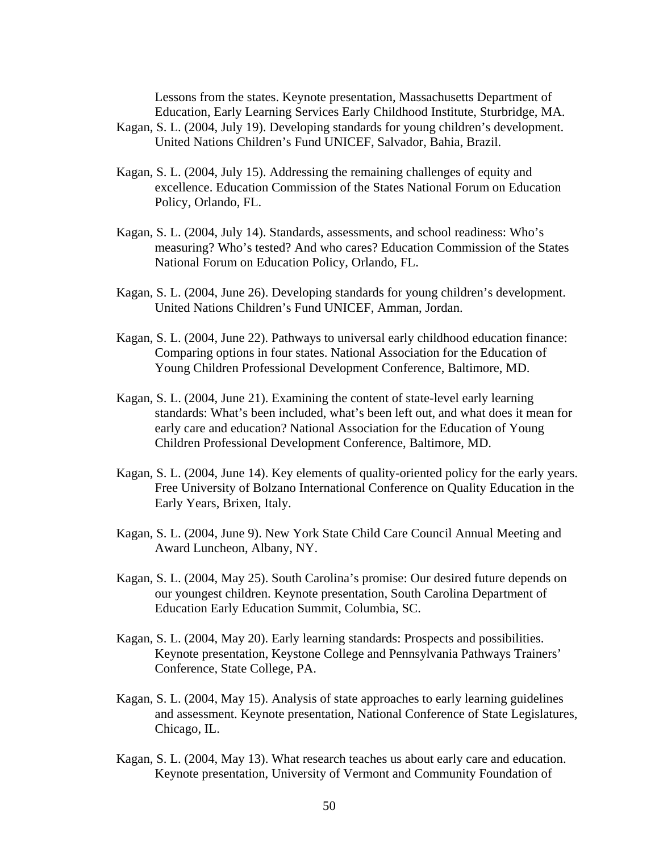Lessons from the states. Keynote presentation, Massachusetts Department of Education, Early Learning Services Early Childhood Institute, Sturbridge, MA. Kagan, S. L. (2004, July 19). Developing standards for young children's development. United Nations Children's Fund UNICEF, Salvador, Bahia, Brazil.

- Kagan, S. L. (2004, July 15). Addressing the remaining challenges of equity and excellence. Education Commission of the States National Forum on Education Policy, Orlando, FL.
- Kagan, S. L. (2004, July 14). Standards, assessments, and school readiness: Who's measuring? Who's tested? And who cares? Education Commission of the States National Forum on Education Policy, Orlando, FL.
- Kagan, S. L. (2004, June 26). Developing standards for young children's development. United Nations Children's Fund UNICEF, Amman, Jordan.
- Kagan, S. L. (2004, June 22). Pathways to universal early childhood education finance: Comparing options in four states. National Association for the Education of Young Children Professional Development Conference, Baltimore, MD.
- Kagan, S. L. (2004, June 21). Examining the content of state-level early learning standards: What's been included, what's been left out, and what does it mean for early care and education? National Association for the Education of Young Children Professional Development Conference, Baltimore, MD.
- Kagan, S. L. (2004, June 14). Key elements of quality-oriented policy for the early years. Free University of Bolzano International Conference on Quality Education in the Early Years, Brixen, Italy.
- Kagan, S. L. (2004, June 9). New York State Child Care Council Annual Meeting and Award Luncheon, Albany, NY.
- Kagan, S. L. (2004, May 25). South Carolina's promise: Our desired future depends on our youngest children. Keynote presentation, South Carolina Department of Education Early Education Summit, Columbia, SC.
- Kagan, S. L. (2004, May 20). Early learning standards: Prospects and possibilities. Keynote presentation, Keystone College and Pennsylvania Pathways Trainers' Conference, State College, PA.
- Kagan, S. L. (2004, May 15). Analysis of state approaches to early learning guidelines and assessment. Keynote presentation, National Conference of State Legislatures, Chicago, IL.
- Kagan, S. L. (2004, May 13). What research teaches us about early care and education. Keynote presentation, University of Vermont and Community Foundation of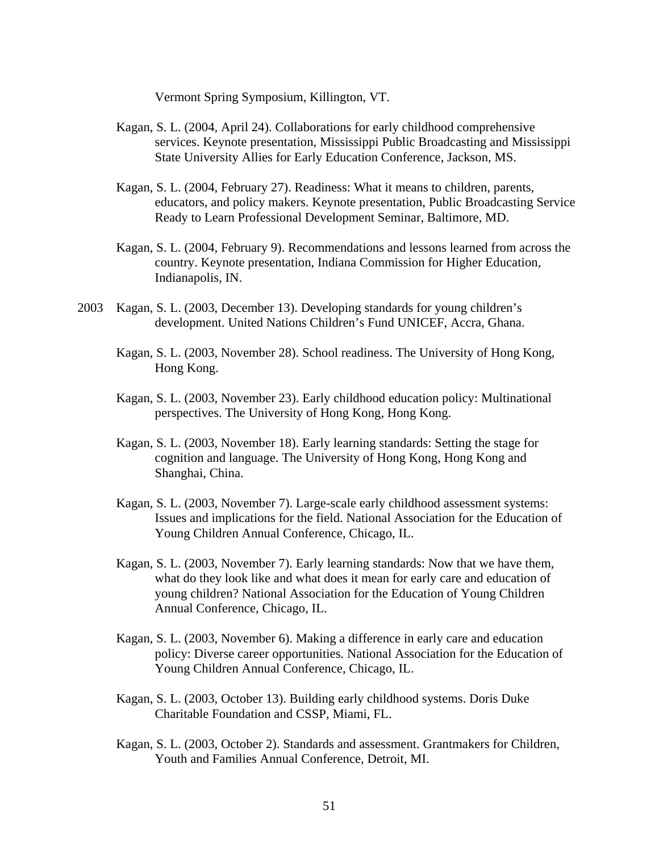Vermont Spring Symposium, Killington, VT.

- Kagan, S. L. (2004, April 24). Collaborations for early childhood comprehensive services. Keynote presentation, Mississippi Public Broadcasting and Mississippi State University Allies for Early Education Conference, Jackson, MS.
- Kagan, S. L. (2004, February 27). Readiness: What it means to children, parents, educators, and policy makers. Keynote presentation, Public Broadcasting Service Ready to Learn Professional Development Seminar, Baltimore, MD.
- Kagan, S. L. (2004, February 9). Recommendations and lessons learned from across the country. Keynote presentation, Indiana Commission for Higher Education, Indianapolis, IN.
- 2003 Kagan, S. L. (2003, December 13). Developing standards for young children's development. United Nations Children's Fund UNICEF, Accra, Ghana.
	- Kagan, S. L. (2003, November 28). School readiness. The University of Hong Kong, Hong Kong.
	- Kagan, S. L. (2003, November 23). Early childhood education policy: Multinational perspectives. The University of Hong Kong, Hong Kong.
	- Kagan, S. L. (2003, November 18). Early learning standards: Setting the stage for cognition and language. The University of Hong Kong, Hong Kong and Shanghai, China.
	- Kagan, S. L. (2003, November 7). Large-scale early childhood assessment systems: Issues and implications for the field. National Association for the Education of Young Children Annual Conference, Chicago, IL.
	- Kagan, S. L. (2003, November 7). Early learning standards: Now that we have them, what do they look like and what does it mean for early care and education of young children? National Association for the Education of Young Children Annual Conference, Chicago, IL.
	- Kagan, S. L. (2003, November 6). Making a difference in early care and education policy: Diverse career opportunities. National Association for the Education of Young Children Annual Conference, Chicago, IL.
	- Kagan, S. L. (2003, October 13). Building early childhood systems. Doris Duke Charitable Foundation and CSSP, Miami, FL.
	- Kagan, S. L. (2003, October 2). Standards and assessment. Grantmakers for Children, Youth and Families Annual Conference, Detroit, MI.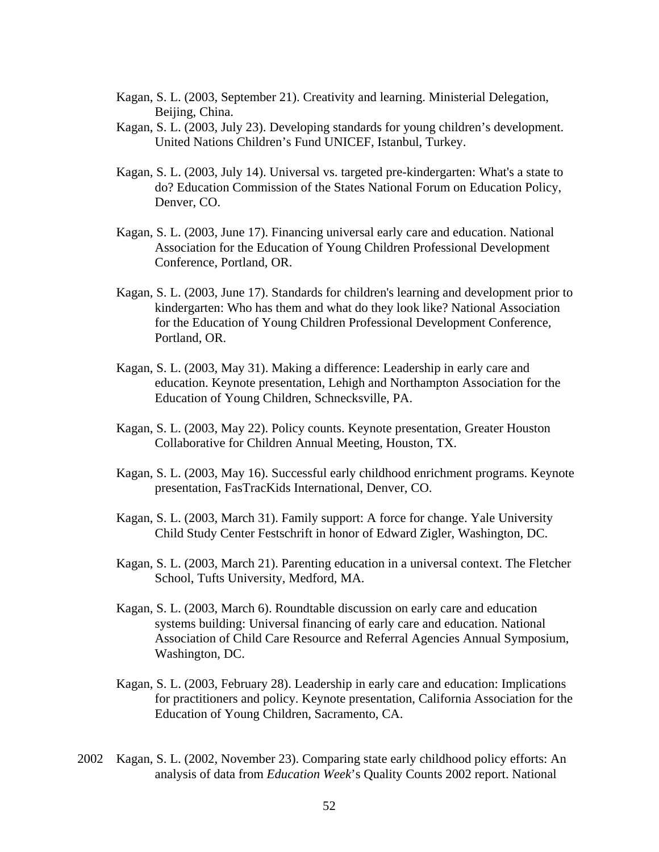- Kagan, S. L. (2003, September 21). Creativity and learning. Ministerial Delegation, Beijing, China.
- Kagan, S. L. (2003, July 23). Developing standards for young children's development. United Nations Children's Fund UNICEF, Istanbul, Turkey.
- Kagan, S. L. (2003, July 14). Universal vs. targeted pre-kindergarten: What's a state to do? Education Commission of the States National Forum on Education Policy, Denver, CO.
- Kagan, S. L. (2003, June 17). Financing universal early care and education. National Association for the Education of Young Children Professional Development Conference, Portland, OR.
- Kagan, S. L. (2003, June 17). Standards for children's learning and development prior to kindergarten: Who has them and what do they look like? National Association for the Education of Young Children Professional Development Conference, Portland, OR.
- Kagan, S. L. (2003, May 31). Making a difference: Leadership in early care and education. Keynote presentation, Lehigh and Northampton Association for the Education of Young Children, Schnecksville, PA.
- Kagan, S. L. (2003, May 22). Policy counts. Keynote presentation, Greater Houston Collaborative for Children Annual Meeting, Houston, TX.
- Kagan, S. L. (2003, May 16). Successful early childhood enrichment programs. Keynote presentation, FasTracKids International, Denver, CO.
- Kagan, S. L. (2003, March 31). Family support: A force for change. Yale University Child Study Center Festschrift in honor of Edward Zigler, Washington, DC.
- Kagan, S. L. (2003, March 21). Parenting education in a universal context. The Fletcher School, Tufts University, Medford, MA.
- Kagan, S. L. (2003, March 6). Roundtable discussion on early care and education systems building: Universal financing of early care and education. National Association of Child Care Resource and Referral Agencies Annual Symposium, Washington, DC.
- Kagan, S. L. (2003, February 28). Leadership in early care and education: Implications for practitioners and policy. Keynote presentation, California Association for the Education of Young Children, Sacramento, CA.
- 2002 Kagan, S. L. (2002, November 23). Comparing state early childhood policy efforts: An analysis of data from *Education Week*'s Quality Counts 2002 report. National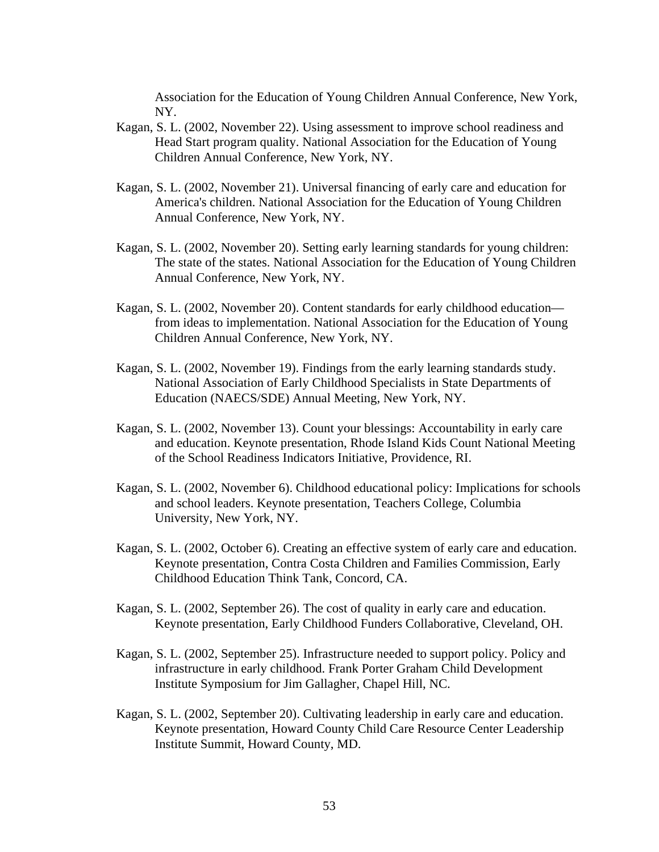Association for the Education of Young Children Annual Conference, New York, NY.

- Kagan, S. L. (2002, November 22). Using assessment to improve school readiness and Head Start program quality. National Association for the Education of Young Children Annual Conference, New York, NY.
- Kagan, S. L. (2002, November 21). Universal financing of early care and education for America's children. National Association for the Education of Young Children Annual Conference, New York, NY.
- Kagan, S. L. (2002, November 20). Setting early learning standards for young children: The state of the states. National Association for the Education of Young Children Annual Conference, New York, NY.
- Kagan, S. L. (2002, November 20). Content standards for early childhood education from ideas to implementation. National Association for the Education of Young Children Annual Conference, New York, NY.
- Kagan, S. L. (2002, November 19). Findings from the early learning standards study. National Association of Early Childhood Specialists in State Departments of Education (NAECS/SDE) Annual Meeting, New York, NY.
- Kagan, S. L. (2002, November 13). Count your blessings: Accountability in early care and education. Keynote presentation, Rhode Island Kids Count National Meeting of the School Readiness Indicators Initiative, Providence, RI.
- Kagan, S. L. (2002, November 6). Childhood educational policy: Implications for schools and school leaders. Keynote presentation, Teachers College, Columbia University, New York, NY.
- Kagan, S. L. (2002, October 6). Creating an effective system of early care and education. Keynote presentation, Contra Costa Children and Families Commission, Early Childhood Education Think Tank, Concord, CA.
- Kagan, S. L. (2002, September 26). The cost of quality in early care and education. Keynote presentation, Early Childhood Funders Collaborative, Cleveland, OH.
- Kagan, S. L. (2002, September 25). Infrastructure needed to support policy. Policy and infrastructure in early childhood. Frank Porter Graham Child Development Institute Symposium for Jim Gallagher, Chapel Hill, NC.
- Kagan, S. L. (2002, September 20). Cultivating leadership in early care and education. Keynote presentation, Howard County Child Care Resource Center Leadership Institute Summit, Howard County, MD.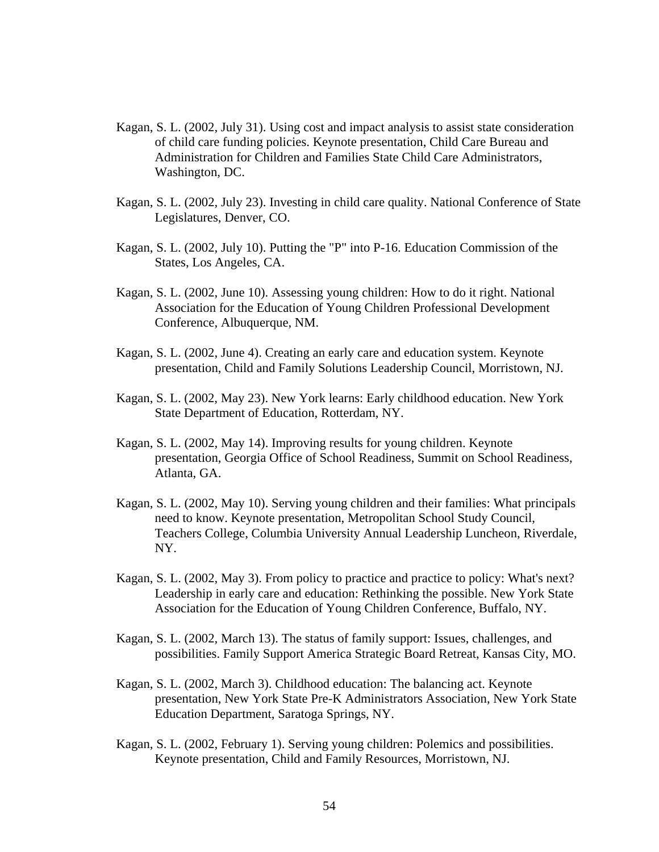- Kagan, S. L. (2002, July 31). Using cost and impact analysis to assist state consideration of child care funding policies. Keynote presentation, Child Care Bureau and Administration for Children and Families State Child Care Administrators, Washington, DC.
- Kagan, S. L. (2002, July 23). Investing in child care quality. National Conference of State Legislatures, Denver, CO.
- Kagan, S. L. (2002, July 10). Putting the "P" into P-16. Education Commission of the States, Los Angeles, CA.
- Kagan, S. L. (2002, June 10). Assessing young children: How to do it right. National Association for the Education of Young Children Professional Development Conference, Albuquerque, NM.
- Kagan, S. L. (2002, June 4). Creating an early care and education system. Keynote presentation, Child and Family Solutions Leadership Council, Morristown, NJ.
- Kagan, S. L. (2002, May 23). New York learns: Early childhood education. New York State Department of Education, Rotterdam, NY.
- Kagan, S. L. (2002, May 14). Improving results for young children. Keynote presentation, Georgia Office of School Readiness, Summit on School Readiness, Atlanta, GA.
- Kagan, S. L. (2002, May 10). Serving young children and their families: What principals need to know. Keynote presentation, Metropolitan School Study Council, Teachers College, Columbia University Annual Leadership Luncheon, Riverdale, NY.
- Kagan, S. L. (2002, May 3). From policy to practice and practice to policy: What's next? Leadership in early care and education: Rethinking the possible. New York State Association for the Education of Young Children Conference, Buffalo, NY.
- Kagan, S. L. (2002, March 13). The status of family support: Issues, challenges, and possibilities. Family Support America Strategic Board Retreat, Kansas City, MO.
- Kagan, S. L. (2002, March 3). Childhood education: The balancing act. Keynote presentation, New York State Pre-K Administrators Association, New York State Education Department, Saratoga Springs, NY.
- Kagan, S. L. (2002, February 1). Serving young children: Polemics and possibilities. Keynote presentation, Child and Family Resources, Morristown, NJ.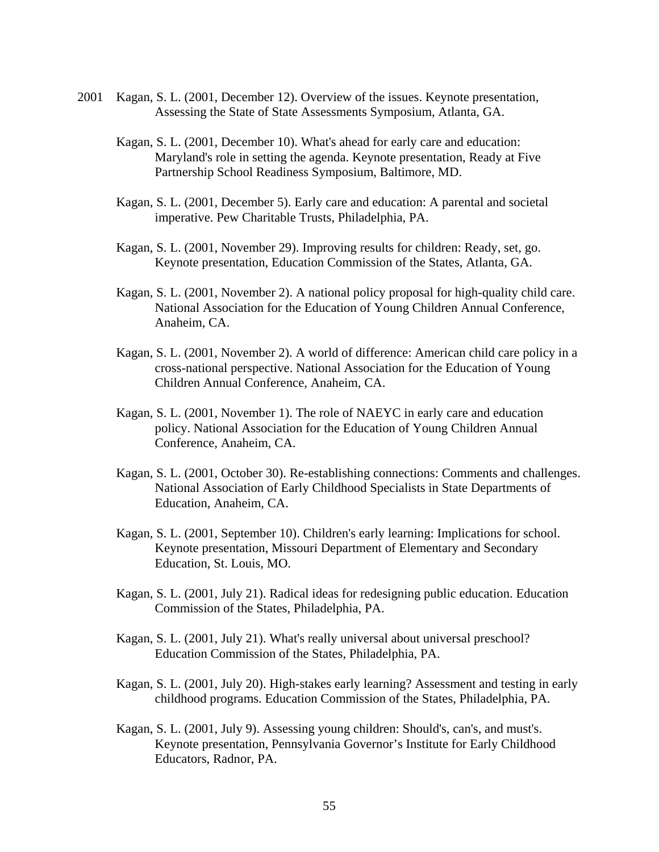- 2001 Kagan, S. L. (2001, December 12). Overview of the issues. Keynote presentation, Assessing the State of State Assessments Symposium, Atlanta, GA.
	- Kagan, S. L. (2001, December 10). What's ahead for early care and education: Maryland's role in setting the agenda. Keynote presentation, Ready at Five Partnership School Readiness Symposium, Baltimore, MD.
	- Kagan, S. L. (2001, December 5). Early care and education: A parental and societal imperative. Pew Charitable Trusts, Philadelphia, PA.
	- Kagan, S. L. (2001, November 29). Improving results for children: Ready, set, go. Keynote presentation, Education Commission of the States, Atlanta, GA.
	- Kagan, S. L. (2001, November 2). A national policy proposal for high-quality child care. National Association for the Education of Young Children Annual Conference, Anaheim, CA.
	- Kagan, S. L. (2001, November 2). A world of difference: American child care policy in a cross-national perspective. National Association for the Education of Young Children Annual Conference, Anaheim, CA.
	- Kagan, S. L. (2001, November 1). The role of NAEYC in early care and education policy. National Association for the Education of Young Children Annual Conference, Anaheim, CA.
	- Kagan, S. L. (2001, October 30). Re-establishing connections: Comments and challenges. National Association of Early Childhood Specialists in State Departments of Education, Anaheim, CA.
	- Kagan, S. L. (2001, September 10). Children's early learning: Implications for school. Keynote presentation, Missouri Department of Elementary and Secondary Education, St. Louis, MO.
	- Kagan, S. L. (2001, July 21). Radical ideas for redesigning public education. Education Commission of the States, Philadelphia, PA.
	- Kagan, S. L. (2001, July 21). What's really universal about universal preschool? Education Commission of the States, Philadelphia, PA.
	- Kagan, S. L. (2001, July 20). High-stakes early learning? Assessment and testing in early childhood programs. Education Commission of the States, Philadelphia, PA.
	- Kagan, S. L. (2001, July 9). Assessing young children: Should's, can's, and must's. Keynote presentation, Pennsylvania Governor's Institute for Early Childhood Educators, Radnor, PA.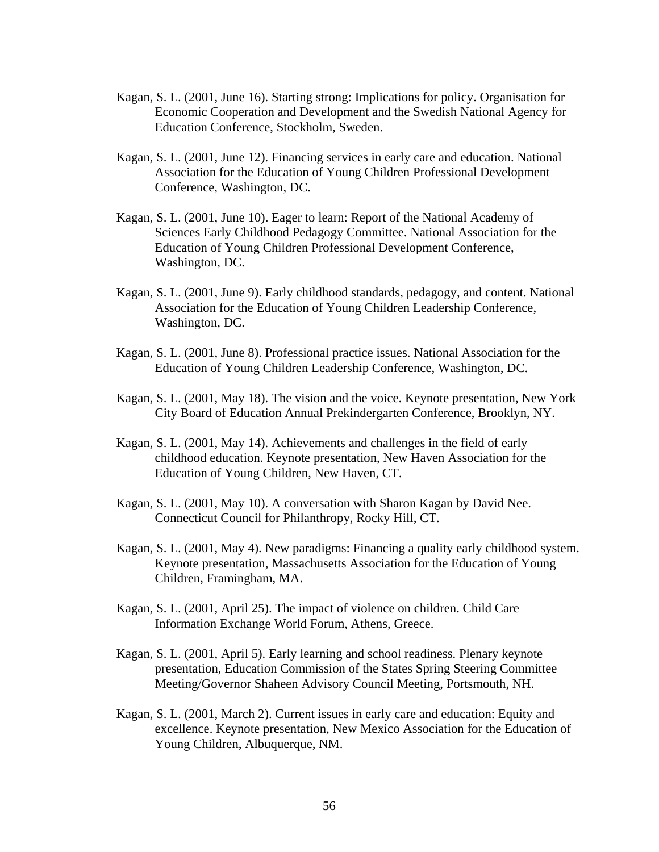- Kagan, S. L. (2001, June 16). Starting strong: Implications for policy. Organisation for Economic Cooperation and Development and the Swedish National Agency for Education Conference, Stockholm, Sweden.
- Kagan, S. L. (2001, June 12). Financing services in early care and education. National Association for the Education of Young Children Professional Development Conference, Washington, DC.
- Kagan, S. L. (2001, June 10). Eager to learn: Report of the National Academy of Sciences Early Childhood Pedagogy Committee. National Association for the Education of Young Children Professional Development Conference, Washington, DC.
- Kagan, S. L. (2001, June 9). Early childhood standards, pedagogy, and content. National Association for the Education of Young Children Leadership Conference, Washington, DC.
- Kagan, S. L. (2001, June 8). Professional practice issues. National Association for the Education of Young Children Leadership Conference, Washington, DC.
- Kagan, S. L. (2001, May 18). The vision and the voice. Keynote presentation, New York City Board of Education Annual Prekindergarten Conference, Brooklyn, NY.
- Kagan, S. L. (2001, May 14). Achievements and challenges in the field of early childhood education. Keynote presentation, New Haven Association for the Education of Young Children, New Haven, CT.
- Kagan, S. L. (2001, May 10). A conversation with Sharon Kagan by David Nee. Connecticut Council for Philanthropy, Rocky Hill, CT.
- Kagan, S. L. (2001, May 4). New paradigms: Financing a quality early childhood system. Keynote presentation, Massachusetts Association for the Education of Young Children, Framingham, MA.
- Kagan, S. L. (2001, April 25). The impact of violence on children. Child Care Information Exchange World Forum, Athens, Greece.
- Kagan, S. L. (2001, April 5). Early learning and school readiness. Plenary keynote presentation, Education Commission of the States Spring Steering Committee Meeting/Governor Shaheen Advisory Council Meeting, Portsmouth, NH.
- Kagan, S. L. (2001, March 2). Current issues in early care and education: Equity and excellence. Keynote presentation, New Mexico Association for the Education of Young Children, Albuquerque, NM.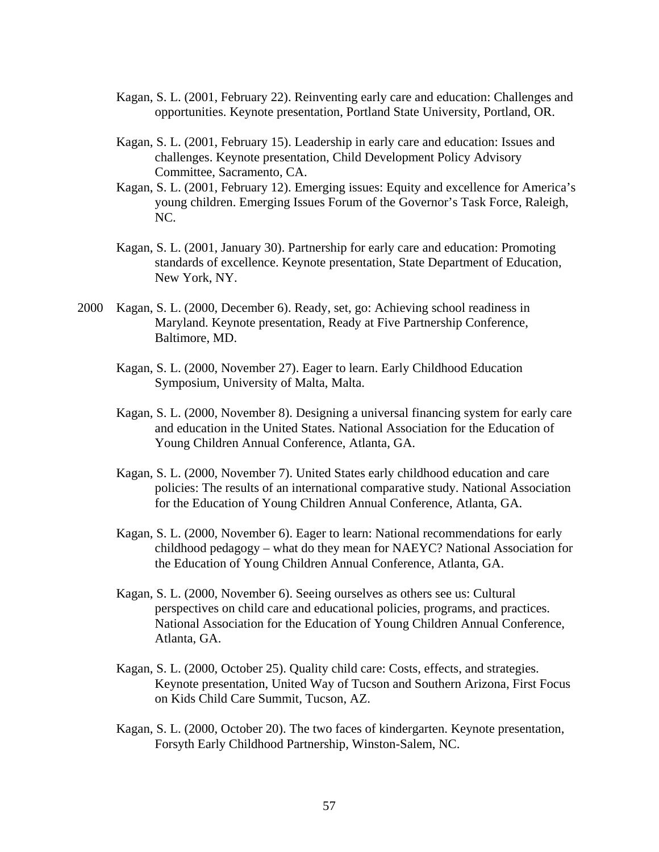- Kagan, S. L. (2001, February 22). Reinventing early care and education: Challenges and opportunities. Keynote presentation, Portland State University, Portland, OR.
- Kagan, S. L. (2001, February 15). Leadership in early care and education: Issues and challenges. Keynote presentation, Child Development Policy Advisory Committee, Sacramento, CA.
- Kagan, S. L. (2001, February 12). Emerging issues: Equity and excellence for America's young children. Emerging Issues Forum of the Governor's Task Force, Raleigh, NC.
- Kagan, S. L. (2001, January 30). Partnership for early care and education: Promoting standards of excellence. Keynote presentation, State Department of Education, New York, NY.
- 2000 Kagan, S. L. (2000, December 6). Ready, set, go: Achieving school readiness in Maryland. Keynote presentation, Ready at Five Partnership Conference, Baltimore, MD.
	- Kagan, S. L. (2000, November 27). Eager to learn. Early Childhood Education Symposium, University of Malta, Malta.
	- Kagan, S. L. (2000, November 8). Designing a universal financing system for early care and education in the United States. National Association for the Education of Young Children Annual Conference, Atlanta, GA.
	- Kagan, S. L. (2000, November 7). United States early childhood education and care policies: The results of an international comparative study. National Association for the Education of Young Children Annual Conference, Atlanta, GA.
	- Kagan, S. L. (2000, November 6). Eager to learn: National recommendations for early childhood pedagogy – what do they mean for NAEYC? National Association for the Education of Young Children Annual Conference, Atlanta, GA.
	- Kagan, S. L. (2000, November 6). Seeing ourselves as others see us: Cultural perspectives on child care and educational policies, programs, and practices. National Association for the Education of Young Children Annual Conference, Atlanta, GA.
	- Kagan, S. L. (2000, October 25). Quality child care: Costs, effects, and strategies. Keynote presentation, United Way of Tucson and Southern Arizona, First Focus on Kids Child Care Summit, Tucson, AZ.
	- Kagan, S. L. (2000, October 20). The two faces of kindergarten. Keynote presentation, Forsyth Early Childhood Partnership, Winston-Salem, NC.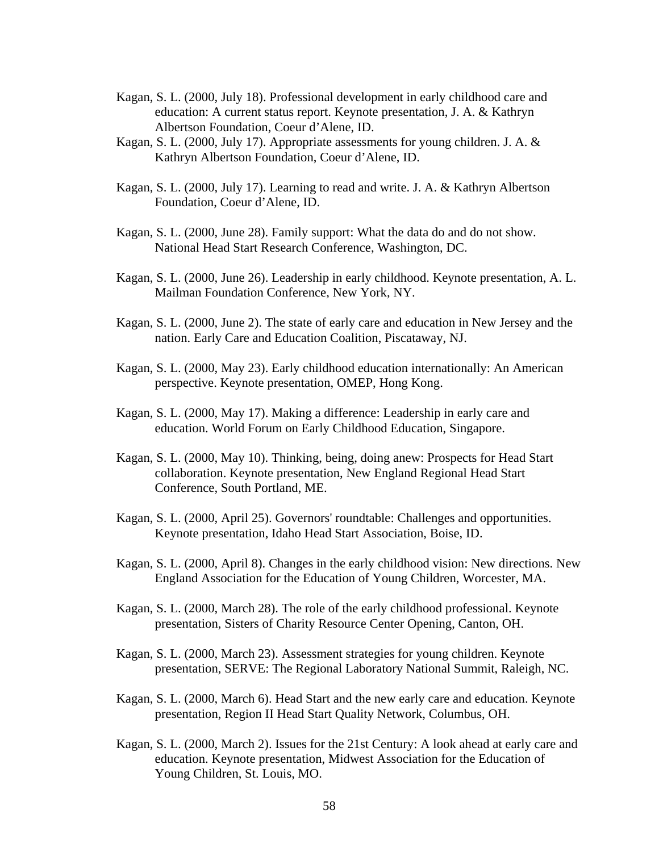- Kagan, S. L. (2000, July 18). Professional development in early childhood care and education: A current status report. Keynote presentation, J. A. & Kathryn Albertson Foundation, Coeur d'Alene, ID.
- Kagan, S. L. (2000, July 17). Appropriate assessments for young children. J. A. & Kathryn Albertson Foundation, Coeur d'Alene, ID.
- Kagan, S. L. (2000, July 17). Learning to read and write. J. A. & Kathryn Albertson Foundation, Coeur d'Alene, ID.
- Kagan, S. L. (2000, June 28). Family support: What the data do and do not show. National Head Start Research Conference, Washington, DC.
- Kagan, S. L. (2000, June 26). Leadership in early childhood. Keynote presentation, A. L. Mailman Foundation Conference, New York, NY.
- Kagan, S. L. (2000, June 2). The state of early care and education in New Jersey and the nation. Early Care and Education Coalition, Piscataway, NJ.
- Kagan, S. L. (2000, May 23). Early childhood education internationally: An American perspective. Keynote presentation, OMEP, Hong Kong.
- Kagan, S. L. (2000, May 17). Making a difference: Leadership in early care and education. World Forum on Early Childhood Education, Singapore.
- Kagan, S. L. (2000, May 10). Thinking, being, doing anew: Prospects for Head Start collaboration. Keynote presentation, New England Regional Head Start Conference, South Portland, ME.
- Kagan, S. L. (2000, April 25). Governors' roundtable: Challenges and opportunities. Keynote presentation, Idaho Head Start Association, Boise, ID.
- Kagan, S. L. (2000, April 8). Changes in the early childhood vision: New directions. New England Association for the Education of Young Children, Worcester, MA.
- Kagan, S. L. (2000, March 28). The role of the early childhood professional. Keynote presentation, Sisters of Charity Resource Center Opening, Canton, OH.
- Kagan, S. L. (2000, March 23). Assessment strategies for young children. Keynote presentation, SERVE: The Regional Laboratory National Summit, Raleigh, NC.
- Kagan, S. L. (2000, March 6). Head Start and the new early care and education. Keynote presentation, Region II Head Start Quality Network, Columbus, OH.
- Kagan, S. L. (2000, March 2). Issues for the 21st Century: A look ahead at early care and education. Keynote presentation, Midwest Association for the Education of Young Children, St. Louis, MO.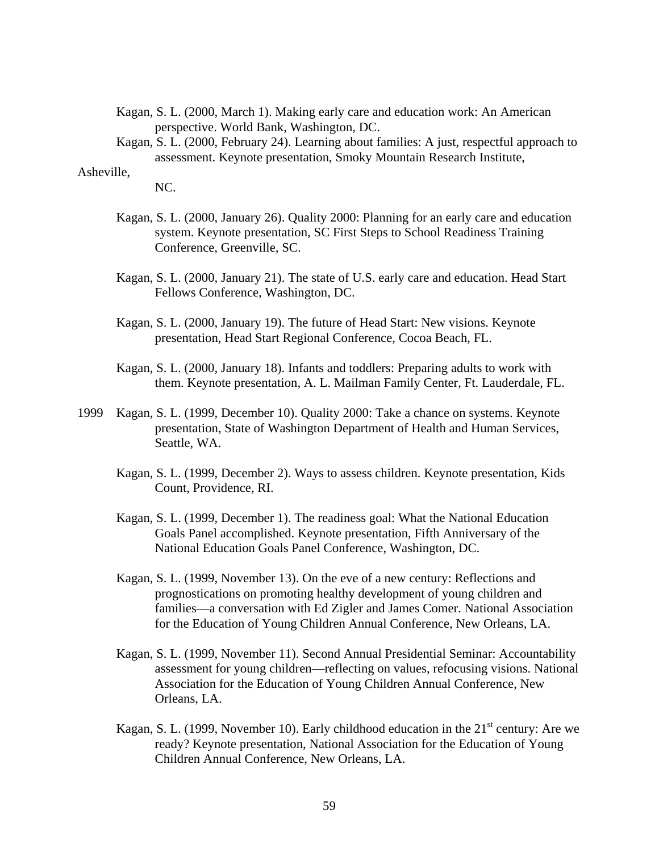- Kagan, S. L. (2000, March 1). Making early care and education work: An American perspective. World Bank, Washington, DC.
- Kagan, S. L. (2000, February 24). Learning about families: A just, respectful approach to assessment. Keynote presentation, Smoky Mountain Research Institute,

### Asheville,

NC.

- Kagan, S. L. (2000, January 26). Quality 2000: Planning for an early care and education system. Keynote presentation, SC First Steps to School Readiness Training Conference, Greenville, SC.
- Kagan, S. L. (2000, January 21). The state of U.S. early care and education. Head Start Fellows Conference, Washington, DC.
- Kagan, S. L. (2000, January 19). The future of Head Start: New visions. Keynote presentation, Head Start Regional Conference, Cocoa Beach, FL.
- Kagan, S. L. (2000, January 18). Infants and toddlers: Preparing adults to work with them. Keynote presentation, A. L. Mailman Family Center, Ft. Lauderdale, FL.
- 1999 Kagan, S. L. (1999, December 10). Quality 2000: Take a chance on systems. Keynote presentation, State of Washington Department of Health and Human Services, Seattle, WA.
	- Kagan, S. L. (1999, December 2). Ways to assess children. Keynote presentation, Kids Count, Providence, RI.
	- Kagan, S. L. (1999, December 1). The readiness goal: What the National Education Goals Panel accomplished. Keynote presentation, Fifth Anniversary of the National Education Goals Panel Conference, Washington, DC.
	- Kagan, S. L. (1999, November 13). On the eve of a new century: Reflections and prognostications on promoting healthy development of young children and families—a conversation with Ed Zigler and James Comer. National Association for the Education of Young Children Annual Conference, New Orleans, LA.
	- Kagan, S. L. (1999, November 11). Second Annual Presidential Seminar: Accountability assessment for young children—reflecting on values, refocusing visions. National Association for the Education of Young Children Annual Conference, New Orleans, LA.
	- Kagan, S. L. (1999, November 10). Early childhood education in the  $21<sup>st</sup>$  century: Are we ready? Keynote presentation, National Association for the Education of Young Children Annual Conference, New Orleans, LA.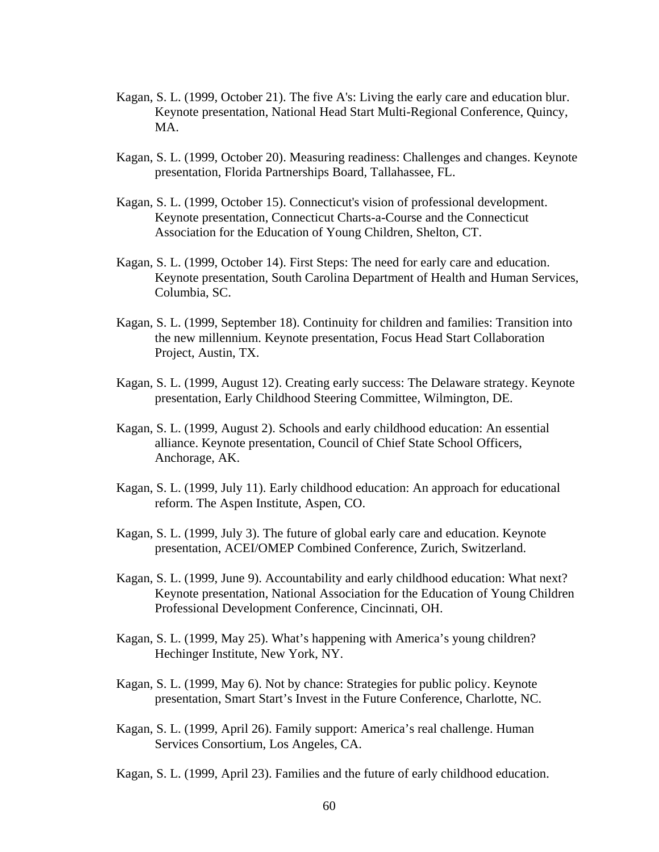- Kagan, S. L. (1999, October 21). The five A's: Living the early care and education blur. Keynote presentation, National Head Start Multi-Regional Conference, Quincy, MA.
- Kagan, S. L. (1999, October 20). Measuring readiness: Challenges and changes. Keynote presentation, Florida Partnerships Board, Tallahassee, FL.
- Kagan, S. L. (1999, October 15). Connecticut's vision of professional development. Keynote presentation, Connecticut Charts-a-Course and the Connecticut Association for the Education of Young Children, Shelton, CT.
- Kagan, S. L. (1999, October 14). First Steps: The need for early care and education. Keynote presentation, South Carolina Department of Health and Human Services, Columbia, SC.
- Kagan, S. L. (1999, September 18). Continuity for children and families: Transition into the new millennium. Keynote presentation, Focus Head Start Collaboration Project, Austin, TX.
- Kagan, S. L. (1999, August 12). Creating early success: The Delaware strategy. Keynote presentation, Early Childhood Steering Committee, Wilmington, DE.
- Kagan, S. L. (1999, August 2). Schools and early childhood education: An essential alliance. Keynote presentation, Council of Chief State School Officers, Anchorage, AK.
- Kagan, S. L. (1999, July 11). Early childhood education: An approach for educational reform. The Aspen Institute, Aspen, CO.
- Kagan, S. L. (1999, July 3). The future of global early care and education. Keynote presentation, ACEI/OMEP Combined Conference, Zurich, Switzerland.
- Kagan, S. L. (1999, June 9). Accountability and early childhood education: What next? Keynote presentation, National Association for the Education of Young Children Professional Development Conference, Cincinnati, OH.
- Kagan, S. L. (1999, May 25). What's happening with America's young children? Hechinger Institute, New York, NY.
- Kagan, S. L. (1999, May 6). Not by chance: Strategies for public policy. Keynote presentation, Smart Start's Invest in the Future Conference, Charlotte, NC.
- Kagan, S. L. (1999, April 26). Family support: America's real challenge. Human Services Consortium, Los Angeles, CA.

Kagan, S. L. (1999, April 23). Families and the future of early childhood education.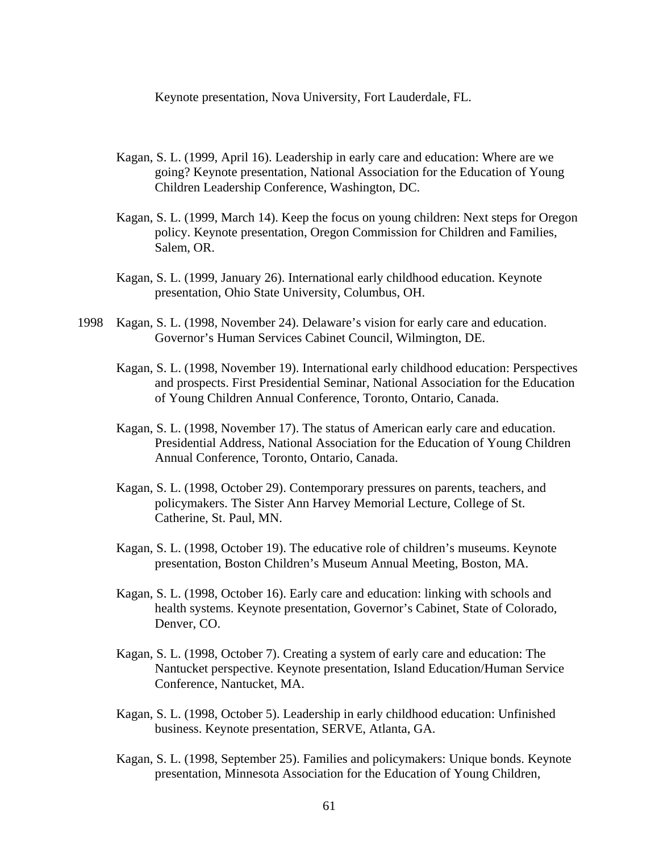Keynote presentation, Nova University, Fort Lauderdale, FL.

- Kagan, S. L. (1999, April 16). Leadership in early care and education: Where are we going? Keynote presentation, National Association for the Education of Young Children Leadership Conference, Washington, DC.
- Kagan, S. L. (1999, March 14). Keep the focus on young children: Next steps for Oregon policy. Keynote presentation, Oregon Commission for Children and Families, Salem, OR.
- Kagan, S. L. (1999, January 26). International early childhood education. Keynote presentation, Ohio State University, Columbus, OH.
- 1998 Kagan, S. L. (1998, November 24). Delaware's vision for early care and education. Governor's Human Services Cabinet Council, Wilmington, DE.
	- Kagan, S. L. (1998, November 19). International early childhood education: Perspectives and prospects. First Presidential Seminar, National Association for the Education of Young Children Annual Conference, Toronto, Ontario, Canada.
	- Kagan, S. L. (1998, November 17). The status of American early care and education. Presidential Address, National Association for the Education of Young Children Annual Conference, Toronto, Ontario, Canada.
	- Kagan, S. L. (1998, October 29). Contemporary pressures on parents, teachers, and policymakers. The Sister Ann Harvey Memorial Lecture, College of St. Catherine, St. Paul, MN.
	- Kagan, S. L. (1998, October 19). The educative role of children's museums. Keynote presentation, Boston Children's Museum Annual Meeting, Boston, MA.
	- Kagan, S. L. (1998, October 16). Early care and education: linking with schools and health systems. Keynote presentation, Governor's Cabinet, State of Colorado, Denver, CO.
	- Kagan, S. L. (1998, October 7). Creating a system of early care and education: The Nantucket perspective. Keynote presentation, Island Education/Human Service Conference, Nantucket, MA.
	- Kagan, S. L. (1998, October 5). Leadership in early childhood education: Unfinished business. Keynote presentation, SERVE, Atlanta, GA.
	- Kagan, S. L. (1998, September 25). Families and policymakers: Unique bonds. Keynote presentation, Minnesota Association for the Education of Young Children,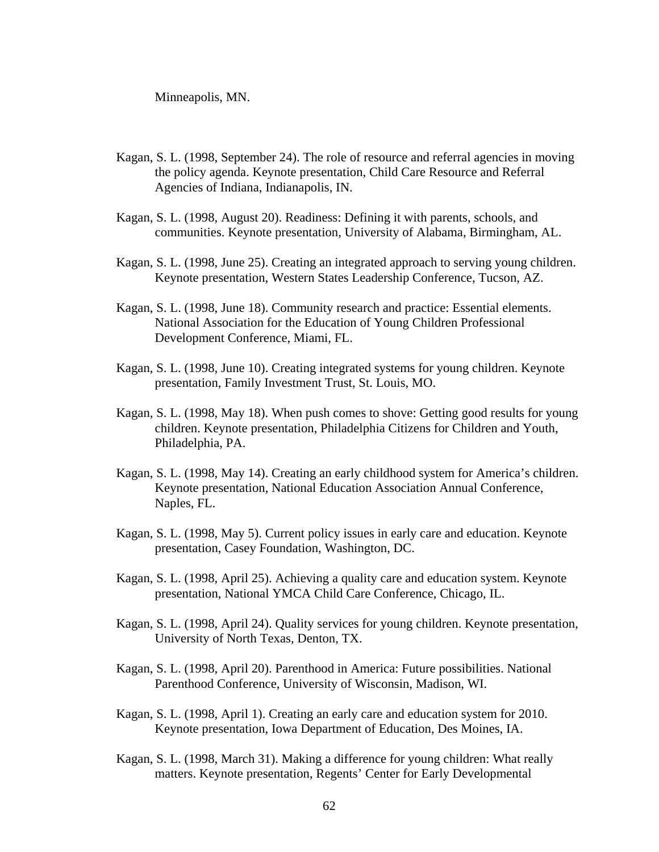Minneapolis, MN.

- Kagan, S. L. (1998, September 24). The role of resource and referral agencies in moving the policy agenda. Keynote presentation, Child Care Resource and Referral Agencies of Indiana, Indianapolis, IN.
- Kagan, S. L. (1998, August 20). Readiness: Defining it with parents, schools, and communities. Keynote presentation, University of Alabama, Birmingham, AL.
- Kagan, S. L. (1998, June 25). Creating an integrated approach to serving young children. Keynote presentation, Western States Leadership Conference, Tucson, AZ.
- Kagan, S. L. (1998, June 18). Community research and practice: Essential elements. National Association for the Education of Young Children Professional Development Conference, Miami, FL.
- Kagan, S. L. (1998, June 10). Creating integrated systems for young children. Keynote presentation, Family Investment Trust, St. Louis, MO.
- Kagan, S. L. (1998, May 18). When push comes to shove: Getting good results for young children. Keynote presentation, Philadelphia Citizens for Children and Youth, Philadelphia, PA.
- Kagan, S. L. (1998, May 14). Creating an early childhood system for America's children. Keynote presentation, National Education Association Annual Conference, Naples, FL.
- Kagan, S. L. (1998, May 5). Current policy issues in early care and education. Keynote presentation, Casey Foundation, Washington, DC.
- Kagan, S. L. (1998, April 25). Achieving a quality care and education system. Keynote presentation, National YMCA Child Care Conference, Chicago, IL.
- Kagan, S. L. (1998, April 24). Quality services for young children. Keynote presentation, University of North Texas, Denton, TX.
- Kagan, S. L. (1998, April 20). Parenthood in America: Future possibilities. National Parenthood Conference, University of Wisconsin, Madison, WI.
- Kagan, S. L. (1998, April 1). Creating an early care and education system for 2010. Keynote presentation, Iowa Department of Education, Des Moines, IA.
- Kagan, S. L. (1998, March 31). Making a difference for young children: What really matters. Keynote presentation, Regents' Center for Early Developmental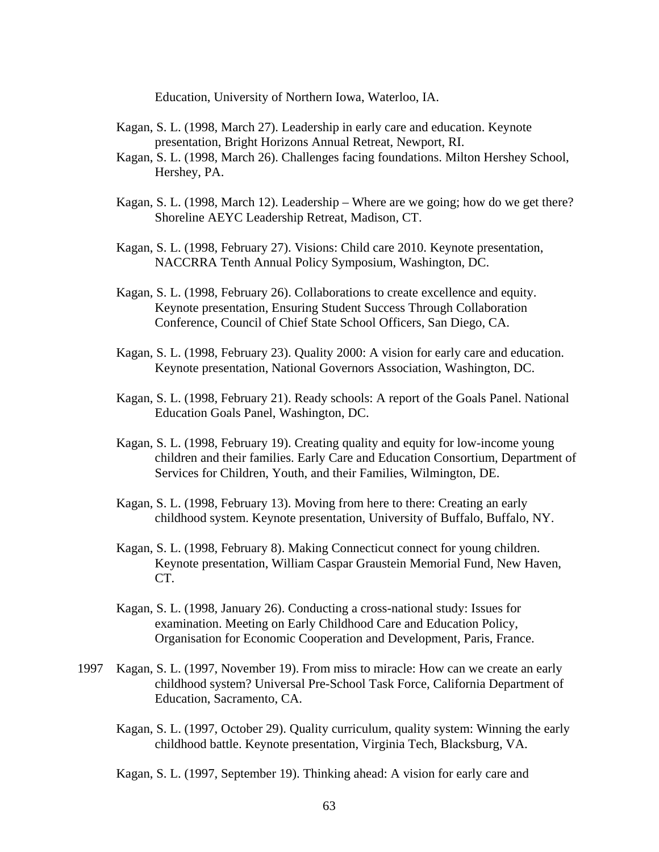Education, University of Northern Iowa, Waterloo, IA.

- Kagan, S. L. (1998, March 27). Leadership in early care and education. Keynote presentation, Bright Horizons Annual Retreat, Newport, RI.
- Kagan, S. L. (1998, March 26). Challenges facing foundations. Milton Hershey School, Hershey, PA.
- Kagan, S. L. (1998, March 12). Leadership Where are we going; how do we get there? Shoreline AEYC Leadership Retreat, Madison, CT.
- Kagan, S. L. (1998, February 27). Visions: Child care 2010. Keynote presentation, NACCRRA Tenth Annual Policy Symposium, Washington, DC.
- Kagan, S. L. (1998, February 26). Collaborations to create excellence and equity. Keynote presentation, Ensuring Student Success Through Collaboration Conference, Council of Chief State School Officers, San Diego, CA.
- Kagan, S. L. (1998, February 23). Quality 2000: A vision for early care and education. Keynote presentation, National Governors Association, Washington, DC.
- Kagan, S. L. (1998, February 21). Ready schools: A report of the Goals Panel. National Education Goals Panel, Washington, DC.
- Kagan, S. L. (1998, February 19). Creating quality and equity for low-income young children and their families. Early Care and Education Consortium, Department of Services for Children, Youth, and their Families, Wilmington, DE.
- Kagan, S. L. (1998, February 13). Moving from here to there: Creating an early childhood system. Keynote presentation, University of Buffalo, Buffalo, NY.
- Kagan, S. L. (1998, February 8). Making Connecticut connect for young children. Keynote presentation, William Caspar Graustein Memorial Fund, New Haven, CT.
- Kagan, S. L. (1998, January 26). Conducting a cross-national study: Issues for examination. Meeting on Early Childhood Care and Education Policy, Organisation for Economic Cooperation and Development, Paris, France.
- 1997 Kagan, S. L. (1997, November 19). From miss to miracle: How can we create an early childhood system? Universal Pre-School Task Force, California Department of Education, Sacramento, CA.
	- Kagan, S. L. (1997, October 29). Quality curriculum, quality system: Winning the early childhood battle. Keynote presentation, Virginia Tech, Blacksburg, VA.

Kagan, S. L. (1997, September 19). Thinking ahead: A vision for early care and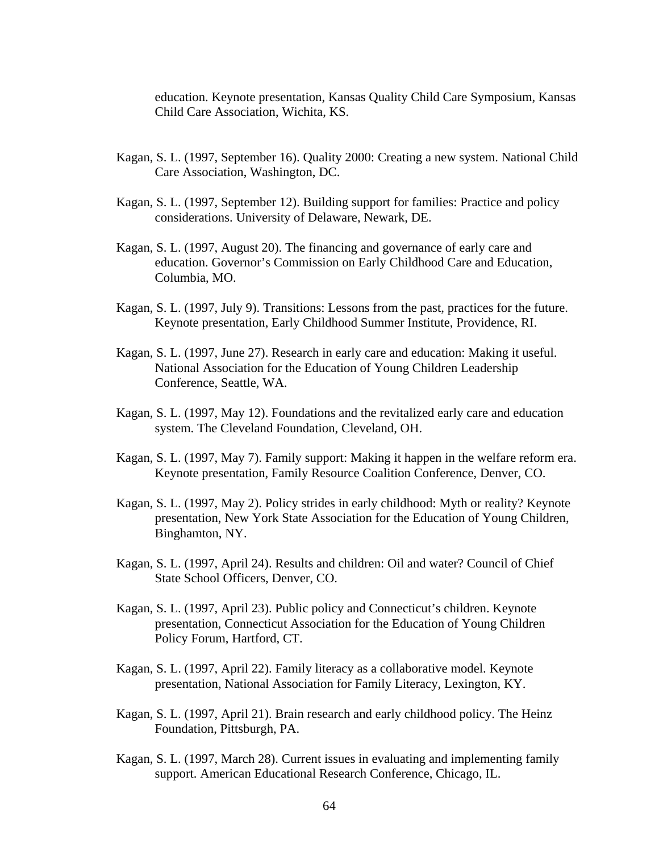education. Keynote presentation, Kansas Quality Child Care Symposium, Kansas Child Care Association, Wichita, KS.

- Kagan, S. L. (1997, September 16). Quality 2000: Creating a new system. National Child Care Association, Washington, DC.
- Kagan, S. L. (1997, September 12). Building support for families: Practice and policy considerations. University of Delaware, Newark, DE.
- Kagan, S. L. (1997, August 20). The financing and governance of early care and education. Governor's Commission on Early Childhood Care and Education, Columbia, MO.
- Kagan, S. L. (1997, July 9). Transitions: Lessons from the past, practices for the future. Keynote presentation, Early Childhood Summer Institute, Providence, RI.
- Kagan, S. L. (1997, June 27). Research in early care and education: Making it useful. National Association for the Education of Young Children Leadership Conference, Seattle, WA.
- Kagan, S. L. (1997, May 12). Foundations and the revitalized early care and education system. The Cleveland Foundation, Cleveland, OH.
- Kagan, S. L. (1997, May 7). Family support: Making it happen in the welfare reform era. Keynote presentation, Family Resource Coalition Conference, Denver, CO.
- Kagan, S. L. (1997, May 2). Policy strides in early childhood: Myth or reality? Keynote presentation, New York State Association for the Education of Young Children, Binghamton, NY.
- Kagan, S. L. (1997, April 24). Results and children: Oil and water? Council of Chief State School Officers, Denver, CO.
- Kagan, S. L. (1997, April 23). Public policy and Connecticut's children. Keynote presentation, Connecticut Association for the Education of Young Children Policy Forum, Hartford, CT.
- Kagan, S. L. (1997, April 22). Family literacy as a collaborative model. Keynote presentation, National Association for Family Literacy, Lexington, KY.
- Kagan, S. L. (1997, April 21). Brain research and early childhood policy. The Heinz Foundation, Pittsburgh, PA.
- Kagan, S. L. (1997, March 28). Current issues in evaluating and implementing family support. American Educational Research Conference, Chicago, IL.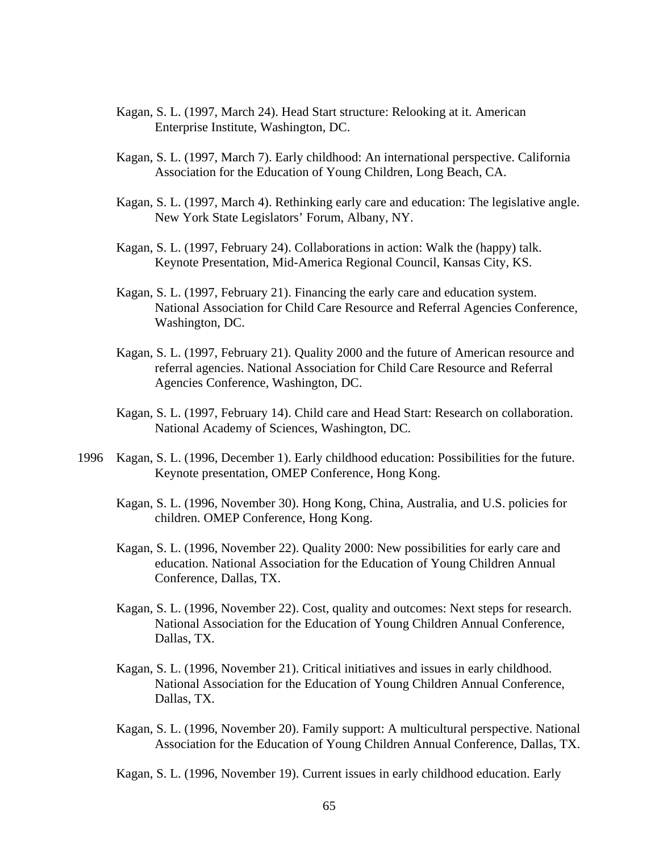- Kagan, S. L. (1997, March 24). Head Start structure: Relooking at it. American Enterprise Institute, Washington, DC.
- Kagan, S. L. (1997, March 7). Early childhood: An international perspective. California Association for the Education of Young Children, Long Beach, CA.
- Kagan, S. L. (1997, March 4). Rethinking early care and education: The legislative angle. New York State Legislators' Forum, Albany, NY.
- Kagan, S. L. (1997, February 24). Collaborations in action: Walk the (happy) talk. Keynote Presentation, Mid-America Regional Council, Kansas City, KS.
- Kagan, S. L. (1997, February 21). Financing the early care and education system. National Association for Child Care Resource and Referral Agencies Conference, Washington, DC.
- Kagan, S. L. (1997, February 21). Quality 2000 and the future of American resource and referral agencies. National Association for Child Care Resource and Referral Agencies Conference, Washington, DC.
- Kagan, S. L. (1997, February 14). Child care and Head Start: Research on collaboration. National Academy of Sciences, Washington, DC.
- 1996 Kagan, S. L. (1996, December 1). Early childhood education: Possibilities for the future. Keynote presentation, OMEP Conference, Hong Kong.
	- Kagan, S. L. (1996, November 30). Hong Kong, China, Australia, and U.S. policies for children. OMEP Conference, Hong Kong.
	- Kagan, S. L. (1996, November 22). Quality 2000: New possibilities for early care and education. National Association for the Education of Young Children Annual Conference, Dallas, TX.
	- Kagan, S. L. (1996, November 22). Cost, quality and outcomes: Next steps for research. National Association for the Education of Young Children Annual Conference, Dallas, TX.
	- Kagan, S. L. (1996, November 21). Critical initiatives and issues in early childhood. National Association for the Education of Young Children Annual Conference, Dallas, TX.
	- Kagan, S. L. (1996, November 20). Family support: A multicultural perspective. National Association for the Education of Young Children Annual Conference, Dallas, TX.

Kagan, S. L. (1996, November 19). Current issues in early childhood education. Early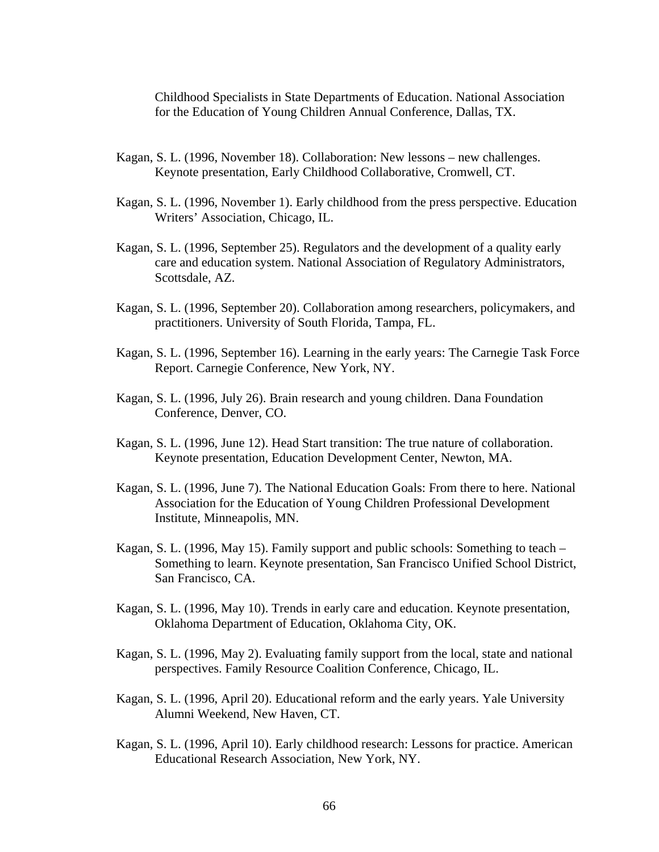Childhood Specialists in State Departments of Education. National Association for the Education of Young Children Annual Conference, Dallas, TX.

- Kagan, S. L. (1996, November 18). Collaboration: New lessons new challenges. Keynote presentation, Early Childhood Collaborative, Cromwell, CT.
- Kagan, S. L. (1996, November 1). Early childhood from the press perspective. Education Writers' Association, Chicago, IL.
- Kagan, S. L. (1996, September 25). Regulators and the development of a quality early care and education system. National Association of Regulatory Administrators, Scottsdale, AZ.
- Kagan, S. L. (1996, September 20). Collaboration among researchers, policymakers, and practitioners. University of South Florida, Tampa, FL.
- Kagan, S. L. (1996, September 16). Learning in the early years: The Carnegie Task Force Report. Carnegie Conference, New York, NY.
- Kagan, S. L. (1996, July 26). Brain research and young children. Dana Foundation Conference, Denver, CO.
- Kagan, S. L. (1996, June 12). Head Start transition: The true nature of collaboration. Keynote presentation, Education Development Center, Newton, MA.
- Kagan, S. L. (1996, June 7). The National Education Goals: From there to here. National Association for the Education of Young Children Professional Development Institute, Minneapolis, MN.
- Kagan, S. L. (1996, May 15). Family support and public schools: Something to teach Something to learn. Keynote presentation, San Francisco Unified School District, San Francisco, CA.
- Kagan, S. L. (1996, May 10). Trends in early care and education. Keynote presentation, Oklahoma Department of Education, Oklahoma City, OK.
- Kagan, S. L. (1996, May 2). Evaluating family support from the local, state and national perspectives. Family Resource Coalition Conference, Chicago, IL.
- Kagan, S. L. (1996, April 20). Educational reform and the early years. Yale University Alumni Weekend, New Haven, CT.
- Kagan, S. L. (1996, April 10). Early childhood research: Lessons for practice. American Educational Research Association, New York, NY.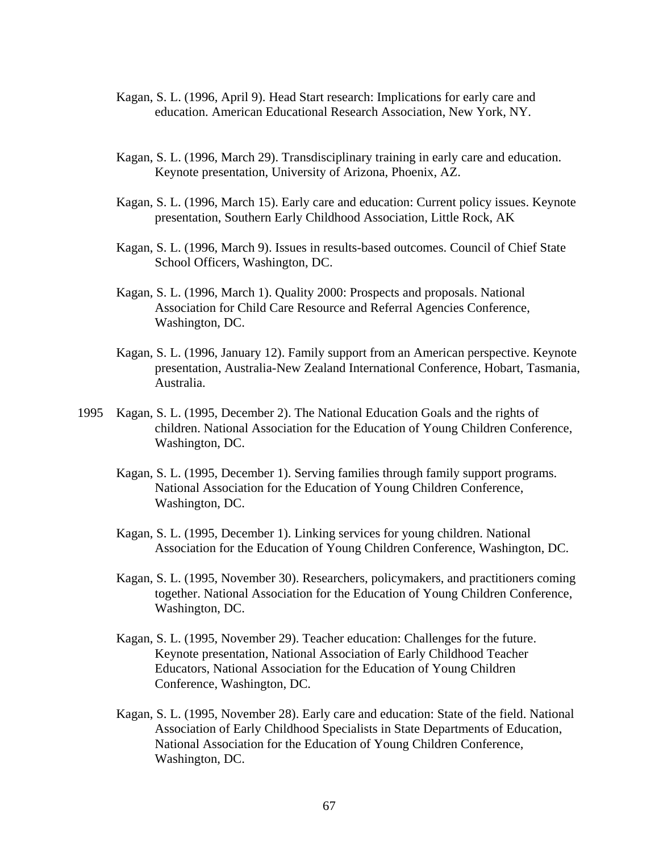- Kagan, S. L. (1996, April 9). Head Start research: Implications for early care and education. American Educational Research Association, New York, NY.
- Kagan, S. L. (1996, March 29). Transdisciplinary training in early care and education. Keynote presentation, University of Arizona, Phoenix, AZ.
- Kagan, S. L. (1996, March 15). Early care and education: Current policy issues. Keynote presentation, Southern Early Childhood Association, Little Rock, AK
- Kagan, S. L. (1996, March 9). Issues in results-based outcomes. Council of Chief State School Officers, Washington, DC.
- Kagan, S. L. (1996, March 1). Quality 2000: Prospects and proposals. National Association for Child Care Resource and Referral Agencies Conference, Washington, DC.
- Kagan, S. L. (1996, January 12). Family support from an American perspective. Keynote presentation, Australia-New Zealand International Conference, Hobart, Tasmania, Australia.
- 1995 Kagan, S. L. (1995, December 2). The National Education Goals and the rights of children. National Association for the Education of Young Children Conference, Washington, DC.
	- Kagan, S. L. (1995, December 1). Serving families through family support programs. National Association for the Education of Young Children Conference, Washington, DC.
	- Kagan, S. L. (1995, December 1). Linking services for young children. National Association for the Education of Young Children Conference, Washington, DC.
	- Kagan, S. L. (1995, November 30). Researchers, policymakers, and practitioners coming together. National Association for the Education of Young Children Conference, Washington, DC.
	- Kagan, S. L. (1995, November 29). Teacher education: Challenges for the future. Keynote presentation, National Association of Early Childhood Teacher Educators, National Association for the Education of Young Children Conference, Washington, DC.
	- Kagan, S. L. (1995, November 28). Early care and education: State of the field. National Association of Early Childhood Specialists in State Departments of Education, National Association for the Education of Young Children Conference, Washington, DC.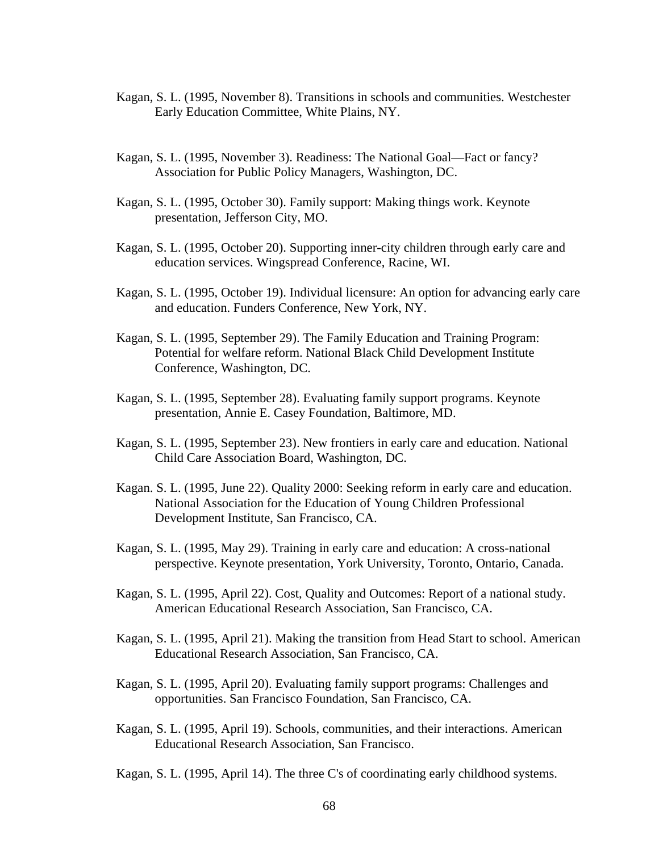- Kagan, S. L. (1995, November 8). Transitions in schools and communities. Westchester Early Education Committee, White Plains, NY.
- Kagan, S. L. (1995, November 3). Readiness: The National Goal—Fact or fancy? Association for Public Policy Managers, Washington, DC.
- Kagan, S. L. (1995, October 30). Family support: Making things work. Keynote presentation, Jefferson City, MO.
- Kagan, S. L. (1995, October 20). Supporting inner-city children through early care and education services. Wingspread Conference, Racine, WI.
- Kagan, S. L. (1995, October 19). Individual licensure: An option for advancing early care and education. Funders Conference, New York, NY.
- Kagan, S. L. (1995, September 29). The Family Education and Training Program: Potential for welfare reform. National Black Child Development Institute Conference, Washington, DC.
- Kagan, S. L. (1995, September 28). Evaluating family support programs. Keynote presentation, Annie E. Casey Foundation, Baltimore, MD.
- Kagan, S. L. (1995, September 23). New frontiers in early care and education. National Child Care Association Board, Washington, DC.
- Kagan. S. L. (1995, June 22). Quality 2000: Seeking reform in early care and education. National Association for the Education of Young Children Professional Development Institute, San Francisco, CA.
- Kagan, S. L. (1995, May 29). Training in early care and education: A cross-national perspective. Keynote presentation, York University, Toronto, Ontario, Canada.
- Kagan, S. L. (1995, April 22). Cost, Quality and Outcomes: Report of a national study. American Educational Research Association, San Francisco, CA.
- Kagan, S. L. (1995, April 21). Making the transition from Head Start to school. American Educational Research Association, San Francisco, CA.
- Kagan, S. L. (1995, April 20). Evaluating family support programs: Challenges and opportunities. San Francisco Foundation, San Francisco, CA.
- Kagan, S. L. (1995, April 19). Schools, communities, and their interactions. American Educational Research Association, San Francisco.

Kagan, S. L. (1995, April 14). The three C's of coordinating early childhood systems.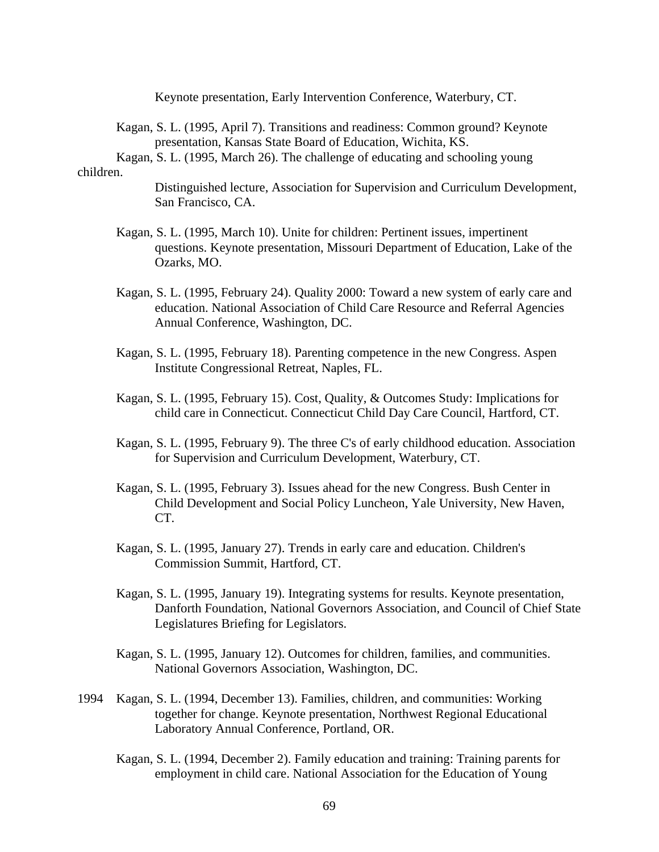Keynote presentation, Early Intervention Conference, Waterbury, CT.

Kagan, S. L. (1995, April 7). Transitions and readiness: Common ground? Keynote presentation, Kansas State Board of Education, Wichita, KS.

 Kagan, S. L. (1995, March 26). The challenge of educating and schooling young children.

> Distinguished lecture, Association for Supervision and Curriculum Development, San Francisco, CA.

- Kagan, S. L. (1995, March 10). Unite for children: Pertinent issues, impertinent questions. Keynote presentation, Missouri Department of Education, Lake of the Ozarks, MO.
- Kagan, S. L. (1995, February 24). Quality 2000: Toward a new system of early care and education. National Association of Child Care Resource and Referral Agencies Annual Conference, Washington, DC.
- Kagan, S. L. (1995, February 18). Parenting competence in the new Congress. Aspen Institute Congressional Retreat, Naples, FL.
- Kagan, S. L. (1995, February 15). Cost, Quality, & Outcomes Study: Implications for child care in Connecticut. Connecticut Child Day Care Council, Hartford, CT.
- Kagan, S. L. (1995, February 9). The three C's of early childhood education. Association for Supervision and Curriculum Development, Waterbury, CT.
- Kagan, S. L. (1995, February 3). Issues ahead for the new Congress. Bush Center in Child Development and Social Policy Luncheon, Yale University, New Haven, CT.
- Kagan, S. L. (1995, January 27). Trends in early care and education. Children's Commission Summit, Hartford, CT.
- Kagan, S. L. (1995, January 19). Integrating systems for results. Keynote presentation, Danforth Foundation, National Governors Association, and Council of Chief State Legislatures Briefing for Legislators.
- Kagan, S. L. (1995, January 12). Outcomes for children, families, and communities. National Governors Association, Washington, DC.
- 1994 Kagan, S. L. (1994, December 13). Families, children, and communities: Working together for change. Keynote presentation, Northwest Regional Educational Laboratory Annual Conference, Portland, OR.
	- Kagan, S. L. (1994, December 2). Family education and training: Training parents for employment in child care. National Association for the Education of Young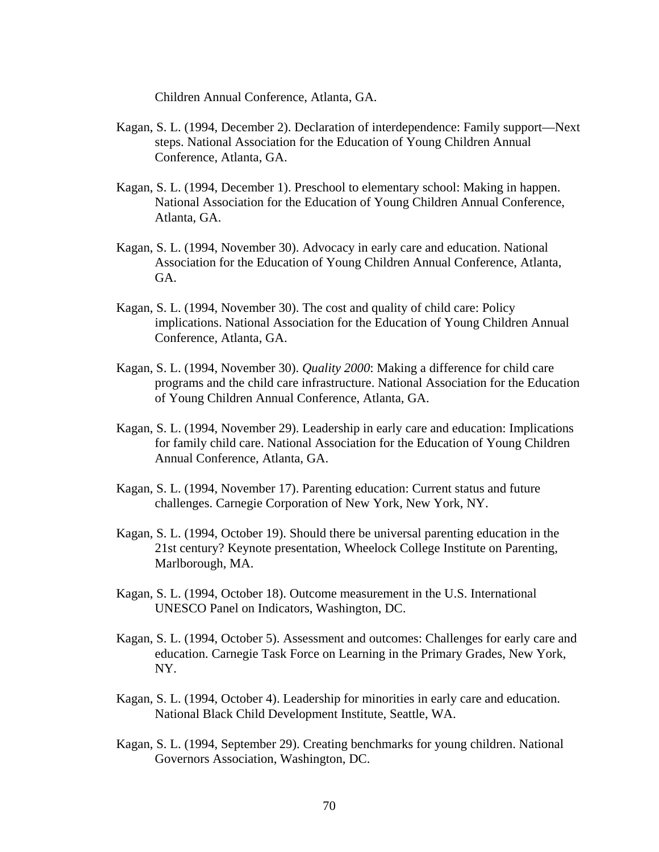Children Annual Conference, Atlanta, GA.

- Kagan, S. L. (1994, December 2). Declaration of interdependence: Family support—Next steps. National Association for the Education of Young Children Annual Conference, Atlanta, GA.
- Kagan, S. L. (1994, December 1). Preschool to elementary school: Making in happen. National Association for the Education of Young Children Annual Conference, Atlanta, GA.
- Kagan, S. L. (1994, November 30). Advocacy in early care and education. National Association for the Education of Young Children Annual Conference, Atlanta, GA.
- Kagan, S. L. (1994, November 30). The cost and quality of child care: Policy implications. National Association for the Education of Young Children Annual Conference, Atlanta, GA.
- Kagan, S. L. (1994, November 30). *Quality 2000*: Making a difference for child care programs and the child care infrastructure. National Association for the Education of Young Children Annual Conference, Atlanta, GA.
- Kagan, S. L. (1994, November 29). Leadership in early care and education: Implications for family child care. National Association for the Education of Young Children Annual Conference, Atlanta, GA.
- Kagan, S. L. (1994, November 17). Parenting education: Current status and future challenges. Carnegie Corporation of New York, New York, NY.
- Kagan, S. L. (1994, October 19). Should there be universal parenting education in the 21st century? Keynote presentation, Wheelock College Institute on Parenting, Marlborough, MA.
- Kagan, S. L. (1994, October 18). Outcome measurement in the U.S. International UNESCO Panel on Indicators, Washington, DC.
- Kagan, S. L. (1994, October 5). Assessment and outcomes: Challenges for early care and education. Carnegie Task Force on Learning in the Primary Grades, New York, NY.
- Kagan, S. L. (1994, October 4). Leadership for minorities in early care and education. National Black Child Development Institute, Seattle, WA.
- Kagan, S. L. (1994, September 29). Creating benchmarks for young children. National Governors Association, Washington, DC.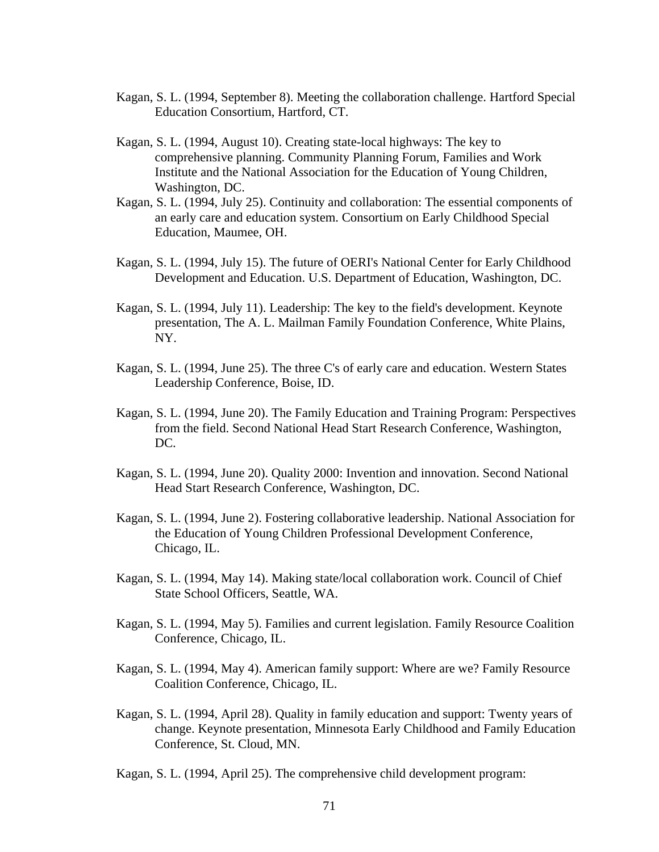- Kagan, S. L. (1994, September 8). Meeting the collaboration challenge. Hartford Special Education Consortium, Hartford, CT.
- Kagan, S. L. (1994, August 10). Creating state-local highways: The key to comprehensive planning. Community Planning Forum, Families and Work Institute and the National Association for the Education of Young Children, Washington, DC.
- Kagan, S. L. (1994, July 25). Continuity and collaboration: The essential components of an early care and education system. Consortium on Early Childhood Special Education, Maumee, OH.
- Kagan, S. L. (1994, July 15). The future of OERI's National Center for Early Childhood Development and Education. U.S. Department of Education, Washington, DC.
- Kagan, S. L. (1994, July 11). Leadership: The key to the field's development. Keynote presentation, The A. L. Mailman Family Foundation Conference, White Plains, NY.
- Kagan, S. L. (1994, June 25). The three C's of early care and education. Western States Leadership Conference, Boise, ID.
- Kagan, S. L. (1994, June 20). The Family Education and Training Program: Perspectives from the field. Second National Head Start Research Conference, Washington, DC.
- Kagan, S. L. (1994, June 20). Quality 2000: Invention and innovation. Second National Head Start Research Conference, Washington, DC.
- Kagan, S. L. (1994, June 2). Fostering collaborative leadership. National Association for the Education of Young Children Professional Development Conference, Chicago, IL.
- Kagan, S. L. (1994, May 14). Making state/local collaboration work. Council of Chief State School Officers, Seattle, WA.
- Kagan, S. L. (1994, May 5). Families and current legislation. Family Resource Coalition Conference, Chicago, IL.
- Kagan, S. L. (1994, May 4). American family support: Where are we? Family Resource Coalition Conference, Chicago, IL.
- Kagan, S. L. (1994, April 28). Quality in family education and support: Twenty years of change. Keynote presentation, Minnesota Early Childhood and Family Education Conference, St. Cloud, MN.
- Kagan, S. L. (1994, April 25). The comprehensive child development program: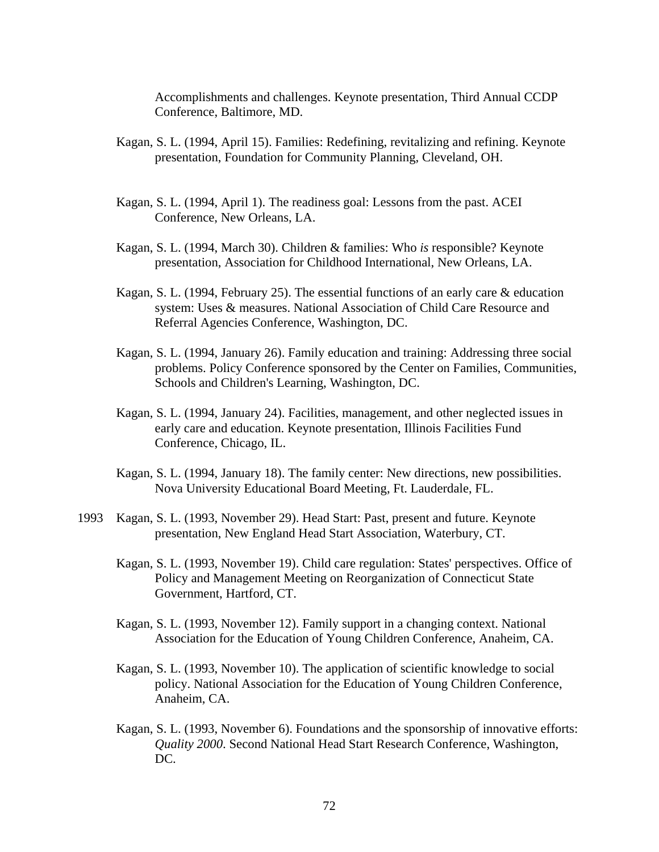Accomplishments and challenges. Keynote presentation, Third Annual CCDP Conference, Baltimore, MD.

- Kagan, S. L. (1994, April 15). Families: Redefining, revitalizing and refining. Keynote presentation, Foundation for Community Planning, Cleveland, OH.
- Kagan, S. L. (1994, April 1). The readiness goal: Lessons from the past. ACEI Conference, New Orleans, LA.
- Kagan, S. L. (1994, March 30). Children & families: Who *is* responsible? Keynote presentation, Association for Childhood International, New Orleans, LA.
- Kagan, S. L. (1994, February 25). The essential functions of an early care & education system: Uses & measures. National Association of Child Care Resource and Referral Agencies Conference, Washington, DC.
- Kagan, S. L. (1994, January 26). Family education and training: Addressing three social problems. Policy Conference sponsored by the Center on Families, Communities, Schools and Children's Learning, Washington, DC.
- Kagan, S. L. (1994, January 24). Facilities, management, and other neglected issues in early care and education. Keynote presentation, Illinois Facilities Fund Conference, Chicago, IL.
- Kagan, S. L. (1994, January 18). The family center: New directions, new possibilities. Nova University Educational Board Meeting, Ft. Lauderdale, FL.
- 1993 Kagan, S. L. (1993, November 29). Head Start: Past, present and future. Keynote presentation, New England Head Start Association, Waterbury, CT.
	- Kagan, S. L. (1993, November 19). Child care regulation: States' perspectives. Office of Policy and Management Meeting on Reorganization of Connecticut State Government, Hartford, CT.
	- Kagan, S. L. (1993, November 12). Family support in a changing context. National Association for the Education of Young Children Conference, Anaheim, CA.
	- Kagan, S. L. (1993, November 10). The application of scientific knowledge to social policy. National Association for the Education of Young Children Conference, Anaheim, CA.
	- Kagan, S. L. (1993, November 6). Foundations and the sponsorship of innovative efforts: *Quality 2000*. Second National Head Start Research Conference, Washington, DC.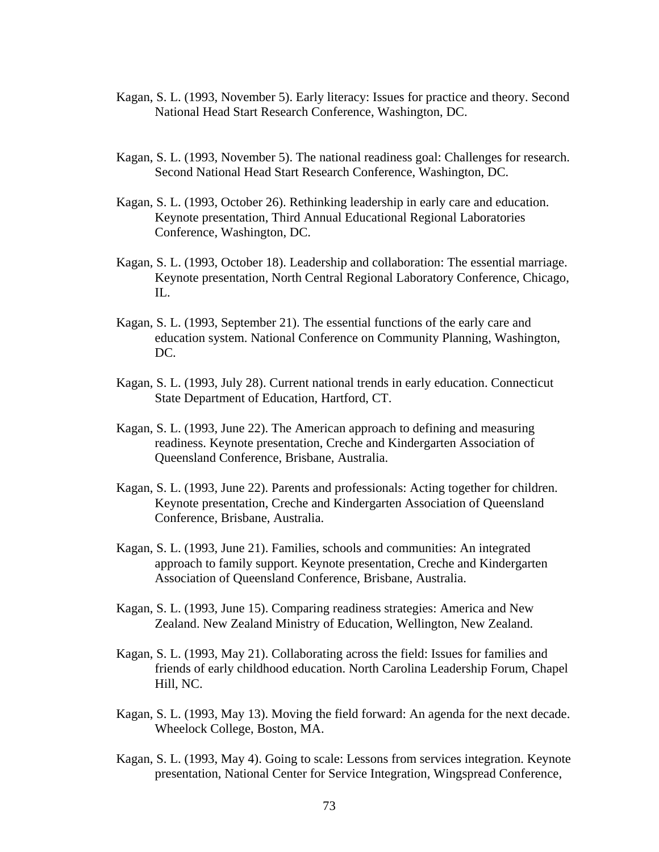- Kagan, S. L. (1993, November 5). Early literacy: Issues for practice and theory. Second National Head Start Research Conference, Washington, DC.
- Kagan, S. L. (1993, November 5). The national readiness goal: Challenges for research. Second National Head Start Research Conference, Washington, DC.
- Kagan, S. L. (1993, October 26). Rethinking leadership in early care and education. Keynote presentation, Third Annual Educational Regional Laboratories Conference, Washington, DC.
- Kagan, S. L. (1993, October 18). Leadership and collaboration: The essential marriage. Keynote presentation, North Central Regional Laboratory Conference, Chicago,  $\Pi$ .
- Kagan, S. L. (1993, September 21). The essential functions of the early care and education system. National Conference on Community Planning, Washington, DC.
- Kagan, S. L. (1993, July 28). Current national trends in early education. Connecticut State Department of Education, Hartford, CT.
- Kagan, S. L. (1993, June 22). The American approach to defining and measuring readiness. Keynote presentation, Creche and Kindergarten Association of Queensland Conference, Brisbane, Australia.
- Kagan, S. L. (1993, June 22). Parents and professionals: Acting together for children. Keynote presentation, Creche and Kindergarten Association of Queensland Conference, Brisbane, Australia.
- Kagan, S. L. (1993, June 21). Families, schools and communities: An integrated approach to family support. Keynote presentation, Creche and Kindergarten Association of Queensland Conference, Brisbane, Australia.
- Kagan, S. L. (1993, June 15). Comparing readiness strategies: America and New Zealand. New Zealand Ministry of Education, Wellington, New Zealand.
- Kagan, S. L. (1993, May 21). Collaborating across the field: Issues for families and friends of early childhood education. North Carolina Leadership Forum, Chapel Hill, NC.
- Kagan, S. L. (1993, May 13). Moving the field forward: An agenda for the next decade. Wheelock College, Boston, MA.
- Kagan, S. L. (1993, May 4). Going to scale: Lessons from services integration. Keynote presentation, National Center for Service Integration, Wingspread Conference,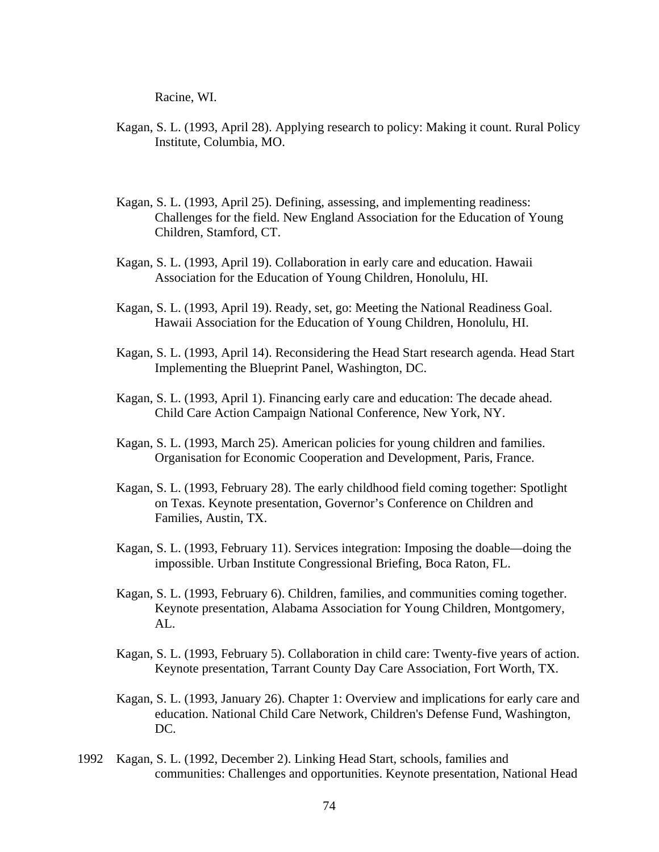Racine, WI.

- Kagan, S. L. (1993, April 28). Applying research to policy: Making it count. Rural Policy Institute, Columbia, MO.
- Kagan, S. L. (1993, April 25). Defining, assessing, and implementing readiness: Challenges for the field. New England Association for the Education of Young Children, Stamford, CT.
- Kagan, S. L. (1993, April 19). Collaboration in early care and education. Hawaii Association for the Education of Young Children, Honolulu, HI.
- Kagan, S. L. (1993, April 19). Ready, set, go: Meeting the National Readiness Goal. Hawaii Association for the Education of Young Children, Honolulu, HI.
- Kagan, S. L. (1993, April 14). Reconsidering the Head Start research agenda. Head Start Implementing the Blueprint Panel, Washington, DC.
- Kagan, S. L. (1993, April 1). Financing early care and education: The decade ahead. Child Care Action Campaign National Conference, New York, NY.
- Kagan, S. L. (1993, March 25). American policies for young children and families. Organisation for Economic Cooperation and Development, Paris, France.
- Kagan, S. L. (1993, February 28). The early childhood field coming together: Spotlight on Texas. Keynote presentation, Governor's Conference on Children and Families, Austin, TX.
- Kagan, S. L. (1993, February 11). Services integration: Imposing the doable—doing the impossible. Urban Institute Congressional Briefing, Boca Raton, FL.
- Kagan, S. L. (1993, February 6). Children, families, and communities coming together. Keynote presentation, Alabama Association for Young Children, Montgomery, AL.
- Kagan, S. L. (1993, February 5). Collaboration in child care: Twenty-five years of action. Keynote presentation, Tarrant County Day Care Association, Fort Worth, TX.
- Kagan, S. L. (1993, January 26). Chapter 1: Overview and implications for early care and education. National Child Care Network, Children's Defense Fund, Washington, DC.
- 1992 Kagan, S. L. (1992, December 2). Linking Head Start, schools, families and communities: Challenges and opportunities. Keynote presentation, National Head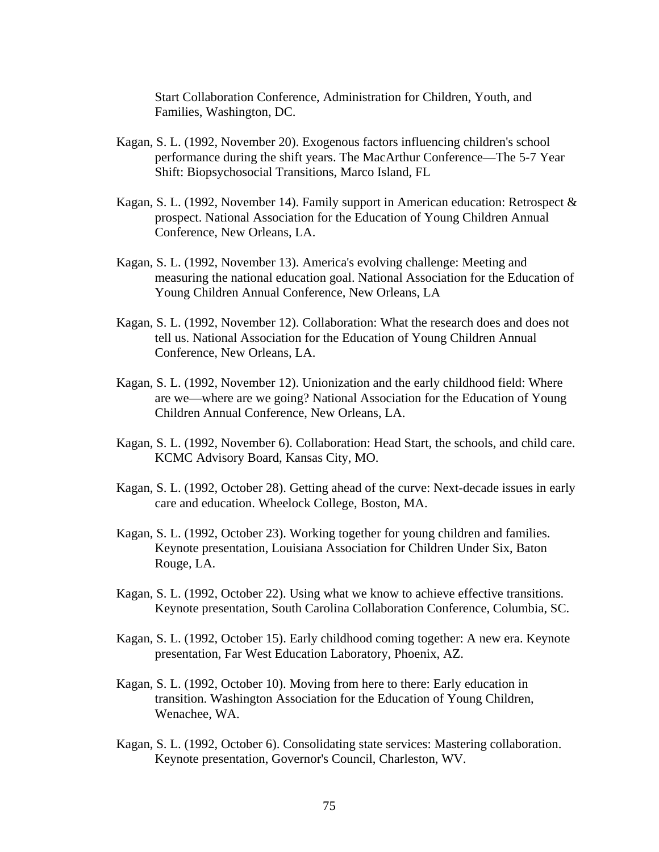Start Collaboration Conference, Administration for Children, Youth, and Families, Washington, DC.

- Kagan, S. L. (1992, November 20). Exogenous factors influencing children's school performance during the shift years. The MacArthur Conference—The 5-7 Year Shift: Biopsychosocial Transitions, Marco Island, FL
- Kagan, S. L. (1992, November 14). Family support in American education: Retrospect & prospect. National Association for the Education of Young Children Annual Conference, New Orleans, LA.
- Kagan, S. L. (1992, November 13). America's evolving challenge: Meeting and measuring the national education goal. National Association for the Education of Young Children Annual Conference, New Orleans, LA
- Kagan, S. L. (1992, November 12). Collaboration: What the research does and does not tell us. National Association for the Education of Young Children Annual Conference, New Orleans, LA.
- Kagan, S. L. (1992, November 12). Unionization and the early childhood field: Where are we—where are we going? National Association for the Education of Young Children Annual Conference, New Orleans, LA.
- Kagan, S. L. (1992, November 6). Collaboration: Head Start, the schools, and child care. KCMC Advisory Board, Kansas City, MO.
- Kagan, S. L. (1992, October 28). Getting ahead of the curve: Next-decade issues in early care and education. Wheelock College, Boston, MA.
- Kagan, S. L. (1992, October 23). Working together for young children and families. Keynote presentation, Louisiana Association for Children Under Six, Baton Rouge, LA.
- Kagan, S. L. (1992, October 22). Using what we know to achieve effective transitions. Keynote presentation, South Carolina Collaboration Conference, Columbia, SC.
- Kagan, S. L. (1992, October 15). Early childhood coming together: A new era. Keynote presentation, Far West Education Laboratory, Phoenix, AZ.
- Kagan, S. L. (1992, October 10). Moving from here to there: Early education in transition. Washington Association for the Education of Young Children, Wenachee, WA.
- Kagan, S. L. (1992, October 6). Consolidating state services: Mastering collaboration. Keynote presentation, Governor's Council, Charleston, WV.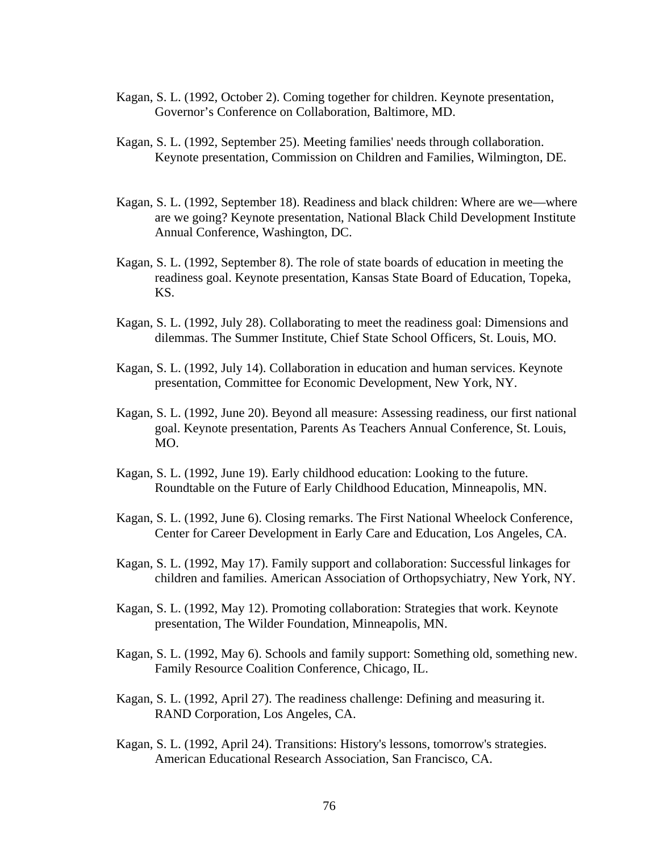- Kagan, S. L. (1992, October 2). Coming together for children. Keynote presentation, Governor's Conference on Collaboration, Baltimore, MD.
- Kagan, S. L. (1992, September 25). Meeting families' needs through collaboration. Keynote presentation, Commission on Children and Families, Wilmington, DE.
- Kagan, S. L. (1992, September 18). Readiness and black children: Where are we—where are we going? Keynote presentation, National Black Child Development Institute Annual Conference, Washington, DC.
- Kagan, S. L. (1992, September 8). The role of state boards of education in meeting the readiness goal. Keynote presentation, Kansas State Board of Education, Topeka, KS.
- Kagan, S. L. (1992, July 28). Collaborating to meet the readiness goal: Dimensions and dilemmas. The Summer Institute, Chief State School Officers, St. Louis, MO.
- Kagan, S. L. (1992, July 14). Collaboration in education and human services. Keynote presentation, Committee for Economic Development, New York, NY.
- Kagan, S. L. (1992, June 20). Beyond all measure: Assessing readiness, our first national goal. Keynote presentation, Parents As Teachers Annual Conference, St. Louis, MO.
- Kagan, S. L. (1992, June 19). Early childhood education: Looking to the future. Roundtable on the Future of Early Childhood Education, Minneapolis, MN.
- Kagan, S. L. (1992, June 6). Closing remarks. The First National Wheelock Conference, Center for Career Development in Early Care and Education, Los Angeles, CA.
- Kagan, S. L. (1992, May 17). Family support and collaboration: Successful linkages for children and families. American Association of Orthopsychiatry, New York, NY.
- Kagan, S. L. (1992, May 12). Promoting collaboration: Strategies that work. Keynote presentation, The Wilder Foundation, Minneapolis, MN.
- Kagan, S. L. (1992, May 6). Schools and family support: Something old, something new. Family Resource Coalition Conference, Chicago, IL.
- Kagan, S. L. (1992, April 27). The readiness challenge: Defining and measuring it. RAND Corporation, Los Angeles, CA.
- Kagan, S. L. (1992, April 24). Transitions: History's lessons, tomorrow's strategies. American Educational Research Association, San Francisco, CA.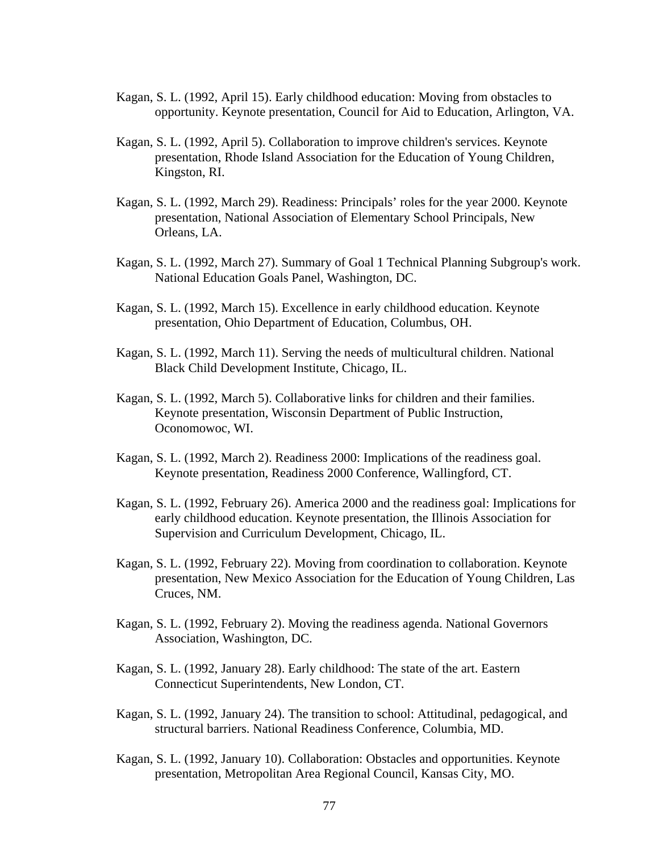- Kagan, S. L. (1992, April 15). Early childhood education: Moving from obstacles to opportunity. Keynote presentation, Council for Aid to Education, Arlington, VA.
- Kagan, S. L. (1992, April 5). Collaboration to improve children's services. Keynote presentation, Rhode Island Association for the Education of Young Children, Kingston, RI.
- Kagan, S. L. (1992, March 29). Readiness: Principals' roles for the year 2000. Keynote presentation, National Association of Elementary School Principals, New Orleans, LA.
- Kagan, S. L. (1992, March 27). Summary of Goal 1 Technical Planning Subgroup's work. National Education Goals Panel, Washington, DC.
- Kagan, S. L. (1992, March 15). Excellence in early childhood education. Keynote presentation, Ohio Department of Education, Columbus, OH.
- Kagan, S. L. (1992, March 11). Serving the needs of multicultural children. National Black Child Development Institute, Chicago, IL.
- Kagan, S. L. (1992, March 5). Collaborative links for children and their families. Keynote presentation, Wisconsin Department of Public Instruction, Oconomowoc, WI.
- Kagan, S. L. (1992, March 2). Readiness 2000: Implications of the readiness goal. Keynote presentation, Readiness 2000 Conference, Wallingford, CT.
- Kagan, S. L. (1992, February 26). America 2000 and the readiness goal: Implications for early childhood education. Keynote presentation, the Illinois Association for Supervision and Curriculum Development, Chicago, IL.
- Kagan, S. L. (1992, February 22). Moving from coordination to collaboration. Keynote presentation, New Mexico Association for the Education of Young Children, Las Cruces, NM.
- Kagan, S. L. (1992, February 2). Moving the readiness agenda. National Governors Association, Washington, DC.
- Kagan, S. L. (1992, January 28). Early childhood: The state of the art. Eastern Connecticut Superintendents, New London, CT.
- Kagan, S. L. (1992, January 24). The transition to school: Attitudinal, pedagogical, and structural barriers. National Readiness Conference, Columbia, MD.
- Kagan, S. L. (1992, January 10). Collaboration: Obstacles and opportunities. Keynote presentation, Metropolitan Area Regional Council, Kansas City, MO.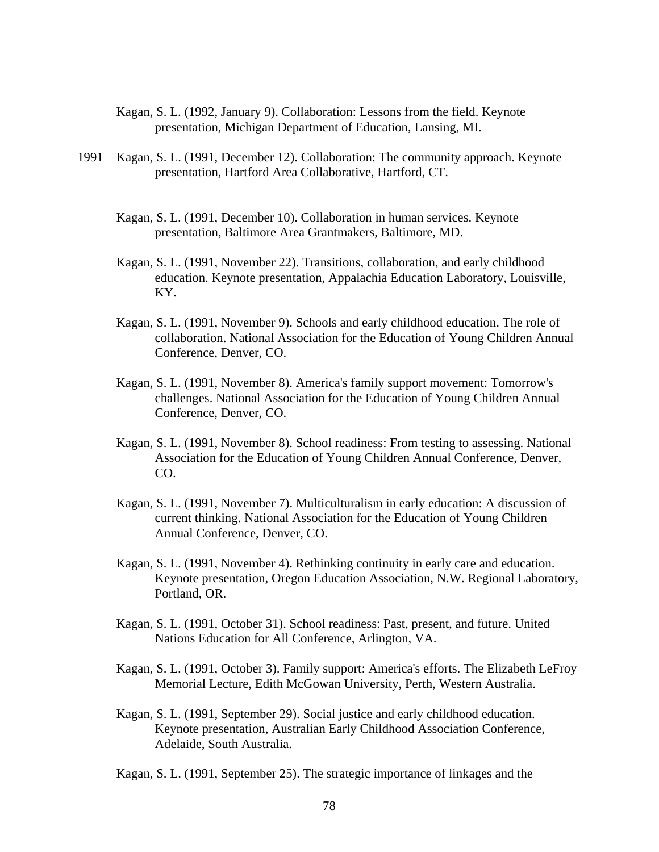- Kagan, S. L. (1992, January 9). Collaboration: Lessons from the field. Keynote presentation, Michigan Department of Education, Lansing, MI.
- 1991 Kagan, S. L. (1991, December 12). Collaboration: The community approach. Keynote presentation, Hartford Area Collaborative, Hartford, CT.
	- Kagan, S. L. (1991, December 10). Collaboration in human services. Keynote presentation, Baltimore Area Grantmakers, Baltimore, MD.
	- Kagan, S. L. (1991, November 22). Transitions, collaboration, and early childhood education. Keynote presentation, Appalachia Education Laboratory, Louisville, KY.
	- Kagan, S. L. (1991, November 9). Schools and early childhood education. The role of collaboration. National Association for the Education of Young Children Annual Conference, Denver, CO.
	- Kagan, S. L. (1991, November 8). America's family support movement: Tomorrow's challenges. National Association for the Education of Young Children Annual Conference, Denver, CO.
	- Kagan, S. L. (1991, November 8). School readiness: From testing to assessing. National Association for the Education of Young Children Annual Conference, Denver, CO.
	- Kagan, S. L. (1991, November 7). Multiculturalism in early education: A discussion of current thinking. National Association for the Education of Young Children Annual Conference, Denver, CO.
	- Kagan, S. L. (1991, November 4). Rethinking continuity in early care and education. Keynote presentation, Oregon Education Association, N.W. Regional Laboratory, Portland, OR.
	- Kagan, S. L. (1991, October 31). School readiness: Past, present, and future. United Nations Education for All Conference, Arlington, VA.
	- Kagan, S. L. (1991, October 3). Family support: America's efforts. The Elizabeth LeFroy Memorial Lecture, Edith McGowan University, Perth, Western Australia.
	- Kagan, S. L. (1991, September 29). Social justice and early childhood education. Keynote presentation, Australian Early Childhood Association Conference, Adelaide, South Australia.

Kagan, S. L. (1991, September 25). The strategic importance of linkages and the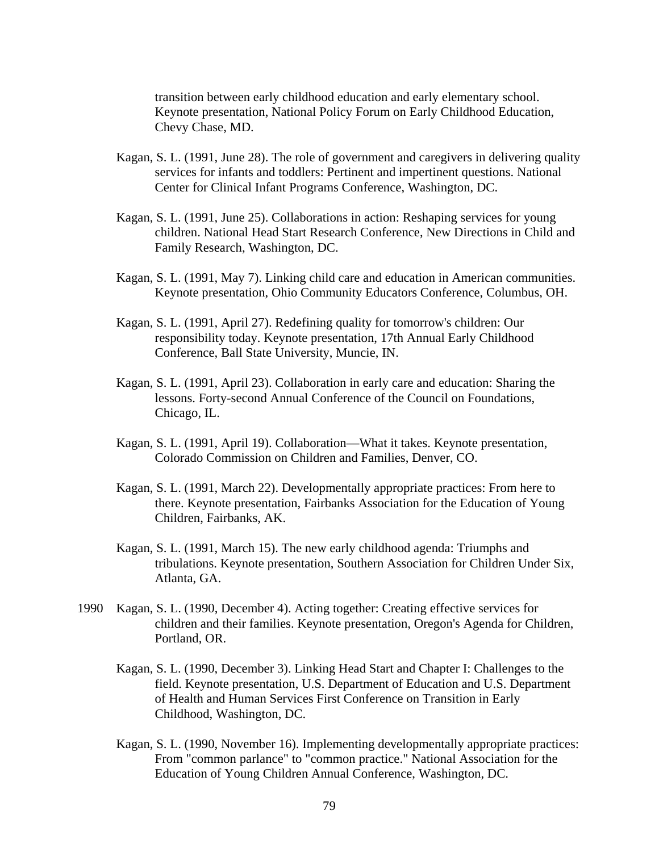transition between early childhood education and early elementary school. Keynote presentation, National Policy Forum on Early Childhood Education, Chevy Chase, MD.

- Kagan, S. L. (1991, June 28). The role of government and caregivers in delivering quality services for infants and toddlers: Pertinent and impertinent questions. National Center for Clinical Infant Programs Conference, Washington, DC.
- Kagan, S. L. (1991, June 25). Collaborations in action: Reshaping services for young children. National Head Start Research Conference, New Directions in Child and Family Research, Washington, DC.
- Kagan, S. L. (1991, May 7). Linking child care and education in American communities. Keynote presentation, Ohio Community Educators Conference, Columbus, OH.
- Kagan, S. L. (1991, April 27). Redefining quality for tomorrow's children: Our responsibility today. Keynote presentation, 17th Annual Early Childhood Conference, Ball State University, Muncie, IN.
- Kagan, S. L. (1991, April 23). Collaboration in early care and education: Sharing the lessons. Forty-second Annual Conference of the Council on Foundations, Chicago, IL.
- Kagan, S. L. (1991, April 19). Collaboration—What it takes. Keynote presentation, Colorado Commission on Children and Families, Denver, CO.
- Kagan, S. L. (1991, March 22). Developmentally appropriate practices: From here to there. Keynote presentation, Fairbanks Association for the Education of Young Children, Fairbanks, AK.
- Kagan, S. L. (1991, March 15). The new early childhood agenda: Triumphs and tribulations. Keynote presentation, Southern Association for Children Under Six, Atlanta, GA.
- 1990 Kagan, S. L. (1990, December 4). Acting together: Creating effective services for children and their families. Keynote presentation, Oregon's Agenda for Children, Portland, OR.
	- Kagan, S. L. (1990, December 3). Linking Head Start and Chapter I: Challenges to the field. Keynote presentation, U.S. Department of Education and U.S. Department of Health and Human Services First Conference on Transition in Early Childhood, Washington, DC.
	- Kagan, S. L. (1990, November 16). Implementing developmentally appropriate practices: From "common parlance" to "common practice." National Association for the Education of Young Children Annual Conference, Washington, DC.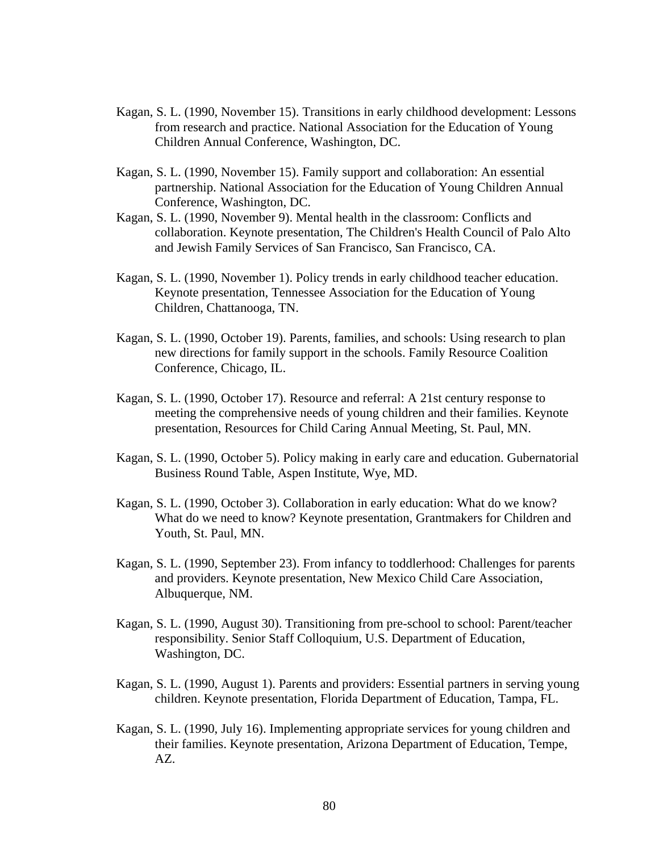- Kagan, S. L. (1990, November 15). Transitions in early childhood development: Lessons from research and practice. National Association for the Education of Young Children Annual Conference, Washington, DC.
- Kagan, S. L. (1990, November 15). Family support and collaboration: An essential partnership. National Association for the Education of Young Children Annual Conference, Washington, DC.
- Kagan, S. L. (1990, November 9). Mental health in the classroom: Conflicts and collaboration. Keynote presentation, The Children's Health Council of Palo Alto and Jewish Family Services of San Francisco, San Francisco, CA.
- Kagan, S. L. (1990, November 1). Policy trends in early childhood teacher education. Keynote presentation, Tennessee Association for the Education of Young Children, Chattanooga, TN.
- Kagan, S. L. (1990, October 19). Parents, families, and schools: Using research to plan new directions for family support in the schools. Family Resource Coalition Conference, Chicago, IL.
- Kagan, S. L. (1990, October 17). Resource and referral: A 21st century response to meeting the comprehensive needs of young children and their families. Keynote presentation, Resources for Child Caring Annual Meeting, St. Paul, MN.
- Kagan, S. L. (1990, October 5). Policy making in early care and education. Gubernatorial Business Round Table, Aspen Institute, Wye, MD.
- Kagan, S. L. (1990, October 3). Collaboration in early education: What do we know? What do we need to know? Keynote presentation, Grantmakers for Children and Youth, St. Paul, MN.
- Kagan, S. L. (1990, September 23). From infancy to toddlerhood: Challenges for parents and providers. Keynote presentation, New Mexico Child Care Association, Albuquerque, NM.
- Kagan, S. L. (1990, August 30). Transitioning from pre-school to school: Parent/teacher responsibility. Senior Staff Colloquium, U.S. Department of Education, Washington, DC.
- Kagan, S. L. (1990, August 1). Parents and providers: Essential partners in serving young children. Keynote presentation, Florida Department of Education, Tampa, FL.
- Kagan, S. L. (1990, July 16). Implementing appropriate services for young children and their families. Keynote presentation, Arizona Department of Education, Tempe, AZ.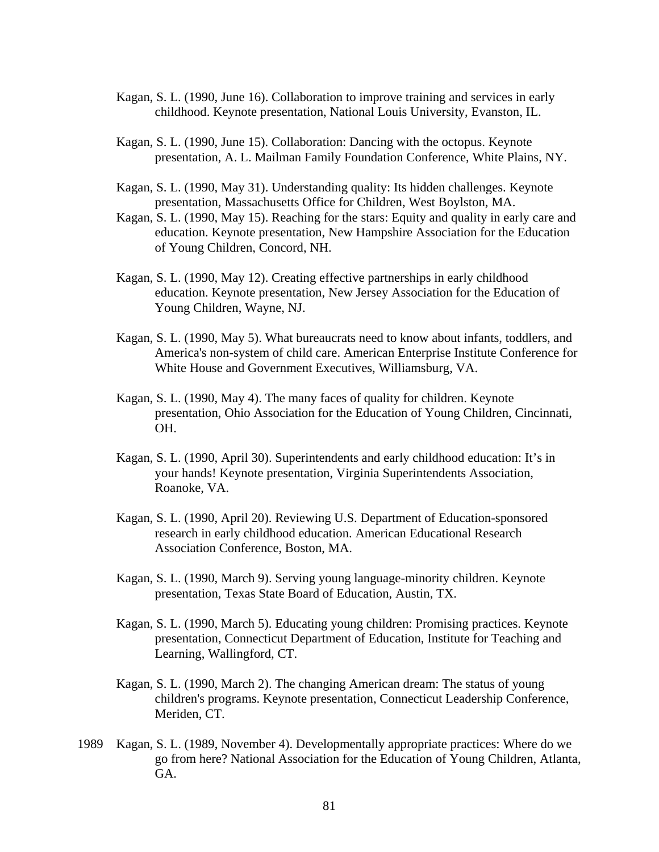- Kagan, S. L. (1990, June 16). Collaboration to improve training and services in early childhood. Keynote presentation, National Louis University, Evanston, IL.
- Kagan, S. L. (1990, June 15). Collaboration: Dancing with the octopus. Keynote presentation, A. L. Mailman Family Foundation Conference, White Plains, NY.
- Kagan, S. L. (1990, May 31). Understanding quality: Its hidden challenges. Keynote presentation, Massachusetts Office for Children, West Boylston, MA.
- Kagan, S. L. (1990, May 15). Reaching for the stars: Equity and quality in early care and education. Keynote presentation, New Hampshire Association for the Education of Young Children, Concord, NH.
- Kagan, S. L. (1990, May 12). Creating effective partnerships in early childhood education. Keynote presentation, New Jersey Association for the Education of Young Children, Wayne, NJ.
- Kagan, S. L. (1990, May 5). What bureaucrats need to know about infants, toddlers, and America's non-system of child care. American Enterprise Institute Conference for White House and Government Executives, Williamsburg, VA.
- Kagan, S. L. (1990, May 4). The many faces of quality for children. Keynote presentation, Ohio Association for the Education of Young Children, Cincinnati, OH.
- Kagan, S. L. (1990, April 30). Superintendents and early childhood education: It's in your hands! Keynote presentation, Virginia Superintendents Association, Roanoke, VA.
- Kagan, S. L. (1990, April 20). Reviewing U.S. Department of Education-sponsored research in early childhood education. American Educational Research Association Conference, Boston, MA.
- Kagan, S. L. (1990, March 9). Serving young language-minority children. Keynote presentation, Texas State Board of Education, Austin, TX.
- Kagan, S. L. (1990, March 5). Educating young children: Promising practices. Keynote presentation, Connecticut Department of Education, Institute for Teaching and Learning, Wallingford, CT.
- Kagan, S. L. (1990, March 2). The changing American dream: The status of young children's programs. Keynote presentation, Connecticut Leadership Conference, Meriden, CT.
- 1989 Kagan, S. L. (1989, November 4). Developmentally appropriate practices: Where do we go from here? National Association for the Education of Young Children, Atlanta, GA.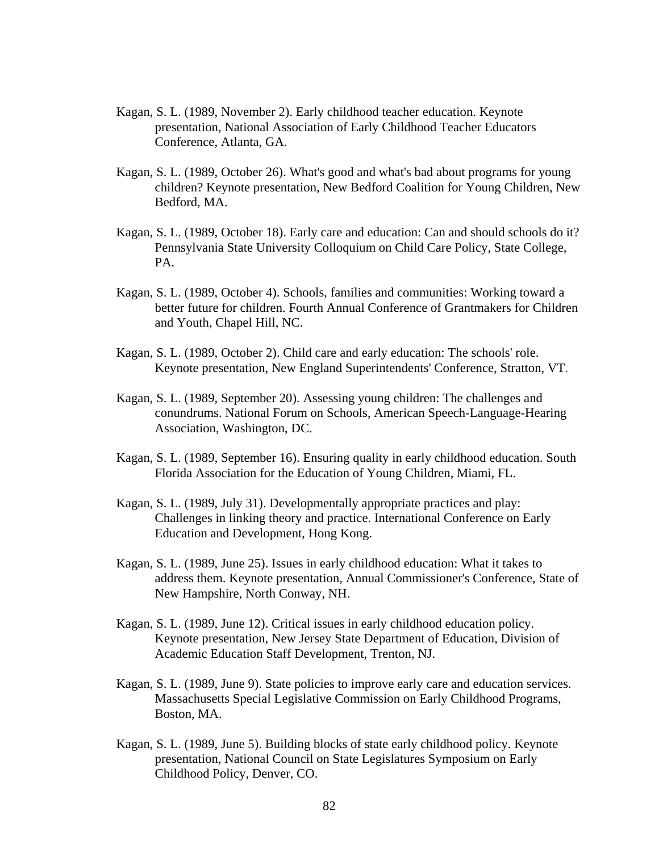- Kagan, S. L. (1989, November 2). Early childhood teacher education. Keynote presentation, National Association of Early Childhood Teacher Educators Conference, Atlanta, GA.
- Kagan, S. L. (1989, October 26). What's good and what's bad about programs for young children? Keynote presentation, New Bedford Coalition for Young Children, New Bedford, MA.
- Kagan, S. L. (1989, October 18). Early care and education: Can and should schools do it? Pennsylvania State University Colloquium on Child Care Policy, State College, PA.
- Kagan, S. L. (1989, October 4). Schools, families and communities: Working toward a better future for children. Fourth Annual Conference of Grantmakers for Children and Youth, Chapel Hill, NC.
- Kagan, S. L. (1989, October 2). Child care and early education: The schools' role. Keynote presentation, New England Superintendents' Conference, Stratton, VT.
- Kagan, S. L. (1989, September 20). Assessing young children: The challenges and conundrums. National Forum on Schools, American Speech-Language-Hearing Association, Washington, DC.
- Kagan, S. L. (1989, September 16). Ensuring quality in early childhood education. South Florida Association for the Education of Young Children, Miami, FL.
- Kagan, S. L. (1989, July 31). Developmentally appropriate practices and play: Challenges in linking theory and practice. International Conference on Early Education and Development, Hong Kong.
- Kagan, S. L. (1989, June 25). Issues in early childhood education: What it takes to address them. Keynote presentation, Annual Commissioner's Conference, State of New Hampshire, North Conway, NH.
- Kagan, S. L. (1989, June 12). Critical issues in early childhood education policy. Keynote presentation, New Jersey State Department of Education, Division of Academic Education Staff Development, Trenton, NJ.
- Kagan, S. L. (1989, June 9). State policies to improve early care and education services. Massachusetts Special Legislative Commission on Early Childhood Programs, Boston, MA.
- Kagan, S. L. (1989, June 5). Building blocks of state early childhood policy. Keynote presentation, National Council on State Legislatures Symposium on Early Childhood Policy, Denver, CO.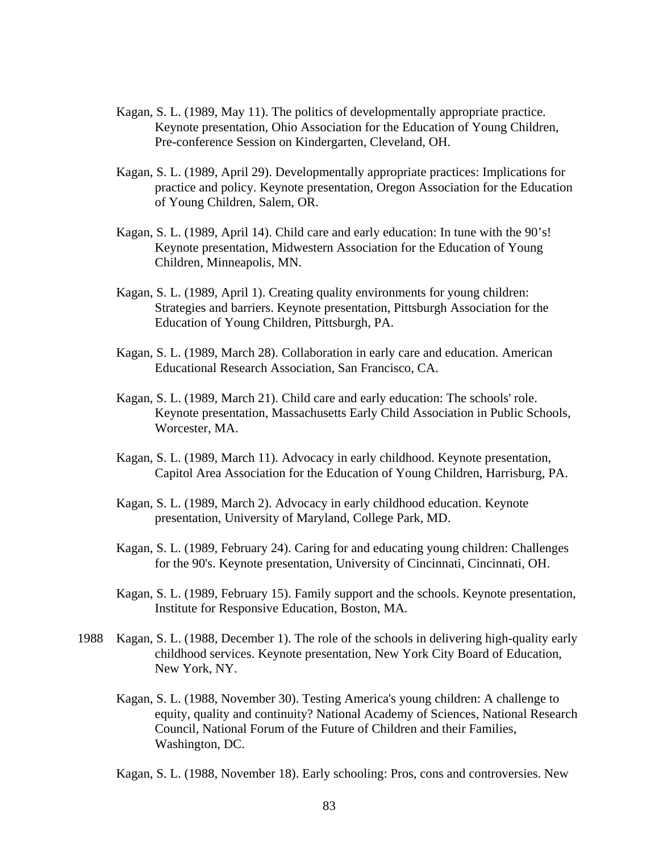- Kagan, S. L. (1989, May 11). The politics of developmentally appropriate practice. Keynote presentation, Ohio Association for the Education of Young Children, Pre-conference Session on Kindergarten, Cleveland, OH.
- Kagan, S. L. (1989, April 29). Developmentally appropriate practices: Implications for practice and policy. Keynote presentation, Oregon Association for the Education of Young Children, Salem, OR.
- Kagan, S. L. (1989, April 14). Child care and early education: In tune with the 90's! Keynote presentation, Midwestern Association for the Education of Young Children, Minneapolis, MN.
- Kagan, S. L. (1989, April 1). Creating quality environments for young children: Strategies and barriers. Keynote presentation, Pittsburgh Association for the Education of Young Children, Pittsburgh, PA.
- Kagan, S. L. (1989, March 28). Collaboration in early care and education. American Educational Research Association, San Francisco, CA.
- Kagan, S. L. (1989, March 21). Child care and early education: The schools' role. Keynote presentation, Massachusetts Early Child Association in Public Schools, Worcester, MA.
- Kagan, S. L. (1989, March 11). Advocacy in early childhood. Keynote presentation, Capitol Area Association for the Education of Young Children, Harrisburg, PA.
- Kagan, S. L. (1989, March 2). Advocacy in early childhood education. Keynote presentation, University of Maryland, College Park, MD.
- Kagan, S. L. (1989, February 24). Caring for and educating young children: Challenges for the 90's. Keynote presentation, University of Cincinnati, Cincinnati, OH.
- Kagan, S. L. (1989, February 15). Family support and the schools. Keynote presentation, Institute for Responsive Education, Boston, MA.
- 1988 Kagan, S. L. (1988, December 1). The role of the schools in delivering high-quality early childhood services. Keynote presentation, New York City Board of Education, New York, NY.
	- Kagan, S. L. (1988, November 30). Testing America's young children: A challenge to equity, quality and continuity? National Academy of Sciences, National Research Council, National Forum of the Future of Children and their Families, Washington, DC.

Kagan, S. L. (1988, November 18). Early schooling: Pros, cons and controversies. New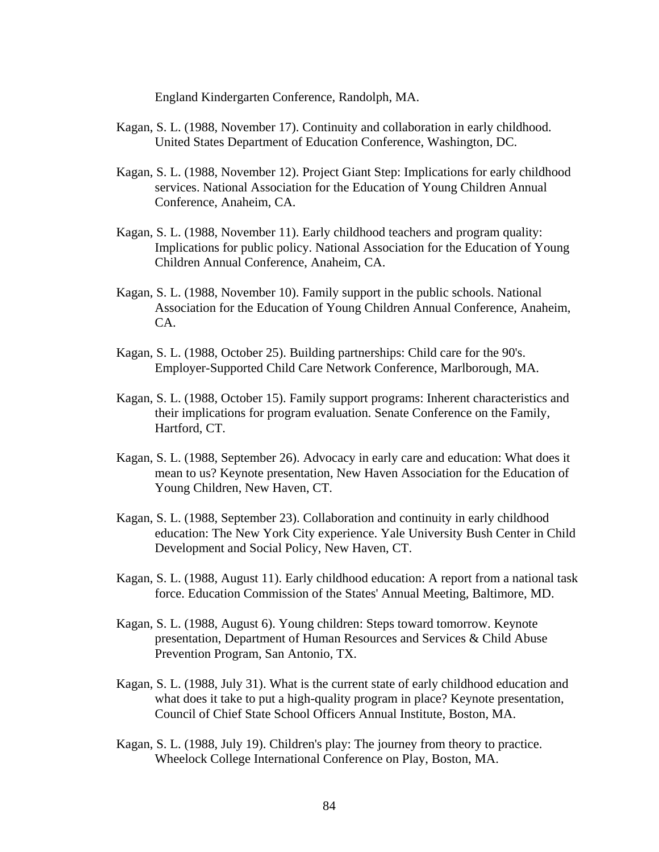England Kindergarten Conference, Randolph, MA.

- Kagan, S. L. (1988, November 17). Continuity and collaboration in early childhood. United States Department of Education Conference, Washington, DC.
- Kagan, S. L. (1988, November 12). Project Giant Step: Implications for early childhood services. National Association for the Education of Young Children Annual Conference, Anaheim, CA.
- Kagan, S. L. (1988, November 11). Early childhood teachers and program quality: Implications for public policy. National Association for the Education of Young Children Annual Conference, Anaheim, CA.
- Kagan, S. L. (1988, November 10). Family support in the public schools. National Association for the Education of Young Children Annual Conference, Anaheim, CA.
- Kagan, S. L. (1988, October 25). Building partnerships: Child care for the 90's. Employer-Supported Child Care Network Conference, Marlborough, MA.
- Kagan, S. L. (1988, October 15). Family support programs: Inherent characteristics and their implications for program evaluation. Senate Conference on the Family, Hartford, CT.
- Kagan, S. L. (1988, September 26). Advocacy in early care and education: What does it mean to us? Keynote presentation, New Haven Association for the Education of Young Children, New Haven, CT.
- Kagan, S. L. (1988, September 23). Collaboration and continuity in early childhood education: The New York City experience. Yale University Bush Center in Child Development and Social Policy, New Haven, CT.
- Kagan, S. L. (1988, August 11). Early childhood education: A report from a national task force. Education Commission of the States' Annual Meeting, Baltimore, MD.
- Kagan, S. L. (1988, August 6). Young children: Steps toward tomorrow. Keynote presentation, Department of Human Resources and Services & Child Abuse Prevention Program, San Antonio, TX.
- Kagan, S. L. (1988, July 31). What is the current state of early childhood education and what does it take to put a high-quality program in place? Keynote presentation, Council of Chief State School Officers Annual Institute, Boston, MA.
- Kagan, S. L. (1988, July 19). Children's play: The journey from theory to practice. Wheelock College International Conference on Play, Boston, MA.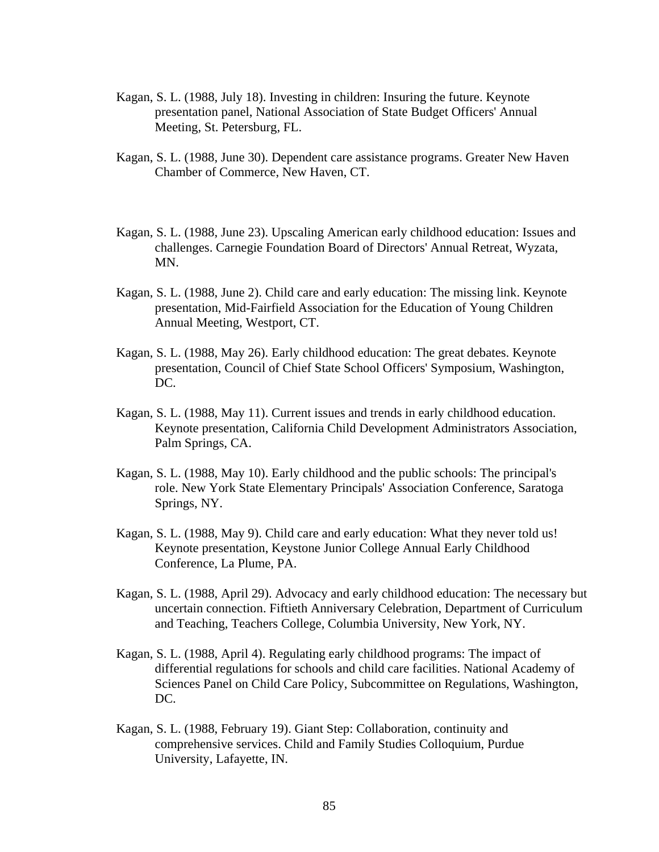- Kagan, S. L. (1988, July 18). Investing in children: Insuring the future. Keynote presentation panel, National Association of State Budget Officers' Annual Meeting, St. Petersburg, FL.
- Kagan, S. L. (1988, June 30). Dependent care assistance programs. Greater New Haven Chamber of Commerce, New Haven, CT.
- Kagan, S. L. (1988, June 23). Upscaling American early childhood education: Issues and challenges. Carnegie Foundation Board of Directors' Annual Retreat, Wyzata, MN.
- Kagan, S. L. (1988, June 2). Child care and early education: The missing link. Keynote presentation, Mid-Fairfield Association for the Education of Young Children Annual Meeting, Westport, CT.
- Kagan, S. L. (1988, May 26). Early childhood education: The great debates. Keynote presentation, Council of Chief State School Officers' Symposium, Washington, DC.
- Kagan, S. L. (1988, May 11). Current issues and trends in early childhood education. Keynote presentation, California Child Development Administrators Association, Palm Springs, CA.
- Kagan, S. L. (1988, May 10). Early childhood and the public schools: The principal's role. New York State Elementary Principals' Association Conference, Saratoga Springs, NY.
- Kagan, S. L. (1988, May 9). Child care and early education: What they never told us! Keynote presentation, Keystone Junior College Annual Early Childhood Conference, La Plume, PA.
- Kagan, S. L. (1988, April 29). Advocacy and early childhood education: The necessary but uncertain connection. Fiftieth Anniversary Celebration, Department of Curriculum and Teaching, Teachers College, Columbia University, New York, NY.
- Kagan, S. L. (1988, April 4). Regulating early childhood programs: The impact of differential regulations for schools and child care facilities. National Academy of Sciences Panel on Child Care Policy, Subcommittee on Regulations, Washington, DC.
- Kagan, S. L. (1988, February 19). Giant Step: Collaboration, continuity and comprehensive services. Child and Family Studies Colloquium, Purdue University, Lafayette, IN.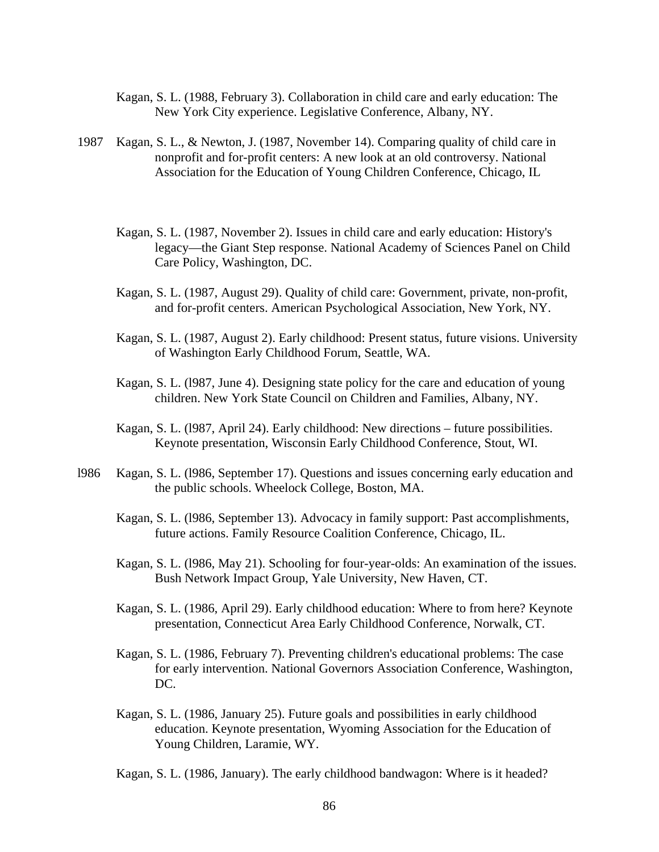- Kagan, S. L. (1988, February 3). Collaboration in child care and early education: The New York City experience. Legislative Conference, Albany, NY.
- 1987 Kagan, S. L., & Newton, J. (1987, November 14). Comparing quality of child care in nonprofit and for-profit centers: A new look at an old controversy. National Association for the Education of Young Children Conference, Chicago, IL
	- Kagan, S. L. (1987, November 2). Issues in child care and early education: History's legacy—the Giant Step response. National Academy of Sciences Panel on Child Care Policy, Washington, DC.
	- Kagan, S. L. (1987, August 29). Quality of child care: Government, private, non-profit, and for-profit centers. American Psychological Association, New York, NY.
	- Kagan, S. L. (1987, August 2). Early childhood: Present status, future visions. University of Washington Early Childhood Forum, Seattle, WA.
	- Kagan, S. L. (l987, June 4). Designing state policy for the care and education of young children. New York State Council on Children and Families, Albany, NY.
	- Kagan, S. L. (l987, April 24). Early childhood: New directions future possibilities. Keynote presentation, Wisconsin Early Childhood Conference, Stout, WI.
- l986 Kagan, S. L. (l986, September 17). Questions and issues concerning early education and the public schools. Wheelock College, Boston, MA.
	- Kagan, S. L. (l986, September 13). Advocacy in family support: Past accomplishments, future actions. Family Resource Coalition Conference, Chicago, IL.
	- Kagan, S. L. (l986, May 21). Schooling for four-year-olds: An examination of the issues. Bush Network Impact Group, Yale University, New Haven, CT.
	- Kagan, S. L. (1986, April 29). Early childhood education: Where to from here? Keynote presentation, Connecticut Area Early Childhood Conference, Norwalk, CT.
	- Kagan, S. L. (1986, February 7). Preventing children's educational problems: The case for early intervention. National Governors Association Conference, Washington, DC.
	- Kagan, S. L. (1986, January 25). Future goals and possibilities in early childhood education. Keynote presentation, Wyoming Association for the Education of Young Children, Laramie, WY.
	- Kagan, S. L. (1986, January). The early childhood bandwagon: Where is it headed?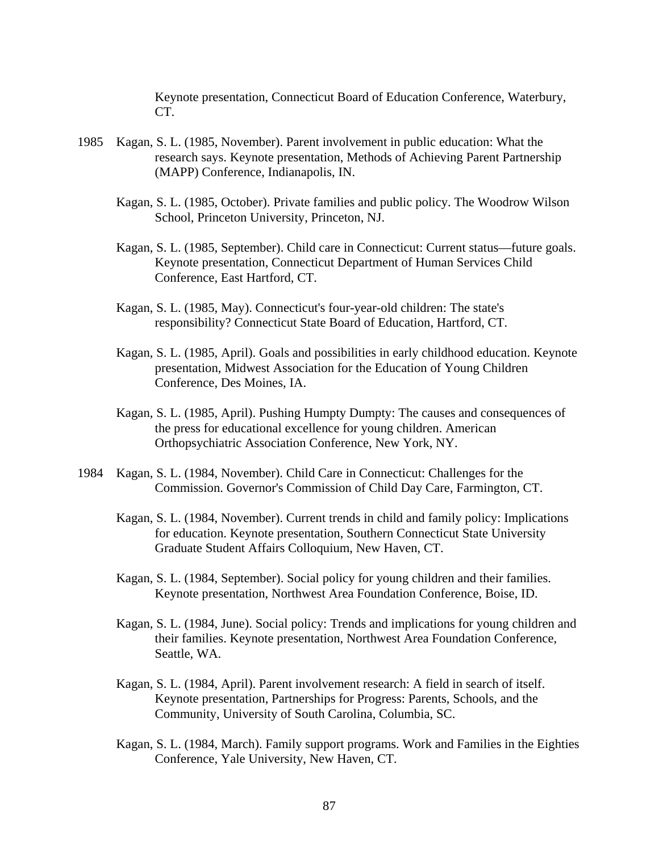Keynote presentation, Connecticut Board of Education Conference, Waterbury, CT.

- 1985 Kagan, S. L. (1985, November). Parent involvement in public education: What the research says. Keynote presentation, Methods of Achieving Parent Partnership (MAPP) Conference, Indianapolis, IN.
	- Kagan, S. L. (1985, October). Private families and public policy. The Woodrow Wilson School, Princeton University, Princeton, NJ.
	- Kagan, S. L. (1985, September). Child care in Connecticut: Current status—future goals. Keynote presentation, Connecticut Department of Human Services Child Conference, East Hartford, CT.
	- Kagan, S. L. (1985, May). Connecticut's four-year-old children: The state's responsibility? Connecticut State Board of Education, Hartford, CT.
	- Kagan, S. L. (1985, April). Goals and possibilities in early childhood education. Keynote presentation, Midwest Association for the Education of Young Children Conference, Des Moines, IA.
	- Kagan, S. L. (1985, April). Pushing Humpty Dumpty: The causes and consequences of the press for educational excellence for young children. American Orthopsychiatric Association Conference, New York, NY.
- 1984 Kagan, S. L. (1984, November). Child Care in Connecticut: Challenges for the Commission. Governor's Commission of Child Day Care, Farmington, CT.
	- Kagan, S. L. (1984, November). Current trends in child and family policy: Implications for education. Keynote presentation, Southern Connecticut State University Graduate Student Affairs Colloquium, New Haven, CT.
	- Kagan, S. L. (1984, September). Social policy for young children and their families. Keynote presentation, Northwest Area Foundation Conference, Boise, ID.
	- Kagan, S. L. (1984, June). Social policy: Trends and implications for young children and their families. Keynote presentation, Northwest Area Foundation Conference, Seattle, WA.
	- Kagan, S. L. (1984, April). Parent involvement research: A field in search of itself. Keynote presentation, Partnerships for Progress: Parents, Schools, and the Community, University of South Carolina, Columbia, SC.
	- Kagan, S. L. (1984, March). Family support programs. Work and Families in the Eighties Conference, Yale University, New Haven, CT.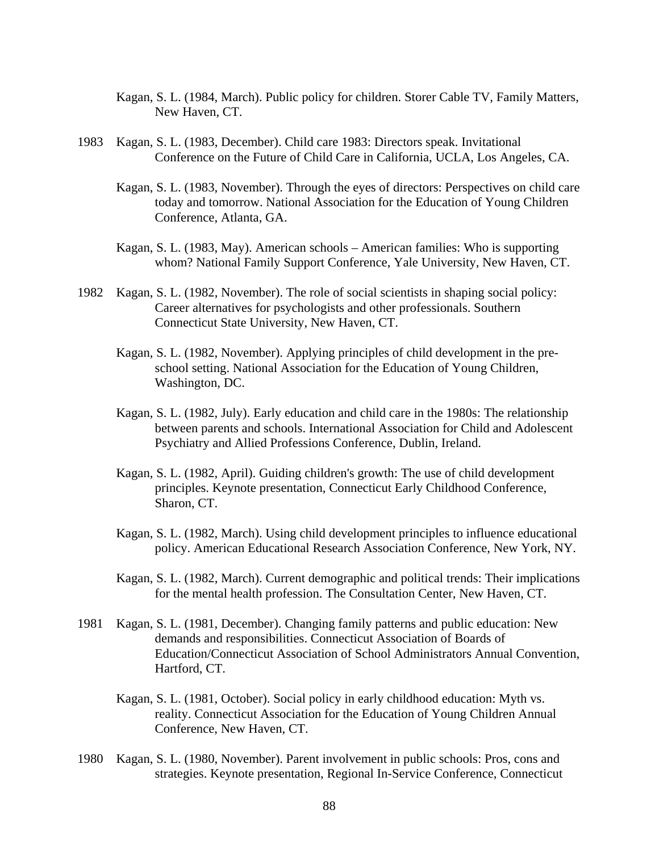- Kagan, S. L. (1984, March). Public policy for children. Storer Cable TV, Family Matters, New Haven, CT.
- 1983 Kagan, S. L. (1983, December). Child care 1983: Directors speak. Invitational Conference on the Future of Child Care in California, UCLA, Los Angeles, CA.
	- Kagan, S. L. (1983, November). Through the eyes of directors: Perspectives on child care today and tomorrow. National Association for the Education of Young Children Conference, Atlanta, GA.
	- Kagan, S. L. (1983, May). American schools American families: Who is supporting whom? National Family Support Conference, Yale University, New Haven, CT.
- 1982 Kagan, S. L. (1982, November). The role of social scientists in shaping social policy: Career alternatives for psychologists and other professionals. Southern Connecticut State University, New Haven, CT.
	- Kagan, S. L. (1982, November). Applying principles of child development in the preschool setting. National Association for the Education of Young Children, Washington, DC.
	- Kagan, S. L. (1982, July). Early education and child care in the 1980s: The relationship between parents and schools. International Association for Child and Adolescent Psychiatry and Allied Professions Conference, Dublin, Ireland.
	- Kagan, S. L. (1982, April). Guiding children's growth: The use of child development principles. Keynote presentation, Connecticut Early Childhood Conference, Sharon, CT.
	- Kagan, S. L. (1982, March). Using child development principles to influence educational policy. American Educational Research Association Conference, New York, NY.
	- Kagan, S. L. (1982, March). Current demographic and political trends: Their implications for the mental health profession. The Consultation Center, New Haven, CT.
- 1981 Kagan, S. L. (1981, December). Changing family patterns and public education: New demands and responsibilities. Connecticut Association of Boards of Education/Connecticut Association of School Administrators Annual Convention, Hartford, CT.
	- Kagan, S. L. (1981, October). Social policy in early childhood education: Myth vs. reality. Connecticut Association for the Education of Young Children Annual Conference, New Haven, CT.
- 1980 Kagan, S. L. (1980, November). Parent involvement in public schools: Pros, cons and strategies. Keynote presentation, Regional In-Service Conference, Connecticut